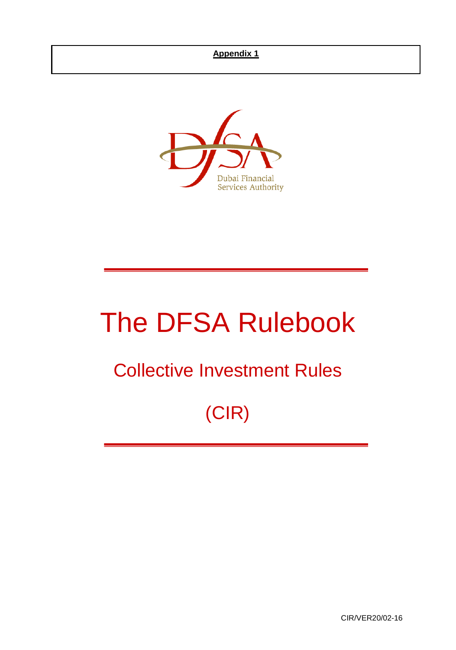

# The DFSA Rulebook

# Collective Investment Rules

# (CIR)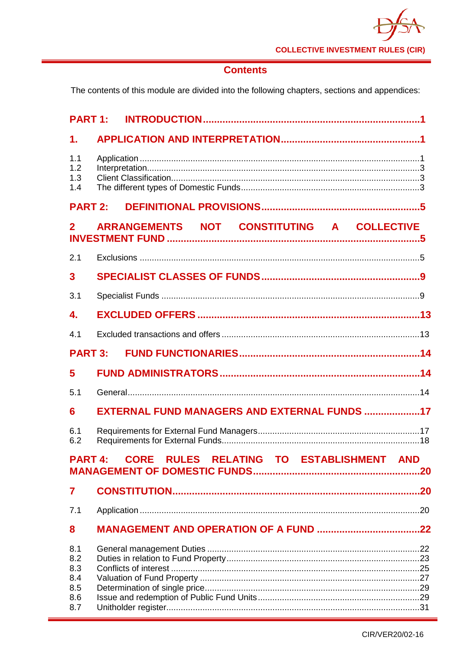

# **Contents**

The contents of this module are divided into the following chapters, sections and appendices:

| <b>PART 1:</b>           |                                                            |  |
|--------------------------|------------------------------------------------------------|--|
| $\mathbf 1$ .            |                                                            |  |
| 1.1<br>1.2<br>1.3<br>1.4 |                                                            |  |
| <b>PART 2:</b>           |                                                            |  |
| $\mathbf{2}$             | ARRANGEMENTS NOT CONSTITUTING A COLLECTIVE                 |  |
| 2.1                      |                                                            |  |
| $\overline{\mathbf{3}}$  |                                                            |  |
| 3.1                      |                                                            |  |
| $\mathbf{4}$             |                                                            |  |
| 4.1                      |                                                            |  |
| <b>PART 3:</b>           |                                                            |  |
| 5                        |                                                            |  |
| 5.1                      |                                                            |  |
| 6                        | EXTERNAL FUND MANAGERS AND EXTERNAL FUNDS 17               |  |
| 6.1<br>6.2               |                                                            |  |
|                          | CORE RULES RELATING TO ESTABLISHMENT AND<br><b>PART 4:</b> |  |
| $\overline{7}$           |                                                            |  |
| 7.1                      |                                                            |  |
|                          |                                                            |  |
| 8                        |                                                            |  |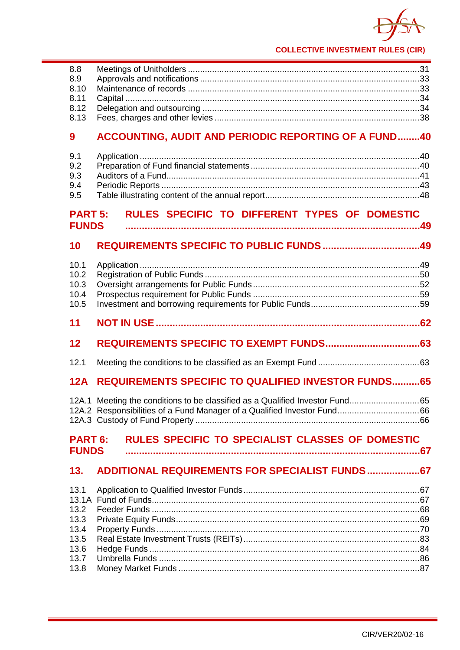

# 9 ACCOUNTING, AUDIT AND PERIODIC REPORTING OF A FUND........40

# PART 5: RULES SPECIFIC TO DIFFERENT TYPES OF DOMESTIC

#### $10<sup>°</sup>$

| 10.1<br>10.2<br>10.3<br>10.4<br>10.5 |                                                                              |  |
|--------------------------------------|------------------------------------------------------------------------------|--|
| 11                                   |                                                                              |  |
| 12                                   |                                                                              |  |
| 12.1                                 |                                                                              |  |
| 12A                                  | <b>REQUIREMENTS SPECIFIC TO QUALIFIED INVESTOR FUNDS 65</b>                  |  |
|                                      | 12A.1 Meeting the conditions to be classified as a Qualified Investor Fund65 |  |
| <b>PART 6:</b><br><b>FUNDS</b>       | <b>RULES SPECIFIC TO SPECIALIST CLASSES OF DOMESTIC</b>                      |  |
|                                      | 13. ADDITIONAL REQUIREMENTS FOR SPECIALIST FUNDS 67                          |  |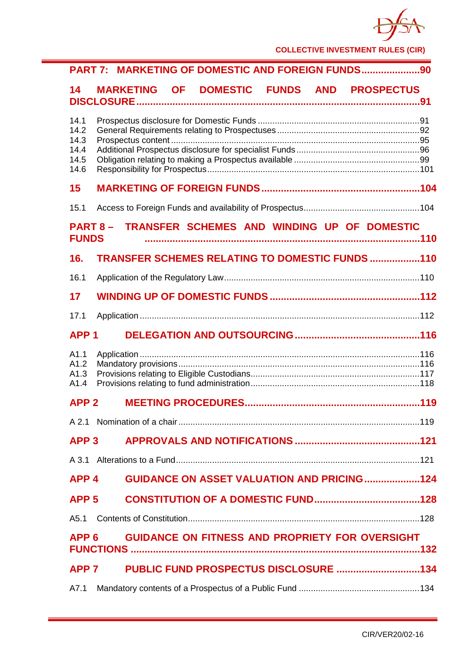

| PART 7: MARKETING OF DOMESTIC AND FOREIGN FUNDS90                              |
|--------------------------------------------------------------------------------|
| MARKETING OF DOMESTIC FUNDS AND PROSPECTUS<br>14                               |
| 14.1<br>14.2<br>14.3<br>14.4<br>14.5<br>14.6                                   |
| 15                                                                             |
| 15.1                                                                           |
| TRANSFER SCHEMES AND WINDING UP OF DOMESTIC<br><b>PART 8 –</b><br><b>FUNDS</b> |
| TRANSFER SCHEMES RELATING TO DOMESTIC FUNDS 110<br>16.                         |
| 16.1                                                                           |
| 17                                                                             |
| 17.1                                                                           |
| <b>APP1</b>                                                                    |
| A1.1<br>A1.2<br>A1.3<br>A1.4                                                   |
| APP <sub>2</sub>                                                               |
|                                                                                |
| APP <sub>3</sub>                                                               |
| A 3.1                                                                          |
| <b>GUIDANCE ON ASSET VALUATION AND PRICING124</b><br>APP <sub>4</sub>          |
| APP <sub>5</sub>                                                               |
| A5.1                                                                           |
| <b>GUIDANCE ON FITNESS AND PROPRIETY FOR OVERSIGHT</b><br>APP <sub>6</sub>     |
| APP <sub>7</sub>                                                               |
| A7.1                                                                           |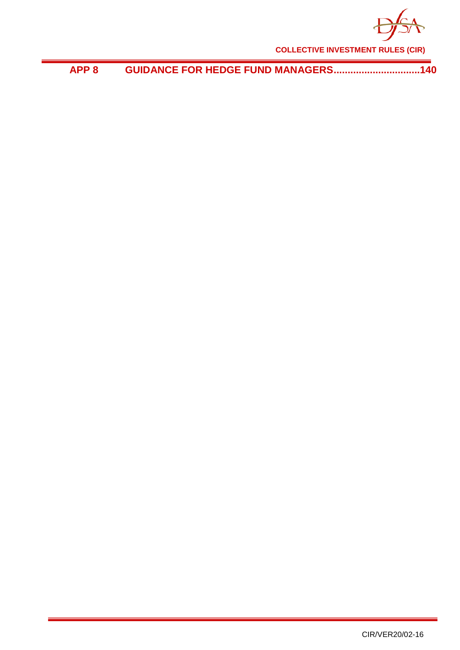

**APP 8 [GUIDANCE FOR HEDGE FUND MANAGERS...............................140](#page-144-0)**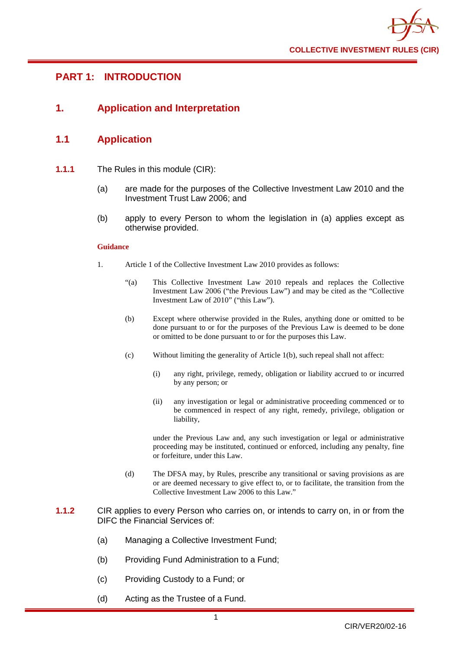

# <span id="page-5-0"></span>**PART 1: INTRODUCTION**

# <span id="page-5-1"></span>**1. Application and Interpretation**

## <span id="page-5-2"></span>**1.1 Application**

- **1.1.1** The Rules in this module (CIR):
	- (a) are made for the purposes of the Collective Investment Law 2010 and the Investment Trust Law 2006; and
	- (b) apply to every Person to whom the legislation in (a) applies except as otherwise provided.

#### **Guidance**

- 1. Article 1 of the Collective Investment Law 2010 provides as follows:
	- "(a) This Collective Investment Law 2010 repeals and replaces the Collective Investment Law 2006 ("the Previous Law") and may be cited as the "Collective Investment Law of 2010" ("this Law").
	- (b) Except where otherwise provided in the Rules, anything done or omitted to be done pursuant to or for the purposes of the Previous Law is deemed to be done or omitted to be done pursuant to or for the purposes this Law.
	- (c) Without limiting the generality of Article 1(b), such repeal shall not affect:
		- (i) any right, privilege, remedy, obligation or liability accrued to or incurred by any person; or
		- (ii) any investigation or legal or administrative proceeding commenced or to be commenced in respect of any right, remedy, privilege, obligation or liability,

under the Previous Law and, any such investigation or legal or administrative proceeding may be instituted, continued or enforced, including any penalty, fine or forfeiture, under this Law.

- (d) The DFSA may, by Rules, prescribe any transitional or saving provisions as are or are deemed necessary to give effect to, or to facilitate, the transition from the Collective Investment Law 2006 to this Law."
- **1.1.2** CIR applies to every Person who carries on, or intends to carry on, in or from the DIFC the Financial Services of:
	- (a) Managing a Collective Investment Fund;
	- (b) Providing Fund Administration to a Fund;
	- (c) Providing Custody to a Fund; or
	- (d) Acting as the Trustee of a Fund.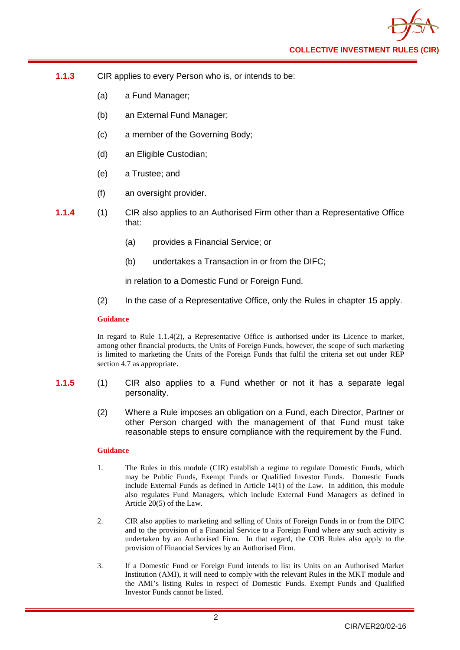- **1.1.3** CIR applies to every Person who is, or intends to be:
	- (a) a Fund Manager;
	- (b) an External Fund Manager;
	- (c) a member of the Governing Body;
	- (d) an Eligible Custodian;
	- (e) a Trustee; and
	- (f) an oversight provider.
- **1.1.4** (1) CIR also applies to an Authorised Firm other than a Representative Office that:
	- (a) provides a Financial Service; or
	- (b) undertakes a Transaction in or from the DIFC;

in relation to a Domestic Fund or Foreign Fund.

(2) In the case of a Representative Office, only the Rules in chapter 15 apply.

## **Guidance**

In regard to Rule 1.1.4(2), a Representative Office is authorised under its Licence to market, among other financial products, the Units of Foreign Funds, however, the scope of such marketing is limited to marketing the Units of the Foreign Funds that fulfil the criteria set out under REP section 4.7 as appropriate.

- **1.1.5** (1) CIR also applies to a Fund whether or not it has a separate legal personality.
	- (2) Where a Rule imposes an obligation on a Fund, each Director, Partner or other Person charged with the management of that Fund must take reasonable steps to ensure compliance with the requirement by the Fund.

#### **Guidance**

- 1. The Rules in this module (CIR) establish a regime to regulate Domestic Funds, which may be Public Funds, Exempt Funds or Qualified Investor Funds. Domestic Funds include External Funds as defined in Article 14(1) of the Law. In addition, this module also regulates Fund Managers, which include External Fund Managers as defined in Article 20(5) of the Law.
- 2. CIR also applies to marketing and selling of Units of Foreign Funds in or from the DIFC and to the provision of a Financial Service to a Foreign Fund where any such activity is undertaken by an Authorised Firm. In that regard, the COB Rules also apply to the provision of Financial Services by an Authorised Firm.
- 3. If a Domestic Fund or Foreign Fund intends to list its Units on an Authorised Market Institution (AMI), it will need to comply with the relevant Rules in the MKT module and the AMI's listing Rules in respect of Domestic Funds. Exempt Funds and Qualified Investor Funds cannot be listed.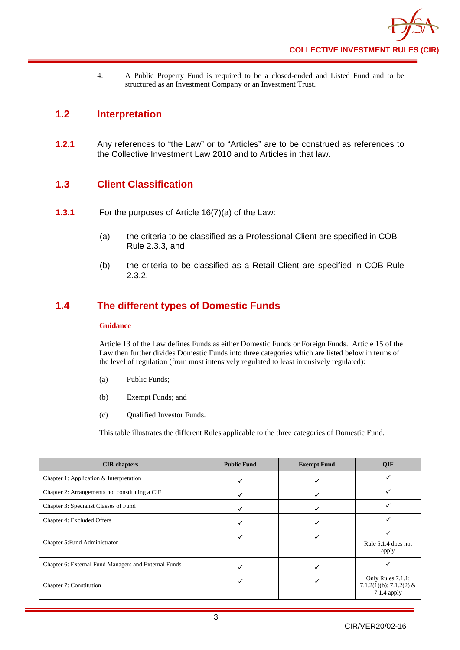4. A Public Property Fund is required to be a closed-ended and Listed Fund and to be structured as an Investment Company or an Investment Trust.

# <span id="page-7-0"></span>**1.2 Interpretation**

**1.2.1** Any references to "the Law" or to "Articles" are to be construed as references to the Collective Investment Law 2010 and to Articles in that law.

# <span id="page-7-1"></span>**1.3 Client Classification**

- **1.3.1** For the purposes of Article 16(7)(a) of the Law:
	- (a) the criteria to be classified as a Professional Client are specified in COB Rule 2.3.3, and
	- (b) the criteria to be classified as a Retail Client are specified in COB Rule 2.3.2.

# <span id="page-7-2"></span>**1.4 The different types of Domestic Funds**

## **Guidance**

Article 13 of the Law defines Funds as either Domestic Funds or Foreign Funds. Article 15 of the Law then further divides Domestic Funds into three categories which are listed below in terms of the level of regulation (from most intensively regulated to least intensively regulated):

- (a) Public Funds;
- (b) Exempt Funds; and
- (c) Qualified Investor Funds.

This table illustrates the different Rules applicable to the three categories of Domestic Fund.

| <b>CIR</b> chapters                                  | <b>Public Fund</b> | <b>Exempt Fund</b> | <b>QIF</b>                                                  |
|------------------------------------------------------|--------------------|--------------------|-------------------------------------------------------------|
| Chapter 1: Application $&$ Interpretation            |                    |                    |                                                             |
| Chapter 2: Arrangements not constituting a CIF       |                    |                    |                                                             |
| Chapter 3: Specialist Classes of Fund                |                    |                    |                                                             |
| Chapter 4: Excluded Offers                           |                    |                    |                                                             |
| Chapter 5: Fund Administrator                        |                    |                    | Rule 5.1.4 does not<br>apply                                |
| Chapter 6: External Fund Managers and External Funds |                    |                    |                                                             |
| Chapter 7: Constitution                              |                    |                    | Only Rules 7.1.1;<br>7.1.2(1)(b); 7.1.2(2) &<br>7.1.4 apply |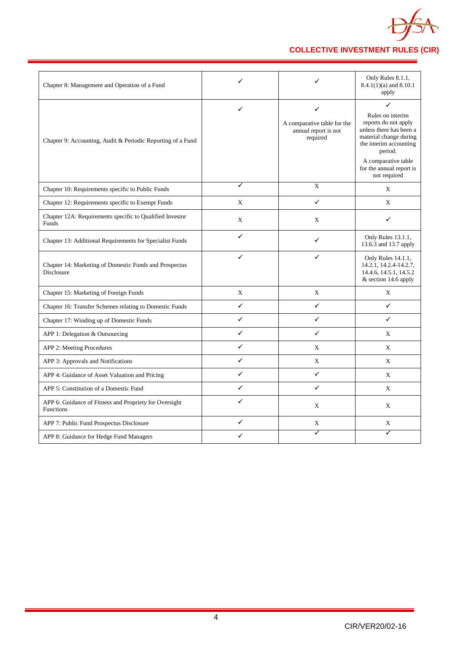

| Chapter 8: Management and Operation of a Fund                              | ✓            | ✓                                                                    | Only Rules 8.1.1,<br>$8.4.1(1)(a)$ and $8.10.1$<br>apply                                                                                                                                                   |
|----------------------------------------------------------------------------|--------------|----------------------------------------------------------------------|------------------------------------------------------------------------------------------------------------------------------------------------------------------------------------------------------------|
| Chapter 9: Accounting, Audit & Periodic Reporting of a Fund                | ✓            | ✓<br>A comparative table for the<br>annual report is not<br>required | ✓<br>Rules on interim<br>reports do not apply<br>unless there has been a<br>material change during<br>the interim accounting<br>period.<br>A comparative table<br>for the annual report is<br>not required |
| Chapter 10: Requirements specific to Public Funds                          | ✓            | X                                                                    | X                                                                                                                                                                                                          |
| Chapter 12: Requirements specific to Exempt Funds                          | X            | ✓                                                                    | X                                                                                                                                                                                                          |
| Chapter 12A: Requirements specific to Qualified Investor<br>Funds          | $\mathbf X$  | X                                                                    | ✓                                                                                                                                                                                                          |
| Chapter 13: Additional Requirements for Specialist Funds                   | ✓            | ✓                                                                    | Only Rules 13.1.1,<br>13.6.3 and 13.7 apply                                                                                                                                                                |
| Chapter 14: Marketing of Domestic Funds and Prospectus<br>Disclosure       | ✓            | ✓                                                                    | Only Rules 14.1.1,<br>14.2.1, 14.2.4-14.2.7,<br>14.4.6, 14.5.1, 14.5.2<br>& section 14.6 apply                                                                                                             |
| Chapter 15: Marketing of Foreign Funds                                     | $\mathbf X$  | X                                                                    | X                                                                                                                                                                                                          |
| Chapter 16: Transfer Schemes relating to Domestic Funds                    | ✓            | $\checkmark$                                                         | $\checkmark$                                                                                                                                                                                               |
| Chapter 17: Winding up of Domestic Funds                                   | ✓            | $\checkmark$                                                         | $\checkmark$                                                                                                                                                                                               |
| APP 1: Delegation & Outsourcing                                            | ✓            | ✓                                                                    | $\mathbf{X}$                                                                                                                                                                                               |
| APP 2: Meeting Procedures                                                  | $\checkmark$ | X                                                                    | X                                                                                                                                                                                                          |
| APP 3: Approvals and Notifications                                         | ✓            | X                                                                    | X                                                                                                                                                                                                          |
| APP 4: Guidance of Asset Valuation and Pricing                             | ✓            | $\checkmark$                                                         | X                                                                                                                                                                                                          |
| APP 5: Constitution of a Domestic Fund                                     | ✓            | $\checkmark$                                                         | X                                                                                                                                                                                                          |
| APP 6: Guidance of Fitness and Propriety for Oversight<br><b>Functions</b> | ✓            | X                                                                    | X                                                                                                                                                                                                          |
| APP 7: Public Fund Prospectus Disclosure                                   | ✓            | $\mathbf X$                                                          | $\mathbf X$                                                                                                                                                                                                |
| APP 8: Guidance for Hedge Fund Managers                                    | ✓            | ✓                                                                    | ✓                                                                                                                                                                                                          |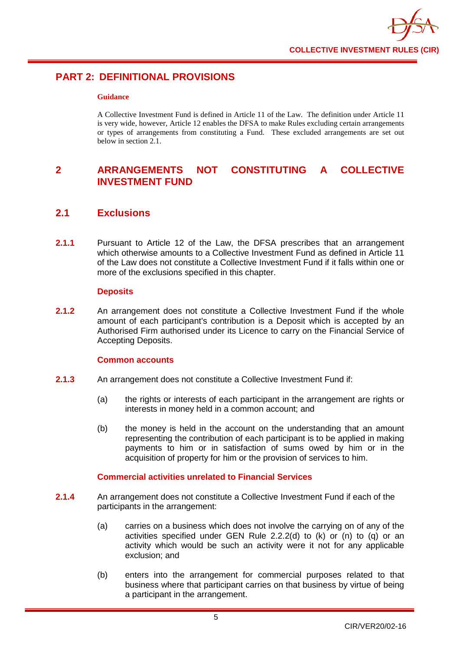

# <span id="page-9-0"></span>**PART 2: DEFINITIONAL PROVISIONS**

## **Guidance**

A Collective Investment Fund is defined in Article 11 of the Law. The definition under Article 11 is very wide, however, Article 12 enables the DFSA to make Rules excluding certain arrangements or types of arrangements from constituting a Fund. These excluded arrangements are set out below in section  $2.1$ .

# <span id="page-9-1"></span>**2 ARRANGEMENTS NOT CONSTITUTING A COLLECTIVE INVESTMENT FUND**

# <span id="page-9-2"></span>**2.1 Exclusions**

**2.1.1** Pursuant to Article 12 of the Law, the DFSA prescribes that an arrangement which otherwise amounts to a Collective Investment Fund as defined in Article 11 of the Law does not constitute a Collective Investment Fund if it falls within one or more of the exclusions specified in this chapter.

## **Deposits**

**2.1.2** An arrangement does not constitute a Collective Investment Fund if the whole amount of each participant's contribution is a Deposit which is accepted by an Authorised Firm authorised under its Licence to carry on the Financial Service of Accepting Deposits.

## **Common accounts**

- **2.1.3** An arrangement does not constitute a Collective Investment Fund if:
	- (a) the rights or interests of each participant in the arrangement are rights or interests in money held in a common account; and
	- (b) the money is held in the account on the understanding that an amount representing the contribution of each participant is to be applied in making payments to him or in satisfaction of sums owed by him or in the acquisition of property for him or the provision of services to him.

## **Commercial activities unrelated to Financial Services**

- **2.1.4** An arrangement does not constitute a Collective Investment Fund if each of the participants in the arrangement:
	- (a) carries on a business which does not involve the carrying on of any of the activities specified under GEN Rule 2.2.2(d) to  $(k)$  or  $(n)$  to  $(q)$  or an activity which would be such an activity were it not for any applicable exclusion; and
	- (b) enters into the arrangement for commercial purposes related to that business where that participant carries on that business by virtue of being a participant in the arrangement.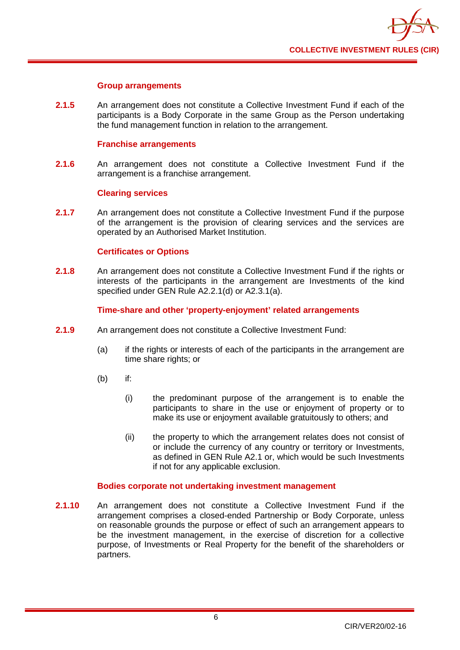

## **Group arrangements**

**2.1.5** An arrangement does not constitute a Collective Investment Fund if each of the participants is a Body Corporate in the same Group as the Person undertaking the fund management function in relation to the arrangement.

## **Franchise arrangements**

**2.1.6** An arrangement does not constitute a Collective Investment Fund if the arrangement is a franchise arrangement.

#### **Clearing services**

**2.1.7** An arrangement does not constitute a Collective Investment Fund if the purpose of the arrangement is the provision of clearing services and the services are operated by an Authorised Market Institution.

## **Certificates or Options**

**2.1.8** An arrangement does not constitute a Collective Investment Fund if the rights or interests of the participants in the arrangement are Investments of the kind specified under GEN Rule A2.2.1(d) or A2.3.1(a).

## **Time-share and other 'property-enjoyment' related arrangements**

- **2.1.9** An arrangement does not constitute a Collective Investment Fund:
	- (a) if the rights or interests of each of the participants in the arrangement are time share rights; or
	- (b) if:
		- (i) the predominant purpose of the arrangement is to enable the participants to share in the use or enjoyment of property or to make its use or enjoyment available gratuitously to others; and
		- (ii) the property to which the arrangement relates does not consist of or include the currency of any country or territory or Investments, as defined in GEN Rule A2.1 or, which would be such Investments if not for any applicable exclusion.

## **Bodies corporate not undertaking investment management**

**2.1.10** An arrangement does not constitute a Collective Investment Fund if the arrangement comprises a closed-ended Partnership or Body Corporate, unless on reasonable grounds the purpose or effect of such an arrangement appears to be the investment management, in the exercise of discretion for a collective purpose, of Investments or Real Property for the benefit of the shareholders or partners.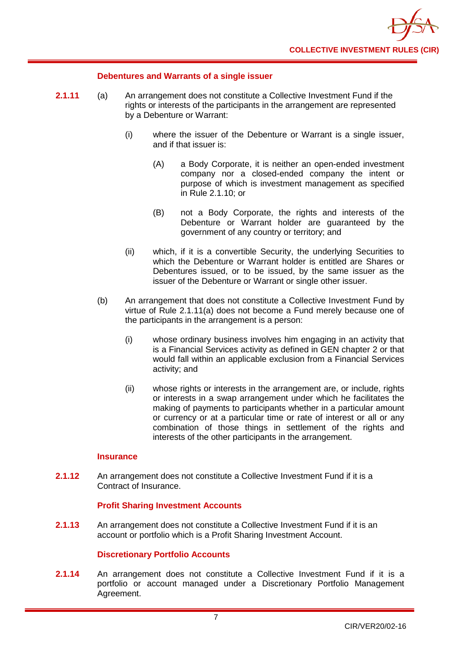

## **Debentures and Warrants of a single issuer**

- **2.1.11** (a) An arrangement does not constitute a Collective Investment Fund if the rights or interests of the participants in the arrangement are represented by a Debenture or Warrant:
	- (i) where the issuer of the Debenture or Warrant is a single issuer, and if that issuer is:
		- (A) a Body Corporate, it is neither an open-ended investment company nor a closed-ended company the intent or purpose of which is investment management as specified in Rule 2.1.10; or
		- (B) not a Body Corporate, the rights and interests of the Debenture or Warrant holder are guaranteed by the government of any country or territory; and
	- (ii) which, if it is a convertible Security, the underlying Securities to which the Debenture or Warrant holder is entitled are Shares or Debentures issued, or to be issued, by the same issuer as the issuer of the Debenture or Warrant or single other issuer.
	- (b) An arrangement that does not constitute a Collective Investment Fund by virtue of Rule 2.1.11(a) does not become a Fund merely because one of the participants in the arrangement is a person:
		- (i) whose ordinary business involves him engaging in an activity that is a Financial Services activity as defined in GEN chapter 2 or that would fall within an applicable exclusion from a Financial Services activity; and
		- (ii) whose rights or interests in the arrangement are, or include, rights or interests in a swap arrangement under which he facilitates the making of payments to participants whether in a particular amount or currency or at a particular time or rate of interest or all or any combination of those things in settlement of the rights and interests of the other participants in the arrangement.

## **Insurance**

**2.1.12** An arrangement does not constitute a Collective Investment Fund if it is a Contract of Insurance.

## **Profit Sharing Investment Accounts**

**2.1.13** An arrangement does not constitute a Collective Investment Fund if it is an account or portfolio which is a Profit Sharing Investment Account.

## **Discretionary Portfolio Accounts**

**2.1.14** An arrangement does not constitute a Collective Investment Fund if it is a portfolio or account managed under a Discretionary Portfolio Management Agreement.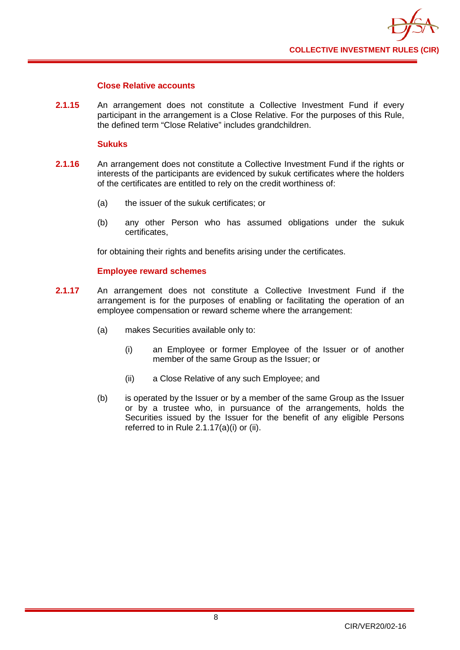

## **Close Relative accounts**

**2.1.15** An arrangement does not constitute a Collective Investment Fund if every participant in the arrangement is a Close Relative. For the purposes of this Rule, the defined term "Close Relative" includes grandchildren.

## **Sukuks**

- **2.1.16** An arrangement does not constitute a Collective Investment Fund if the rights or interests of the participants are evidenced by sukuk certificates where the holders of the certificates are entitled to rely on the credit worthiness of:
	- (a) the issuer of the sukuk certificates; or
	- (b) any other Person who has assumed obligations under the sukuk certificates,

for obtaining their rights and benefits arising under the certificates.

## **Employee reward schemes**

- **2.1.17** An arrangement does not constitute a Collective Investment Fund if the arrangement is for the purposes of enabling or facilitating the operation of an employee compensation or reward scheme where the arrangement:
	- (a) makes Securities available only to:
		- (i) an Employee or former Employee of the Issuer or of another member of the same Group as the Issuer; or
		- (ii) a Close Relative of any such Employee; and
	- (b) is operated by the Issuer or by a member of the same Group as the Issuer or by a trustee who, in pursuance of the arrangements, holds the Securities issued by the Issuer for the benefit of any eligible Persons referred to in Rule 2.1.17(a)(i) or (ii).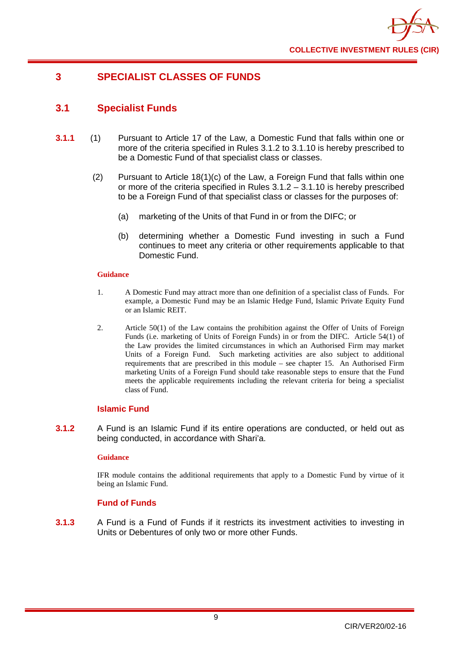

# <span id="page-13-0"></span>**3 SPECIALIST CLASSES OF FUNDS**

# <span id="page-13-1"></span>**3.1 Specialist Funds**

- **3.1.1** (1) Pursuant to Article 17 of the Law, a Domestic Fund that falls within one or more of the criteria specified in Rules 3.1.2 to 3.1.10 is hereby prescribed to be a Domestic Fund of that specialist class or classes.
	- (2) Pursuant to Article 18(1)(c) of the Law, a Foreign Fund that falls within one or more of the criteria specified in Rules 3.1.2 – 3.1.10 is hereby prescribed to be a Foreign Fund of that specialist class or classes for the purposes of:
		- (a) marketing of the Units of that Fund in or from the DIFC; or
		- (b) determining whether a Domestic Fund investing in such a Fund continues to meet any criteria or other requirements applicable to that Domestic Fund.

## **Guidance**

- 1. A Domestic Fund may attract more than one definition of a specialist class of Funds. For example, a Domestic Fund may be an Islamic Hedge Fund, Islamic Private Equity Fund or an Islamic REIT.
- 2. Article 50(1) of the Law contains the prohibition against the Offer of Units of Foreign Funds (i.e. marketing of Units of Foreign Funds) in or from the DIFC. Article 54(1) of the Law provides the limited circumstances in which an Authorised Firm may market Units of a Foreign Fund. Such marketing activities are also subject to additional requirements that are prescribed in this module – see chapter 15. An Authorised Firm marketing Units of a Foreign Fund should take reasonable steps to ensure that the Fund meets the applicable requirements including the relevant criteria for being a specialist class of Fund.

## **Islamic Fund**

**3.1.2** A Fund is an Islamic Fund if its entire operations are conducted, or held out as being conducted, in accordance with Shari'a.

## **Guidance**

IFR module contains the additional requirements that apply to a Domestic Fund by virtue of it being an Islamic Fund.

## **Fund of Funds**

**3.1.3** A Fund is a Fund of Funds if it restricts its investment activities to investing in Units or Debentures of only two or more other Funds.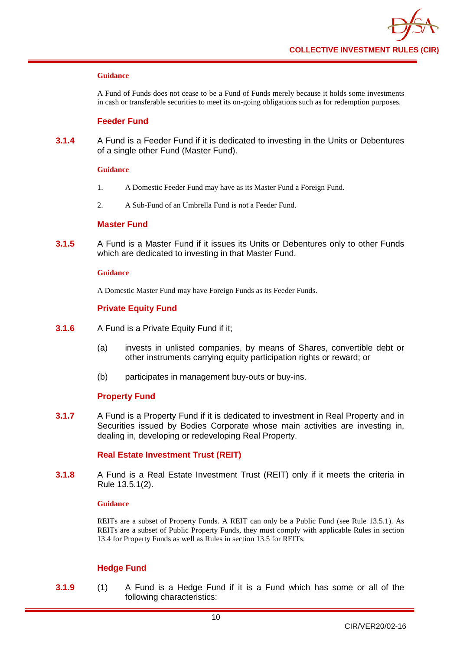A Fund of Funds does not cease to be a Fund of Funds merely because it holds some investments in cash or transferable securities to meet its on-going obligations such as for redemption purposes.

## **Feeder Fund**

**3.1.4** A Fund is a Feeder Fund if it is dedicated to investing in the Units or Debentures of a single other Fund (Master Fund).

#### **Guidance**

- 1. A Domestic Feeder Fund may have as its Master Fund a Foreign Fund.
- 2. A Sub-Fund of an Umbrella Fund is not a Feeder Fund.

## **Master Fund**

**3.1.5** A Fund is a Master Fund if it issues its Units or Debentures only to other Funds which are dedicated to investing in that Master Fund.

#### **Guidance**

A Domestic Master Fund may have Foreign Funds as its Feeder Funds.

## **Private Equity Fund**

- **3.1.6** A Fund is a Private Equity Fund if it;
	- (a) invests in unlisted companies, by means of Shares, convertible debt or other instruments carrying equity participation rights or reward; or
	- (b) participates in management buy-outs or buy-ins.

## **Property Fund**

**3.1.7** A Fund is a Property Fund if it is dedicated to investment in Real Property and in Securities issued by Bodies Corporate whose main activities are investing in, dealing in, developing or redeveloping Real Property.

## **Real Estate Investment Trust (REIT)**

**3.1.8** A Fund is a Real Estate Investment Trust (REIT) only if it meets the criteria in Rule 13.5.1(2).

## **Guidance**

REITs are a subset of Property Funds. A REIT can only be a Public Fund (see Rule 13.5.1). As REITs are a subset of Public Property Funds, they must comply with applicable Rules in section 13.4 for Property Funds as well as Rules in section 13.5 for REITs.

## **Hedge Fund**

**3.1.9** (1) A Fund is a Hedge Fund if it is a Fund which has some or all of the following characteristics: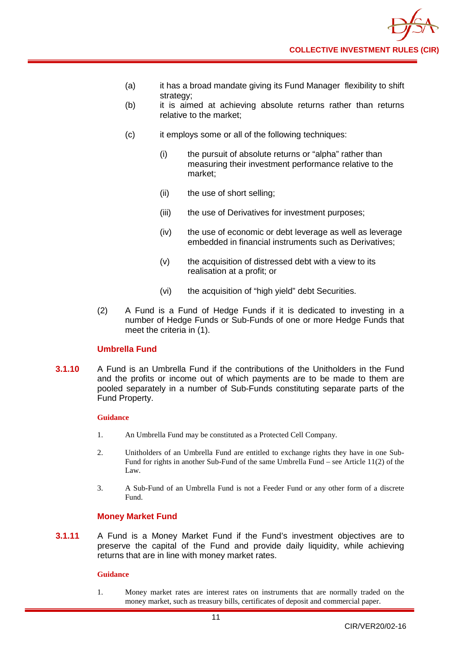

- (a) it has a broad mandate giving its Fund Manager flexibility to shift strategy;
- (b) it is aimed at achieving absolute returns rather than returns relative to the market;
- (c) it employs some or all of the following techniques:
	- (i) the pursuit of absolute returns or "alpha" rather than measuring their investment performance relative to the market;
	- (ii) the use of short selling;
	- (iii) the use of Derivatives for investment purposes;
	- (iv) the use of economic or debt leverage as well as leverage embedded in financial instruments such as Derivatives;
	- (v) the acquisition of distressed debt with a view to its realisation at a profit; or
	- (vi) the acquisition of "high yield" debt Securities.
- (2) A Fund is a Fund of Hedge Funds if it is dedicated to investing in a number of Hedge Funds or Sub-Funds of one or more Hedge Funds that meet the criteria in (1).

## **Umbrella Fund**

**3.1.10** A Fund is an Umbrella Fund if the contributions of the Unitholders in the Fund and the profits or income out of which payments are to be made to them are pooled separately in a number of Sub-Funds constituting separate parts of the Fund Property.

#### **Guidance**

- 1. An Umbrella Fund may be constituted as a Protected Cell Company.
- 2. Unitholders of an Umbrella Fund are entitled to exchange rights they have in one Sub-Fund for rights in another Sub-Fund of the same Umbrella Fund – see Article 11(2) of the Law.
- 3. A Sub-Fund of an Umbrella Fund is not a Feeder Fund or any other form of a discrete Fund.

## **Money Market Fund**

**3.1.11** A Fund is a Money Market Fund if the Fund's investment objectives are to preserve the capital of the Fund and provide daily liquidity, while achieving returns that are in line with money market rates.

11

#### **Guidance**

1. Money market rates are interest rates on instruments that are normally traded on the money market, such as treasury bills, certificates of deposit and commercial paper.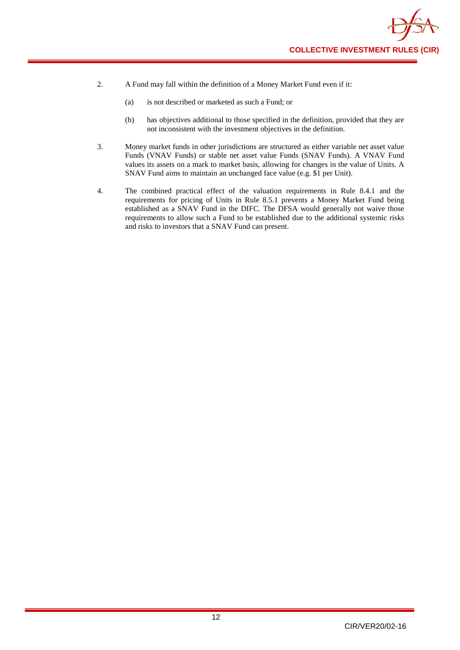

- 2. A Fund may fall within the definition of a Money Market Fund even if it:
	- (a) is not described or marketed as such a Fund; or
	- (b) has objectives additional to those specified in the definition, provided that they are not inconsistent with the investment objectives in the definition.
- 3. Money market funds in other jurisdictions are structured as either variable net asset value Funds (VNAV Funds) or stable net asset value Funds (SNAV Funds). A VNAV Fund values its assets on a mark to market basis, allowing for changes in the value of Units. A SNAV Fund aims to maintain an unchanged face value (e.g. \$1 per Unit).
- 4. The combined practical effect of the valuation requirements in Rule 8.4.1 and the requirements for pricing of Units in Rule 8.5.1 prevents a Money Market Fund being established as a SNAV Fund in the DIFC. The DFSA would generally not waive those requirements to allow such a Fund to be established due to the additional systemic risks and risks to investors that a SNAV Fund can present.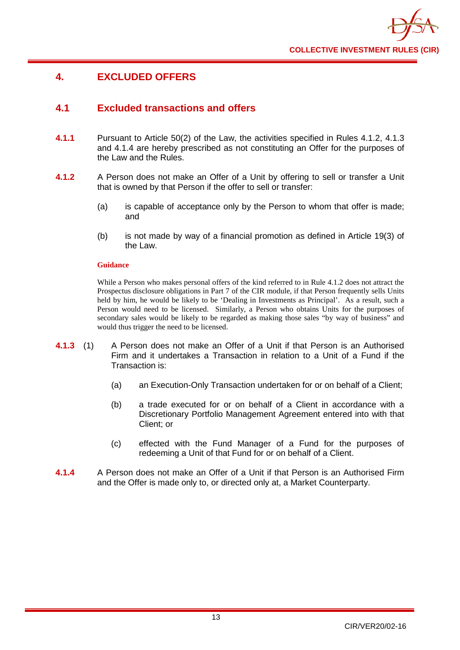

# <span id="page-17-0"></span>**4. EXCLUDED OFFERS**

# <span id="page-17-1"></span>**4.1 Excluded transactions and offers**

- **4.1.1** Pursuant to Article 50(2) of the Law, the activities specified in Rules 4.1.2, 4.1.3 and 4.1.4 are hereby prescribed as not constituting an Offer for the purposes of the Law and the Rules.
- **4.1.2** A Person does not make an Offer of a Unit by offering to sell or transfer a Unit that is owned by that Person if the offer to sell or transfer:
	- (a) is capable of acceptance only by the Person to whom that offer is made; and
	- (b) is not made by way of a financial promotion as defined in Article 19(3) of the Law.

## **Guidance**

While a Person who makes personal offers of the kind referred to in Rule 4.1.2 does not attract the Prospectus disclosure obligations in Part 7 of the CIR module, if that Person frequently sells Units held by him, he would be likely to be 'Dealing in Investments as Principal'. As a result, such a Person would need to be licensed. Similarly, a Person who obtains Units for the purposes of secondary sales would be likely to be regarded as making those sales "by way of business" and would thus trigger the need to be licensed.

- **4.1.3** (1) A Person does not make an Offer of a Unit if that Person is an Authorised Firm and it undertakes a Transaction in relation to a Unit of a Fund if the Transaction is:
	- (a) an Execution-Only Transaction undertaken for or on behalf of a Client;
	- (b) a trade executed for or on behalf of a Client in accordance with a Discretionary Portfolio Management Agreement entered into with that Client; or
	- (c) effected with the Fund Manager of a Fund for the purposes of redeeming a Unit of that Fund for or on behalf of a Client.
- **4.1.4** A Person does not make an Offer of a Unit if that Person is an Authorised Firm and the Offer is made only to, or directed only at, a Market Counterparty.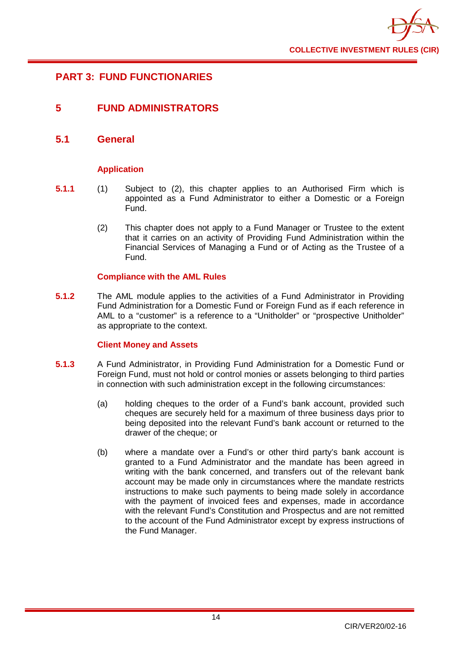

# <span id="page-18-0"></span>**PART 3: FUND FUNCTIONARIES**

# <span id="page-18-1"></span>**5 FUND ADMINISTRATORS**

## <span id="page-18-2"></span>**5.1 General**

## **Application**

- **5.1.1** (1) Subject to (2), this chapter applies to an Authorised Firm which is appointed as a Fund Administrator to either a Domestic or a Foreign Fund.
	- (2) This chapter does not apply to a Fund Manager or Trustee to the extent that it carries on an activity of Providing Fund Administration within the Financial Services of Managing a Fund or of Acting as the Trustee of a Fund.

## **Compliance with the AML Rules**

**5.1.2** The AML module applies to the activities of a Fund Administrator in Providing Fund Administration for a Domestic Fund or Foreign Fund as if each reference in AML to a "customer" is a reference to a "Unitholder" or "prospective Unitholder" as appropriate to the context.

## **Client Money and Assets**

- **5.1.3** A Fund Administrator, in Providing Fund Administration for a Domestic Fund or Foreign Fund, must not hold or control monies or assets belonging to third parties in connection with such administration except in the following circumstances:
	- (a) holding cheques to the order of a Fund's bank account, provided such cheques are securely held for a maximum of three business days prior to being deposited into the relevant Fund's bank account or returned to the drawer of the cheque; or
	- (b) where a mandate over a Fund's or other third party's bank account is granted to a Fund Administrator and the mandate has been agreed in writing with the bank concerned, and transfers out of the relevant bank account may be made only in circumstances where the mandate restricts instructions to make such payments to being made solely in accordance with the payment of invoiced fees and expenses, made in accordance with the relevant Fund's Constitution and Prospectus and are not remitted to the account of the Fund Administrator except by express instructions of the Fund Manager.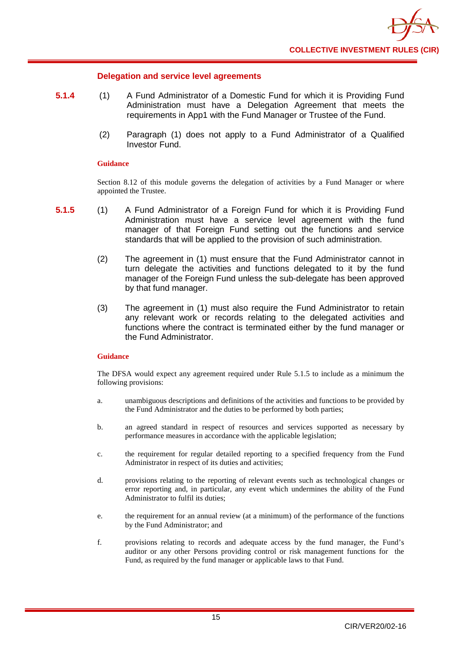## **Delegation and service level agreements**

- **5.1.4** (1) A Fund Administrator of a Domestic Fund for which it is Providing Fund Administration must have a Delegation Agreement that meets the requirements in App1 with the Fund Manager or Trustee of the Fund.
	- (2) Paragraph (1) does not apply to a Fund Administrator of a Qualified Investor Fund.

## **Guidance**

Section 8.12 of this module governs the delegation of activities by a Fund Manager or where appointed the Trustee.

- **5.1.5** (1) A Fund Administrator of a Foreign Fund for which it is Providing Fund Administration must have a service level agreement with the fund manager of that Foreign Fund setting out the functions and service standards that will be applied to the provision of such administration.
	- (2) The agreement in (1) must ensure that the Fund Administrator cannot in turn delegate the activities and functions delegated to it by the fund manager of the Foreign Fund unless the sub-delegate has been approved by that fund manager.
	- (3) The agreement in (1) must also require the Fund Administrator to retain any relevant work or records relating to the delegated activities and functions where the contract is terminated either by the fund manager or the Fund Administrator.

## **Guidance**

The DFSA would expect any agreement required under Rule 5.1.5 to include as a minimum the following provisions:

- a. unambiguous descriptions and definitions of the activities and functions to be provided by the Fund Administrator and the duties to be performed by both parties;
- b. an agreed standard in respect of resources and services supported as necessary by performance measures in accordance with the applicable legislation;
- c. the requirement for regular detailed reporting to a specified frequency from the Fund Administrator in respect of its duties and activities;
- d. provisions relating to the reporting of relevant events such as technological changes or error reporting and, in particular, any event which undermines the ability of the Fund Administrator to fulfil its duties;
- e. the requirement for an annual review (at a minimum) of the performance of the functions by the Fund Administrator; and
- f. provisions relating to records and adequate access by the fund manager, the Fund's auditor or any other Persons providing control or risk management functions for the Fund, as required by the fund manager or applicable laws to that Fund.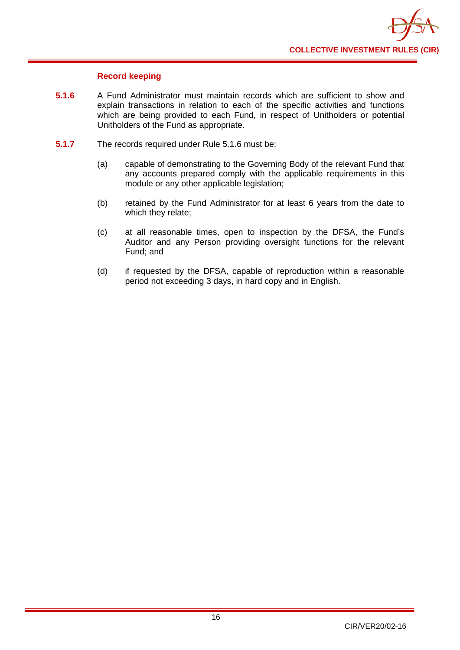

## **Record keeping**

- **5.1.6** A Fund Administrator must maintain records which are sufficient to show and explain transactions in relation to each of the specific activities and functions which are being provided to each Fund, in respect of Unitholders or potential Unitholders of the Fund as appropriate.
- **5.1.7** The records required under Rule 5.1.6 must be:
	- (a) capable of demonstrating to the Governing Body of the relevant Fund that any accounts prepared comply with the applicable requirements in this module or any other applicable legislation;
	- (b) retained by the Fund Administrator for at least 6 years from the date to which they relate;
	- (c) at all reasonable times, open to inspection by the DFSA, the Fund's Auditor and any Person providing oversight functions for the relevant Fund; and
	- (d) if requested by the DFSA, capable of reproduction within a reasonable period not exceeding 3 days, in hard copy and in English.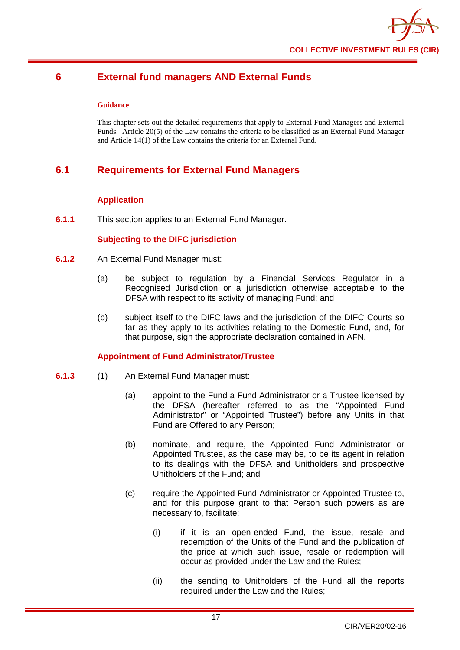

# <span id="page-21-0"></span>**6 External fund managers AND External Funds**

## **Guidance**

This chapter sets out the detailed requirements that apply to External Fund Managers and External Funds. Article 20(5) of the Law contains the criteria to be classified as an External Fund Manager and Article 14(1) of the Law contains the criteria for an External Fund.

# <span id="page-21-1"></span>**6.1 Requirements for External Fund Managers**

## **Application**

**6.1.1** This section applies to an External Fund Manager.

## **Subjecting to the DIFC jurisdiction**

- **6.1.2** An External Fund Manager must:
	- (a) be subject to regulation by a Financial Services Regulator in a Recognised Jurisdiction or a jurisdiction otherwise acceptable to the DFSA with respect to its activity of managing Fund; and
	- (b) subject itself to the DIFC laws and the jurisdiction of the DIFC Courts so far as they apply to its activities relating to the Domestic Fund, and, for that purpose, sign the appropriate declaration contained in AFN.

## **Appointment of Fund Administrator/Trustee**

- **6.1.3** (1) An External Fund Manager must:
	- (a) appoint to the Fund a Fund Administrator or a Trustee licensed by the DFSA (hereafter referred to as the "Appointed Fund Administrator" or "Appointed Trustee") before any Units in that Fund are Offered to any Person;
	- (b) nominate, and require, the Appointed Fund Administrator or Appointed Trustee, as the case may be, to be its agent in relation to its dealings with the DFSA and Unitholders and prospective Unitholders of the Fund; and
	- (c) require the Appointed Fund Administrator or Appointed Trustee to, and for this purpose grant to that Person such powers as are necessary to, facilitate:
		- (i) if it is an open-ended Fund, the issue, resale and redemption of the Units of the Fund and the publication of the price at which such issue, resale or redemption will occur as provided under the Law and the Rules;
		- (ii) the sending to Unitholders of the Fund all the reports required under the Law and the Rules;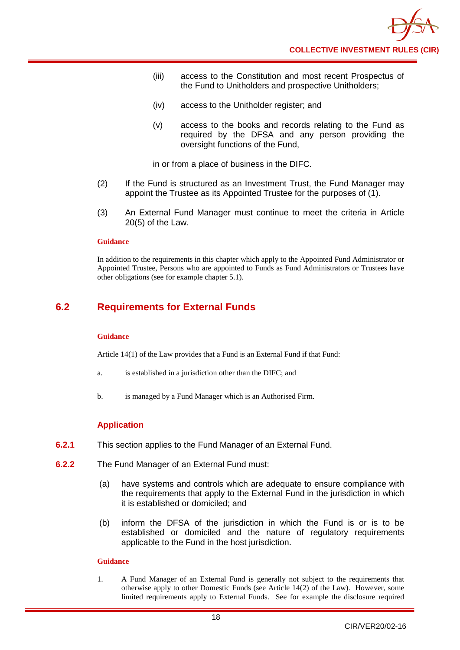- (iii) access to the Constitution and most recent Prospectus of the Fund to Unitholders and prospective Unitholders;
- (iv) access to the Unitholder register; and
- (v) access to the books and records relating to the Fund as required by the DFSA and any person providing the oversight functions of the Fund,

in or from a place of business in the DIFC.

- (2) If the Fund is structured as an Investment Trust, the Fund Manager may appoint the Trustee as its Appointed Trustee for the purposes of (1).
- (3) An External Fund Manager must continue to meet the criteria in Article 20(5) of the Law.

## **Guidance**

In addition to the requirements in this chapter which apply to the Appointed Fund Administrator or Appointed Trustee, Persons who are appointed to Funds as Fund Administrators or Trustees have other obligations (see for example chapter 5.1).

# <span id="page-22-0"></span>**6.2 Requirements for External Funds**

#### **Guidance**

Article 14(1) of the Law provides that a Fund is an External Fund if that Fund:

- a. is established in a jurisdiction other than the DIFC; and
- b. is managed by a Fund Manager which is an Authorised Firm.

## **Application**

- **6.2.1** This section applies to the Fund Manager of an External Fund.
- **6.2.2** The Fund Manager of an External Fund must:
	- (a) have systems and controls which are adequate to ensure compliance with the requirements that apply to the External Fund in the jurisdiction in which it is established or domiciled; and
	- (b) inform the DFSA of the jurisdiction in which the Fund is or is to be established or domiciled and the nature of regulatory requirements applicable to the Fund in the host jurisdiction.

## **Guidance**

1. A Fund Manager of an External Fund is generally not subject to the requirements that otherwise apply to other Domestic Funds (see Article 14(2) of the Law). However, some limited requirements apply to External Funds. See for example the disclosure required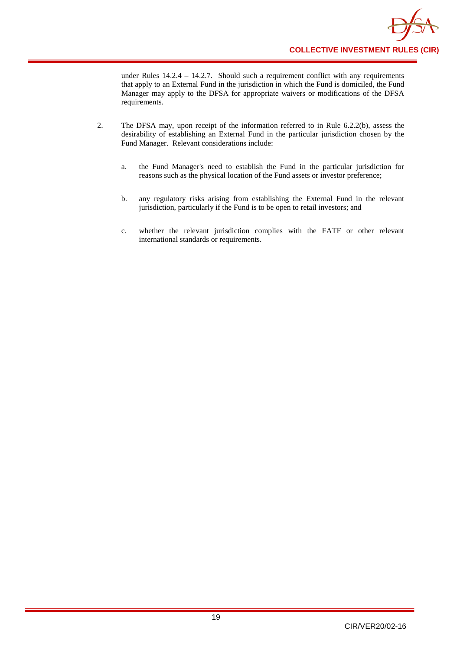

under Rules 14.2.4 – 14.2.7. Should such a requirement conflict with any requirements that apply to an External Fund in the jurisdiction in which the Fund is domiciled, the Fund Manager may apply to the DFSA for appropriate waivers or modifications of the DFSA requirements.

- 2. The DFSA may, upon receipt of the information referred to in Rule 6.2.2(b), assess the desirability of establishing an External Fund in the particular jurisdiction chosen by the Fund Manager. Relevant considerations include:
	- a. the Fund Manager's need to establish the Fund in the particular jurisdiction for reasons such as the physical location of the Fund assets or investor preference;
	- b. any regulatory risks arising from establishing the External Fund in the relevant jurisdiction, particularly if the Fund is to be open to retail investors; and
	- c. whether the relevant jurisdiction complies with the FATF or other relevant international standards or requirements.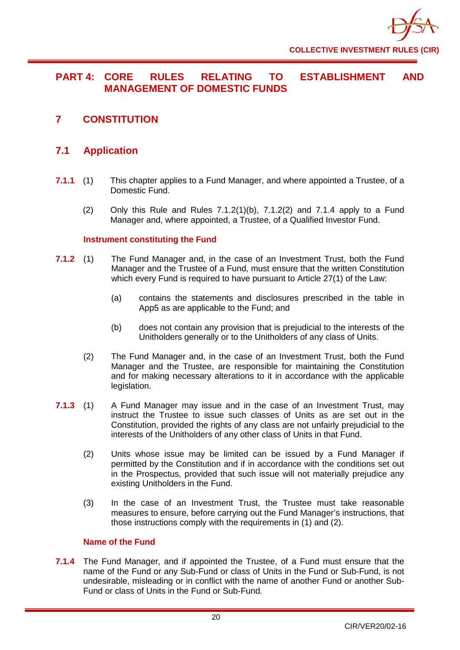

# <span id="page-24-0"></span>**PART 4: CORE RULES RELATING TO ESTABLISHMENT AND MANAGEMENT OF DOMESTIC FUNDS**

<span id="page-24-1"></span>**7 CONSTITUTION**

# <span id="page-24-2"></span>**7.1 Application**

- **7.1.1** (1) This chapter applies to a Fund Manager, and where appointed a Trustee, of a Domestic Fund.
	- (2) Only this Rule and Rules  $7.1.2(1)(b)$ ,  $7.1.2(2)$  and  $7.1.4$  apply to a Fund Manager and, where appointed, a Trustee, of a Qualified Investor Fund.

## **Instrument constituting the Fund**

- **7.1.2** (1) The Fund Manager and, in the case of an Investment Trust, both the Fund Manager and the Trustee of a Fund, must ensure that the written Constitution which every Fund is required to have pursuant to Article 27(1) of the Law:
	- (a) contains the statements and disclosures prescribed in the table in App5 as are applicable to the Fund; and
	- (b) does not contain any provision that is prejudicial to the interests of the Unitholders generally or to the Unitholders of any class of Units.
	- (2) The Fund Manager and, in the case of an Investment Trust, both the Fund Manager and the Trustee, are responsible for maintaining the Constitution and for making necessary alterations to it in accordance with the applicable legislation.
- **7.1.3** (1) A Fund Manager may issue and in the case of an Investment Trust, may instruct the Trustee to issue such classes of Units as are set out in the Constitution, provided the rights of any class are not unfairly prejudicial to the interests of the Unitholders of any other class of Units in that Fund.
	- (2) Units whose issue may be limited can be issued by a Fund Manager if permitted by the Constitution and if in accordance with the conditions set out in the Prospectus, provided that such issue will not materially prejudice any existing Unitholders in the Fund.
	- (3) In the case of an Investment Trust, the Trustee must take reasonable measures to ensure, before carrying out the Fund Manager's instructions, that those instructions comply with the requirements in (1) and (2).

## **Name of the Fund**

**7.1.4** The Fund Manager, and if appointed the Trustee, of a Fund must ensure that the name of the Fund or any Sub-Fund or class of Units in the Fund or Sub-Fund, is not undesirable, misleading or in conflict with the name of another Fund or another Sub-Fund or class of Units in the Fund or Sub-Fund.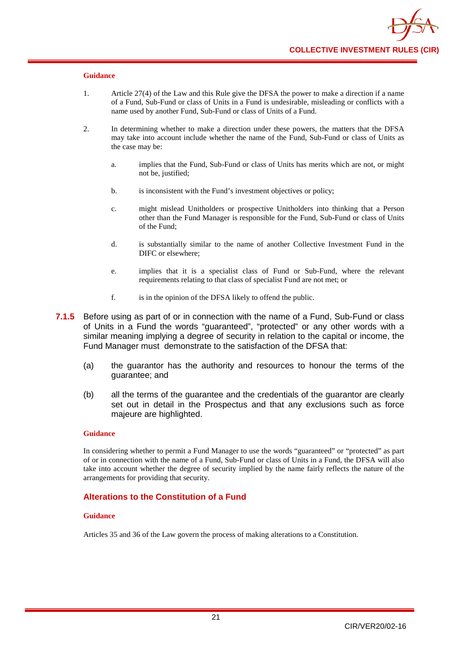- 1. Article 27(4) of the Law and this Rule give the DFSA the power to make a direction if a name of a Fund, Sub-Fund or class of Units in a Fund is undesirable, misleading or conflicts with a name used by another Fund, Sub-Fund or class of Units of a Fund.
- 2. In determining whether to make a direction under these powers, the matters that the DFSA may take into account include whether the name of the Fund, Sub-Fund or class of Units as the case may be:
	- a. implies that the Fund, Sub-Fund or class of Units has merits which are not, or might not be, justified;
	- b. is inconsistent with the Fund's investment objectives or policy;
	- c. might mislead Unitholders or prospective Unitholders into thinking that a Person other than the Fund Manager is responsible for the Fund, Sub-Fund or class of Units of the Fund;
	- d. is substantially similar to the name of another Collective Investment Fund in the DIFC or elsewhere;
	- e. implies that it is a specialist class of Fund or Sub-Fund, where the relevant requirements relating to that class of specialist Fund are not met; or
	- f. is in the opinion of the DFSA likely to offend the public.
- **7.1.5** Before using as part of or in connection with the name of a Fund, Sub-Fund or class of Units in a Fund the words "guaranteed", "protected" or any other words with a similar meaning implying a degree of security in relation to the capital or income, the Fund Manager must demonstrate to the satisfaction of the DFSA that:
	- (a) the guarantor has the authority and resources to honour the terms of the guarantee; and
	- (b) all the terms of the guarantee and the credentials of the guarantor are clearly set out in detail in the Prospectus and that any exclusions such as force majeure are highlighted.

#### **Guidance**

In considering whether to permit a Fund Manager to use the words "guaranteed" or "protected" as part of or in connection with the name of a Fund, Sub-Fund or class of Units in a Fund, the DFSA will also take into account whether the degree of security implied by the name fairly reflects the nature of the arrangements for providing that security.

## **Alterations to the Constitution of a Fund**

#### **Guidance**

Articles 35 and 36 of the Law govern the process of making alterations to a Constitution.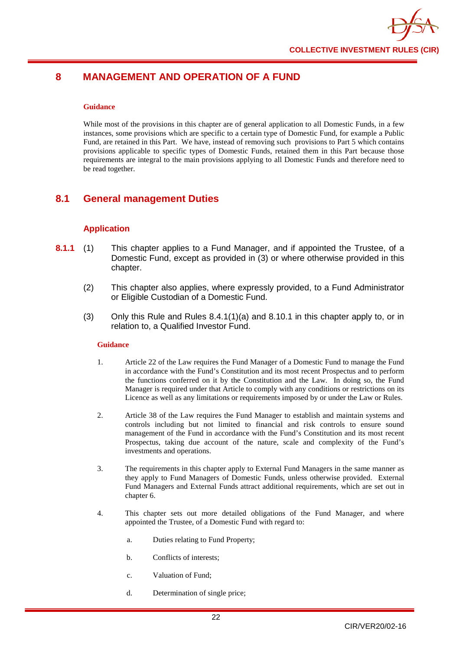# <span id="page-26-0"></span>**8 MANAGEMENT AND OPERATION OF A FUND**

#### **Guidance**

While most of the provisions in this chapter are of general application to all Domestic Funds, in a few instances, some provisions which are specific to a certain type of Domestic Fund, for example a Public Fund, are retained in this Part. We have, instead of removing such provisions to Part 5 which contains provisions applicable to specific types of Domestic Funds, retained them in this Part because those requirements are integral to the main provisions applying to all Domestic Funds and therefore need to be read together.

# <span id="page-26-1"></span>**8.1 General management Duties**

## **Application**

- **8.1.1** (1) This chapter applies to a Fund Manager, and if appointed the Trustee, of a Domestic Fund, except as provided in (3) or where otherwise provided in this chapter.
	- (2) This chapter also applies, where expressly provided, to a Fund Administrator or Eligible Custodian of a Domestic Fund.
	- (3) Only this Rule and Rules 8.4.1(1)(a) and 8.10.1 in this chapter apply to, or in relation to, a Qualified Investor Fund.

## **Guidance**

- 1. Article 22 of the Law requires the Fund Manager of a Domestic Fund to manage the Fund in accordance with the Fund's Constitution and its most recent Prospectus and to perform the functions conferred on it by the Constitution and the Law. In doing so, the Fund Manager is required under that Article to comply with any conditions or restrictions on its Licence as well as any limitations or requirements imposed by or under the Law or Rules.
- 2. Article 38 of the Law requires the Fund Manager to establish and maintain systems and controls including but not limited to financial and risk controls to ensure sound management of the Fund in accordance with the Fund's Constitution and its most recent Prospectus, taking due account of the nature, scale and complexity of the Fund's investments and operations.
- 3. The requirements in this chapter apply to External Fund Managers in the same manner as they apply to Fund Managers of Domestic Funds, unless otherwise provided. External Fund Managers and External Funds attract additional requirements, which are set out in chapter 6.
- 4. This chapter sets out more detailed obligations of the Fund Manager, and where appointed the Trustee, of a Domestic Fund with regard to:
	- a. Duties relating to Fund Property;
	- b. Conflicts of interests;
	- c. Valuation of Fund;
	- d. Determination of single price;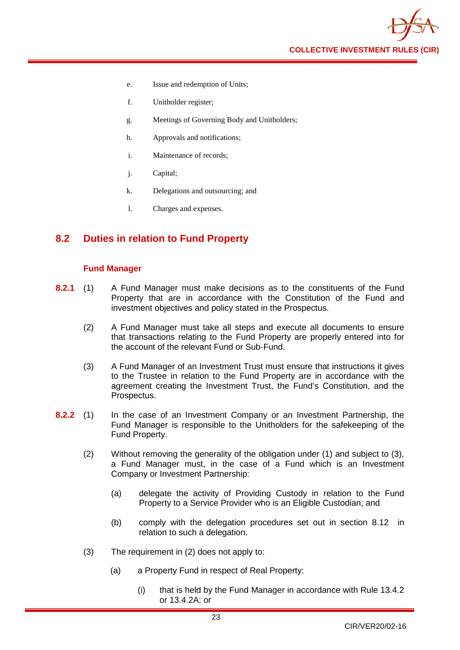

- e. Issue and redemption of Units;
- f. Unitholder register;
- g. Meetings of Governing Body and Unitholders;
- h. Approvals and notifications;
- i. Maintenance of records;
- j. Capital;
- k. Delegations and outsourcing; and
- l. Charges and expenses.

# <span id="page-27-0"></span>**8.2 Duties in relation to Fund Property**

## **Fund Manager**

- **8.2.1** (1) A Fund Manager must make decisions as to the constituents of the Fund Property that are in accordance with the Constitution of the Fund and investment objectives and policy stated in the Prospectus.
	- (2) A Fund Manager must take all steps and execute all documents to ensure that transactions relating to the Fund Property are properly entered into for the account of the relevant Fund or Sub-Fund.
	- (3) A Fund Manager of an Investment Trust must ensure that instructions it gives to the Trustee in relation to the Fund Property are in accordance with the agreement creating the Investment Trust, the Fund's Constitution, and the Prospectus.
- **8.2.2** (1) In the case of an Investment Company or an Investment Partnership, the Fund Manager is responsible to the Unitholders for the safekeeping of the Fund Property.
	- (2) Without removing the generality of the obligation under (1) and subject to (3), a Fund Manager must, in the case of a Fund which is an Investment Company or Investment Partnership:
		- (a) delegate the activity of Providing Custody in relation to the Fund Property to a Service Provider who is an Eligible Custodian; and
		- (b) comply with the delegation procedures set out in section 8.12 in relation to such a delegation.
	- (3) The requirement in (2) does not apply to:
		- (a) a Property Fund in respect of Real Property:
			- (i) that is held by the Fund Manager in accordance with Rule 13.4.2 or 13.4.2A; or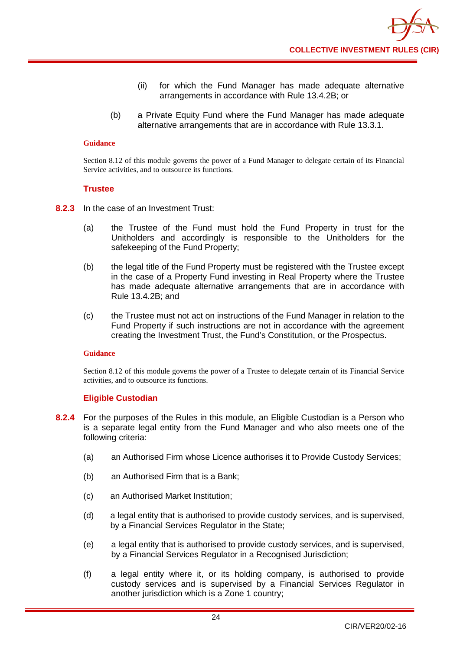- (ii) for which the Fund Manager has made adequate alternative arrangements in accordance with Rule 13.4.2B; or
- (b) a Private Equity Fund where the Fund Manager has made adequate alternative arrangements that are in accordance with Rule 13.3.1.

Section 8.12 of this module governs the power of a Fund Manager to delegate certain of its Financial Service activities, and to outsource its functions.

## **Trustee**

- **8.2.3** In the case of an Investment Trust:
	- (a) the Trustee of the Fund must hold the Fund Property in trust for the Unitholders and accordingly is responsible to the Unitholders for the safekeeping of the Fund Property;
	- (b) the legal title of the Fund Property must be registered with the Trustee except in the case of a Property Fund investing in Real Property where the Trustee has made adequate alternative arrangements that are in accordance with Rule 13.4.2B; and
	- (c) the Trustee must not act on instructions of the Fund Manager in relation to the Fund Property if such instructions are not in accordance with the agreement creating the Investment Trust, the Fund's Constitution, or the Prospectus.

#### **Guidance**

Section 8.12 of this module governs the power of a Trustee to delegate certain of its Financial Service activities, and to outsource its functions.

## **Eligible Custodian**

- **8.2.4** For the purposes of the Rules in this module, an Eligible Custodian is a Person who is a separate legal entity from the Fund Manager and who also meets one of the following criteria:
	- (a) an Authorised Firm whose Licence authorises it to Provide Custody Services;
	- (b) an Authorised Firm that is a Bank;
	- (c) an Authorised Market Institution;
	- (d) a legal entity that is authorised to provide custody services, and is supervised, by a Financial Services Regulator in the State;
	- (e) a legal entity that is authorised to provide custody services, and is supervised, by a Financial Services Regulator in a Recognised Jurisdiction;
	- (f) a legal entity where it, or its holding company, is authorised to provide custody services and is supervised by a Financial Services Regulator in another jurisdiction which is a Zone 1 country;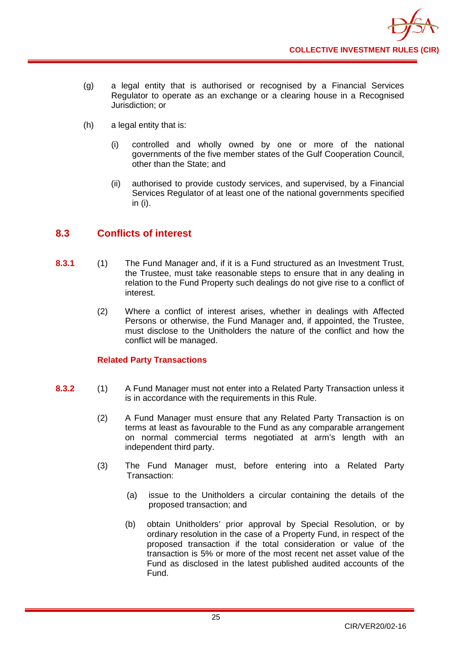

- (g) a legal entity that is authorised or recognised by a Financial Services Regulator to operate as an exchange or a clearing house in a Recognised Jurisdiction; or
- (h) a legal entity that is:
	- (i) controlled and wholly owned by one or more of the national governments of the five member states of the Gulf Cooperation Council, other than the State; and
	- (ii) authorised to provide custody services, and supervised, by a Financial Services Regulator of at least one of the national governments specified in (i).

# <span id="page-29-0"></span>**8.3 Conflicts of interest**

- **8.3.1** (1) The Fund Manager and, if it is a Fund structured as an Investment Trust, the Trustee, must take reasonable steps to ensure that in any dealing in relation to the Fund Property such dealings do not give rise to a conflict of interest.
	- (2) Where a conflict of interest arises, whether in dealings with Affected Persons or otherwise, the Fund Manager and, if appointed, the Trustee, must disclose to the Unitholders the nature of the conflict and how the conflict will be managed.

## **Related Party Transactions**

- **8.3.2** (1) A Fund Manager must not enter into a Related Party Transaction unless it is in accordance with the requirements in this Rule.
	- (2) A Fund Manager must ensure that any Related Party Transaction is on terms at least as favourable to the Fund as any comparable arrangement on normal commercial terms negotiated at arm's length with an independent third party.
	- (3) The Fund Manager must, before entering into a Related Party Transaction:
		- (a) issue to the Unitholders a circular containing the details of the proposed transaction; and
		- (b) obtain Unitholders' prior approval by Special Resolution, or by ordinary resolution in the case of a Property Fund, in respect of the proposed transaction if the total consideration or value of the transaction is 5% or more of the most recent net asset value of the Fund as disclosed in the latest published audited accounts of the Fund.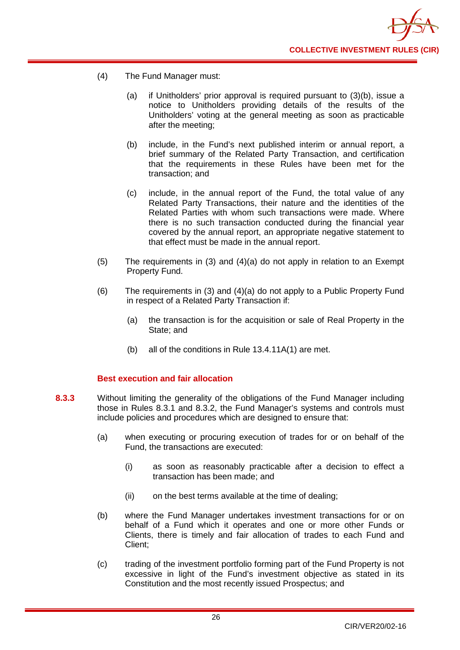

- (4) The Fund Manager must:
	- (a) if Unitholders' prior approval is required pursuant to (3)(b), issue a notice to Unitholders providing details of the results of the Unitholders' voting at the general meeting as soon as practicable after the meeting;
	- (b) include, in the Fund's next published interim or annual report, a brief summary of the Related Party Transaction, and certification that the requirements in these Rules have been met for the transaction; and
	- (c) include, in the annual report of the Fund, the total value of any Related Party Transactions, their nature and the identities of the Related Parties with whom such transactions were made. Where there is no such transaction conducted during the financial year covered by the annual report, an appropriate negative statement to that effect must be made in the annual report.
- (5) The requirements in (3) and (4)(a) do not apply in relation to an Exempt Property Fund.
- (6) The requirements in (3) and (4)(a) do not apply to a Public Property Fund in respect of a Related Party Transaction if:
	- (a) the transaction is for the acquisition or sale of Real Property in the State; and
	- (b) all of the conditions in Rule 13.4.11A(1) are met.

## **Best execution and fair allocation**

- **8.3.3** Without limiting the generality of the obligations of the Fund Manager including those in Rules 8.3.1 and 8.3.2, the Fund Manager's systems and controls must include policies and procedures which are designed to ensure that:
	- (a) when executing or procuring execution of trades for or on behalf of the Fund, the transactions are executed:
		- (i) as soon as reasonably practicable after a decision to effect a transaction has been made; and
		- (ii) on the best terms available at the time of dealing;
	- (b) where the Fund Manager undertakes investment transactions for or on behalf of a Fund which it operates and one or more other Funds or Clients, there is timely and fair allocation of trades to each Fund and Client;
	- (c) trading of the investment portfolio forming part of the Fund Property is not excessive in light of the Fund's investment objective as stated in its Constitution and the most recently issued Prospectus; and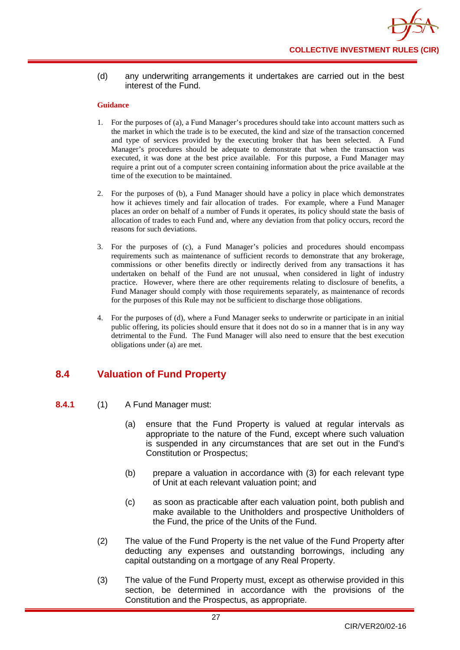## (d) any underwriting arrangements it undertakes are carried out in the best interest of the Fund.

#### **Guidance**

- 1. For the purposes of (a), a Fund Manager's procedures should take into account matters such as the market in which the trade is to be executed, the kind and size of the transaction concerned and type of services provided by the executing broker that has been selected. A Fund Manager's procedures should be adequate to demonstrate that when the transaction was executed, it was done at the best price available. For this purpose, a Fund Manager may require a print out of a computer screen containing information about the price available at the time of the execution to be maintained.
- 2. For the purposes of (b), a Fund Manager should have a policy in place which demonstrates how it achieves timely and fair allocation of trades. For example, where a Fund Manager places an order on behalf of a number of Funds it operates, its policy should state the basis of allocation of trades to each Fund and, where any deviation from that policy occurs, record the reasons for such deviations.
- 3. For the purposes of (c), a Fund Manager's policies and procedures should encompass requirements such as maintenance of sufficient records to demonstrate that any brokerage, commissions or other benefits directly or indirectly derived from any transactions it has undertaken on behalf of the Fund are not unusual, when considered in light of industry practice. However, where there are other requirements relating to disclosure of benefits, a Fund Manager should comply with those requirements separately, as maintenance of records for the purposes of this Rule may not be sufficient to discharge those obligations.
- 4. For the purposes of (d), where a Fund Manager seeks to underwrite or participate in an initial public offering, its policies should ensure that it does not do so in a manner that is in any way detrimental to the Fund. The Fund Manager will also need to ensure that the best execution obligations under (a) are met.

# <span id="page-31-0"></span>**8.4 Valuation of Fund Property**

- **8.4.1** (1) A Fund Manager must:
	- (a) ensure that the Fund Property is valued at regular intervals as appropriate to the nature of the Fund, except where such valuation is suspended in any circumstances that are set out in the Fund's Constitution or Prospectus;
	- (b) prepare a valuation in accordance with (3) for each relevant type of Unit at each relevant valuation point; and
	- (c) as soon as practicable after each valuation point, both publish and make available to the Unitholders and prospective Unitholders of the Fund, the price of the Units of the Fund.
	- (2) The value of the Fund Property is the net value of the Fund Property after deducting any expenses and outstanding borrowings, including any capital outstanding on a mortgage of any Real Property.
	- (3) The value of the Fund Property must, except as otherwise provided in this section, be determined in accordance with the provisions of the Constitution and the Prospectus, as appropriate.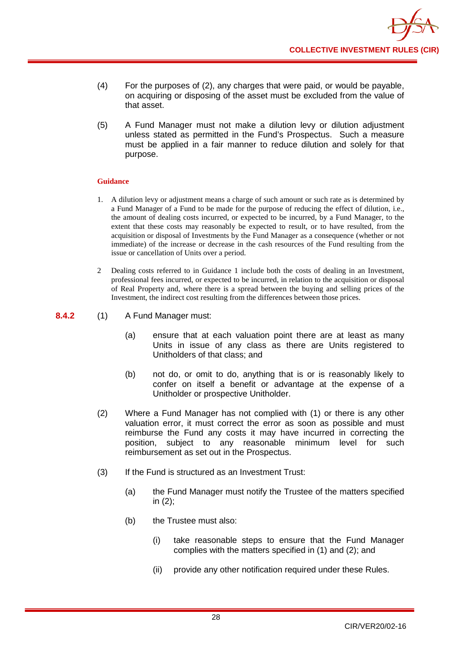- (4) For the purposes of (2), any charges that were paid, or would be payable, on acquiring or disposing of the asset must be excluded from the value of that asset.
- (5) A Fund Manager must not make a dilution levy or dilution adjustment unless stated as permitted in the Fund's Prospectus. Such a measure must be applied in a fair manner to reduce dilution and solely for that purpose.

- 1. A dilution levy or adjustment means a charge of such amount or such rate as is determined by a Fund Manager of a Fund to be made for the purpose of reducing the effect of dilution, i.e., the amount of dealing costs incurred, or expected to be incurred, by a Fund Manager, to the extent that these costs may reasonably be expected to result, or to have resulted, from the acquisition or disposal of Investments by the Fund Manager as a consequence (whether or not immediate) of the increase or decrease in the cash resources of the Fund resulting from the issue or cancellation of Units over a period.
- 2 Dealing costs referred to in Guidance 1 include both the costs of dealing in an Investment, professional fees incurred, or expected to be incurred, in relation to the acquisition or disposal of Real Property and, where there is a spread between the buying and selling prices of the Investment, the indirect cost resulting from the differences between those prices.
- **8.4.2** (1) A Fund Manager must:
	- (a) ensure that at each valuation point there are at least as many Units in issue of any class as there are Units registered to Unitholders of that class; and
	- (b) not do, or omit to do, anything that is or is reasonably likely to confer on itself a benefit or advantage at the expense of a Unitholder or prospective Unitholder.
	- (2) Where a Fund Manager has not complied with (1) or there is any other valuation error, it must correct the error as soon as possible and must reimburse the Fund any costs it may have incurred in correcting the position, subject to any reasonable minimum level for such reimbursement as set out in the Prospectus.
	- (3) If the Fund is structured as an Investment Trust:
		- (a) the Fund Manager must notify the Trustee of the matters specified in (2);
		- (b) the Trustee must also:
			- (i) take reasonable steps to ensure that the Fund Manager complies with the matters specified in (1) and (2); and
			- (ii) provide any other notification required under these Rules.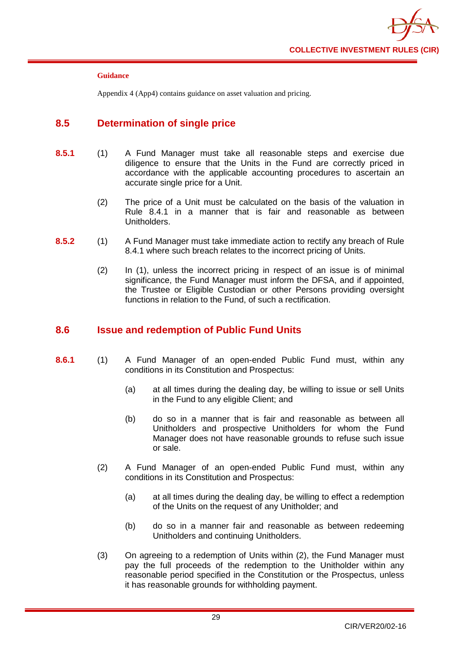

Appendix 4 (App4) contains guidance on asset valuation and pricing.

# <span id="page-33-0"></span>**8.5 Determination of single price**

- **8.5.1** (1) A Fund Manager must take all reasonable steps and exercise due diligence to ensure that the Units in the Fund are correctly priced in accordance with the applicable accounting procedures to ascertain an accurate single price for a Unit.
	- (2) The price of a Unit must be calculated on the basis of the valuation in Rule 8.4.1 in a manner that is fair and reasonable as between Unitholders.
- **8.5.2** (1) A Fund Manager must take immediate action to rectify any breach of Rule 8.4.1 where such breach relates to the incorrect pricing of Units.
	- (2) In (1), unless the incorrect pricing in respect of an issue is of minimal significance, the Fund Manager must inform the DFSA, and if appointed, the Trustee or Eligible Custodian or other Persons providing oversight functions in relation to the Fund, of such a rectification.

## <span id="page-33-1"></span>**8.6 Issue and redemption of Public Fund Units**

- **8.6.1** (1) A Fund Manager of an open-ended Public Fund must, within any conditions in its Constitution and Prospectus:
	- (a) at all times during the dealing day, be willing to issue or sell Units in the Fund to any eligible Client; and
	- (b) do so in a manner that is fair and reasonable as between all Unitholders and prospective Unitholders for whom the Fund Manager does not have reasonable grounds to refuse such issue or sale.
	- (2) A Fund Manager of an open-ended Public Fund must, within any conditions in its Constitution and Prospectus:
		- (a) at all times during the dealing day, be willing to effect a redemption of the Units on the request of any Unitholder; and
		- (b) do so in a manner fair and reasonable as between redeeming Unitholders and continuing Unitholders.
	- (3) On agreeing to a redemption of Units within (2), the Fund Manager must pay the full proceeds of the redemption to the Unitholder within any reasonable period specified in the Constitution or the Prospectus, unless it has reasonable grounds for withholding payment.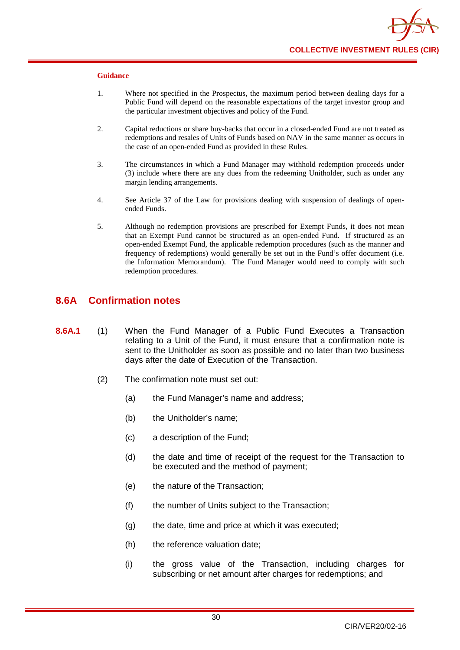- 1. Where not specified in the Prospectus, the maximum period between dealing days for a Public Fund will depend on the reasonable expectations of the target investor group and the particular investment objectives and policy of the Fund.
- 2. Capital reductions or share buy-backs that occur in a closed-ended Fund are not treated as redemptions and resales of Units of Funds based on NAV in the same manner as occurs in the case of an open-ended Fund as provided in these Rules.
- 3. The circumstances in which a Fund Manager may withhold redemption proceeds under (3) include where there are any dues from the redeeming Unitholder, such as under any margin lending arrangements.
- 4. See Article 37 of the Law for provisions dealing with suspension of dealings of openended Funds.
- 5. Although no redemption provisions are prescribed for Exempt Funds, it does not mean that an Exempt Fund cannot be structured as an open-ended Fund. If structured as an open-ended Exempt Fund, the applicable redemption procedures (such as the manner and frequency of redemptions) would generally be set out in the Fund's offer document (i.e. the Information Memorandum). The Fund Manager would need to comply with such redemption procedures.

## **8.6A Confirmation notes**

- **8.6A.1** (1) When the Fund Manager of a Public Fund Executes a Transaction relating to a Unit of the Fund, it must ensure that a confirmation note is sent to the Unitholder as soon as possible and no later than two business days after the date of Execution of the Transaction.
	- (2) The confirmation note must set out:
		- (a) the Fund Manager's name and address;
		- (b) the Unitholder's name;
		- (c) a description of the Fund;
		- (d) the date and time of receipt of the request for the Transaction to be executed and the method of payment;
		- (e) the nature of the Transaction;
		- (f) the number of Units subject to the Transaction;
		- (g) the date, time and price at which it was executed;
		- (h) the reference valuation date;
		- (i) the gross value of the Transaction, including charges for subscribing or net amount after charges for redemptions; and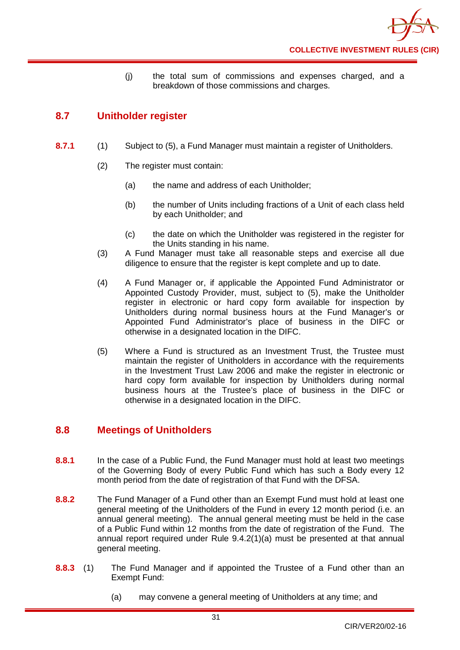(j) the total sum of commissions and expenses charged, and a breakdown of those commissions and charges.

# <span id="page-35-0"></span>**8.7 Unitholder register**

- **8.7.1** (1) Subject to (5), a Fund Manager must maintain a register of Unitholders.
	- (2) The register must contain:
		- (a) the name and address of each Unitholder;
		- (b) the number of Units including fractions of a Unit of each class held by each Unitholder; and
		- (c) the date on which the Unitholder was registered in the register for the Units standing in his name.
	- (3) A Fund Manager must take all reasonable steps and exercise all due diligence to ensure that the register is kept complete and up to date.
	- (4) A Fund Manager or, if applicable the Appointed Fund Administrator or Appointed Custody Provider, must, subject to (5), make the Unitholder register in electronic or hard copy form available for inspection by Unitholders during normal business hours at the Fund Manager's or Appointed Fund Administrator's place of business in the DIFC or otherwise in a designated location in the DIFC.
	- (5) Where a Fund is structured as an Investment Trust, the Trustee must maintain the register of Unitholders in accordance with the requirements in the Investment Trust Law 2006 and make the register in electronic or hard copy form available for inspection by Unitholders during normal business hours at the Trustee's place of business in the DIFC or otherwise in a designated location in the DIFC.

# <span id="page-35-1"></span>**8.8 Meetings of Unitholders**

- **8.8.1** In the case of a Public Fund, the Fund Manager must hold at least two meetings of the Governing Body of every Public Fund which has such a Body every 12 month period from the date of registration of that Fund with the DFSA.
- **8.8.2** The Fund Manager of a Fund other than an Exempt Fund must hold at least one general meeting of the Unitholders of the Fund in every 12 month period (i.e. an annual general meeting). The annual general meeting must be held in the case of a Public Fund within 12 months from the date of registration of the Fund. The annual report required under Rule 9.4.2(1)(a) must be presented at that annual general meeting.
- **8.8.3** (1) The Fund Manager and if appointed the Trustee of a Fund other than an Exempt Fund:
	- (a) may convene a general meeting of Unitholders at any time; and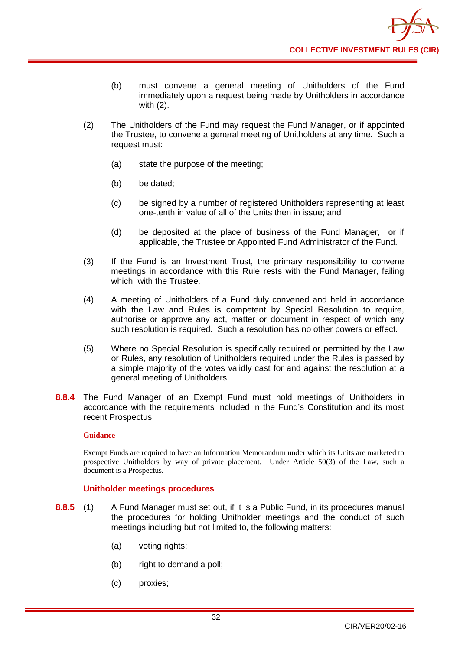- (b) must convene a general meeting of Unitholders of the Fund immediately upon a request being made by Unitholders in accordance with (2).
- (2) The Unitholders of the Fund may request the Fund Manager, or if appointed the Trustee, to convene a general meeting of Unitholders at any time. Such a request must:
	- (a) state the purpose of the meeting;
	- (b) be dated;
	- (c) be signed by a number of registered Unitholders representing at least one-tenth in value of all of the Units then in issue; and
	- (d) be deposited at the place of business of the Fund Manager, or if applicable, the Trustee or Appointed Fund Administrator of the Fund.
- (3) If the Fund is an Investment Trust, the primary responsibility to convene meetings in accordance with this Rule rests with the Fund Manager, failing which, with the Trustee.
- (4) A meeting of Unitholders of a Fund duly convened and held in accordance with the Law and Rules is competent by Special Resolution to require, authorise or approve any act, matter or document in respect of which any such resolution is required. Such a resolution has no other powers or effect.
- (5) Where no Special Resolution is specifically required or permitted by the Law or Rules, any resolution of Unitholders required under the Rules is passed by a simple majority of the votes validly cast for and against the resolution at a general meeting of Unitholders.
- **8.8.4** The Fund Manager of an Exempt Fund must hold meetings of Unitholders in accordance with the requirements included in the Fund's Constitution and its most recent Prospectus.

#### **Guidance**

Exempt Funds are required to have an Information Memorandum under which its Units are marketed to prospective Unitholders by way of private placement. Under Article 50(3) of the Law, such a document is a Prospectus.

### **Unitholder meetings procedures**

- **8.8.5** (1) A Fund Manager must set out, if it is a Public Fund, in its procedures manual the procedures for holding Unitholder meetings and the conduct of such meetings including but not limited to, the following matters:
	- (a) voting rights;
	- (b) right to demand a poll;
	- (c) proxies;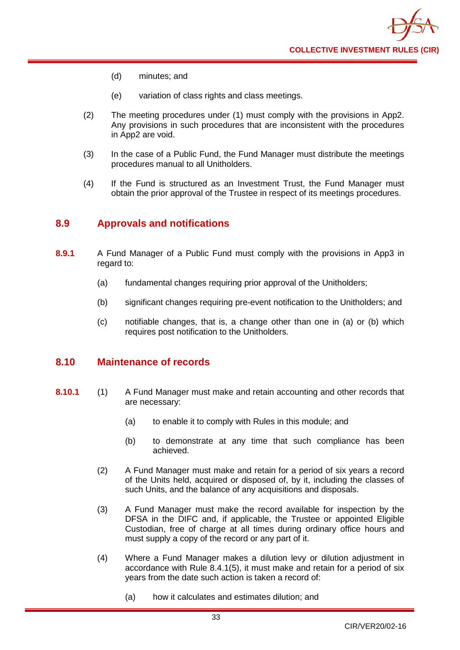

- (d) minutes; and
- (e) variation of class rights and class meetings.
- (2) The meeting procedures under (1) must comply with the provisions in App2. Any provisions in such procedures that are inconsistent with the procedures in App2 are void.
- (3) In the case of a Public Fund, the Fund Manager must distribute the meetings procedures manual to all Unitholders.
- (4) If the Fund is structured as an Investment Trust, the Fund Manager must obtain the prior approval of the Trustee in respect of its meetings procedures.

# **8.9 Approvals and notifications**

- **8.9.1** A Fund Manager of a Public Fund must comply with the provisions in App3 in regard to:
	- (a) fundamental changes requiring prior approval of the Unitholders;
	- (b) significant changes requiring pre-event notification to the Unitholders; and
	- (c) notifiable changes, that is, a change other than one in (a) or (b) which requires post notification to the Unitholders.

# **8.10 Maintenance of records**

- **8.10.1** (1) A Fund Manager must make and retain accounting and other records that are necessary:
	- (a) to enable it to comply with Rules in this module; and
	- (b) to demonstrate at any time that such compliance has been achieved.
	- (2) A Fund Manager must make and retain for a period of six years a record of the Units held, acquired or disposed of, by it, including the classes of such Units, and the balance of any acquisitions and disposals.
	- (3) A Fund Manager must make the record available for inspection by the DFSA in the DIFC and, if applicable, the Trustee or appointed Eligible Custodian, free of charge at all times during ordinary office hours and must supply a copy of the record or any part of it.
	- (4) Where a Fund Manager makes a dilution levy or dilution adjustment in accordance with Rule 8.4.1(5), it must make and retain for a period of six years from the date such action is taken a record of:
		- (a) how it calculates and estimates dilution; and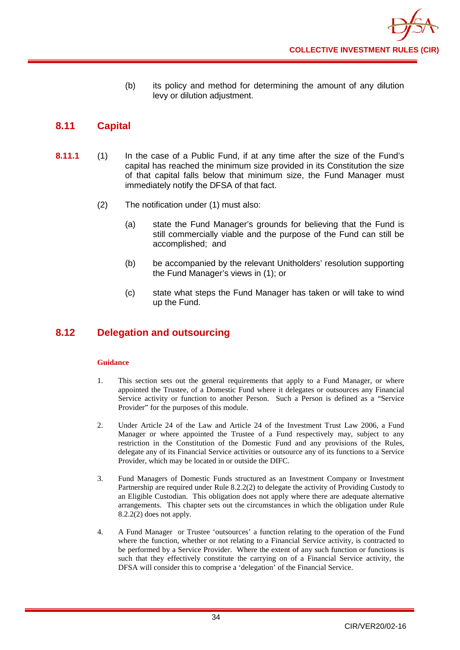(b) its policy and method for determining the amount of any dilution levy or dilution adjustment.

# **8.11 Capital**

- **8.11.1** (1) In the case of a Public Fund, if at any time after the size of the Fund's capital has reached the minimum size provided in its Constitution the size of that capital falls below that minimum size, the Fund Manager must immediately notify the DFSA of that fact.
	- (2) The notification under (1) must also:
		- (a) state the Fund Manager's grounds for believing that the Fund is still commercially viable and the purpose of the Fund can still be accomplished; and
		- (b) be accompanied by the relevant Unitholders' resolution supporting the Fund Manager's views in (1); or
		- (c) state what steps the Fund Manager has taken or will take to wind up the Fund.

# **8.12 Delegation and outsourcing**

- 1. This section sets out the general requirements that apply to a Fund Manager, or where appointed the Trustee, of a Domestic Fund where it delegates or outsources any Financial Service activity or function to another Person. Such a Person is defined as a "Service Provider" for the purposes of this module.
- 2. Under Article 24 of the Law and Article 24 of the Investment Trust Law 2006, a Fund Manager or where appointed the Trustee of a Fund respectively may, subject to any restriction in the Constitution of the Domestic Fund and any provisions of the Rules, delegate any of its Financial Service activities or outsource any of its functions to a Service Provider, which may be located in or outside the DIFC.
- 3. Fund Managers of Domestic Funds structured as an Investment Company or Investment Partnership are required under Rule 8.2.2(2) to delegate the activity of Providing Custody to an Eligible Custodian. This obligation does not apply where there are adequate alternative arrangements. This chapter sets out the circumstances in which the obligation under Rule 8.2.2(2) does not apply.
- 4. A Fund Manager or Trustee 'outsources' a function relating to the operation of the Fund where the function, whether or not relating to a Financial Service activity, is contracted to be performed by a Service Provider. Where the extent of any such function or functions is such that they effectively constitute the carrying on of a Financial Service activity, the DFSA will consider this to comprise a 'delegation' of the Financial Service.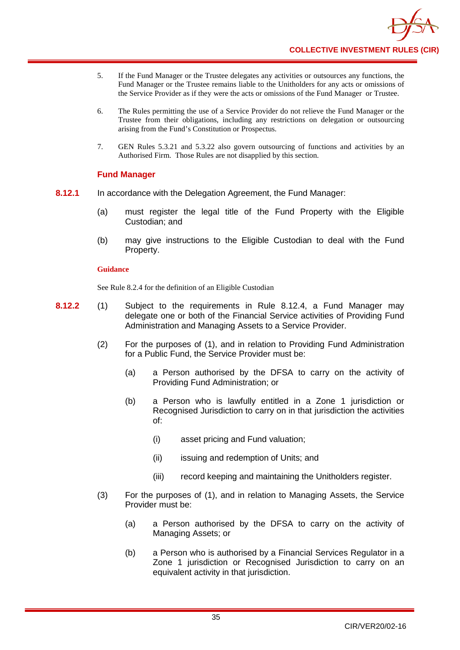- 5. If the Fund Manager or the Trustee delegates any activities or outsources any functions, the Fund Manager or the Trustee remains liable to the Unitholders for any acts or omissions of the Service Provider as if they were the acts or omissions of the Fund Manager or Trustee.
- 6. The Rules permitting the use of a Service Provider do not relieve the Fund Manager or the Trustee from their obligations, including any restrictions on delegation or outsourcing arising from the Fund's Constitution or Prospectus.
- 7. GEN Rules 5.3.21 and 5.3.22 also govern outsourcing of functions and activities by an Authorised Firm. Those Rules are not disapplied by this section.

### **Fund Manager**

- **8.12.1** In accordance with the Delegation Agreement, the Fund Manager:
	- (a) must register the legal title of the Fund Property with the Eligible Custodian; and
	- (b) may give instructions to the Eligible Custodian to deal with the Fund Property.

### **Guidance**

See Rule 8.2.4 for the definition of an Eligible Custodian

- **8.12.2** (1) Subject to the requirements in Rule 8.12.4, a Fund Manager may delegate one or both of the Financial Service activities of Providing Fund Administration and Managing Assets to a Service Provider.
	- (2) For the purposes of (1), and in relation to Providing Fund Administration for a Public Fund, the Service Provider must be:
		- (a) a Person authorised by the DFSA to carry on the activity of Providing Fund Administration; or
		- (b) a Person who is lawfully entitled in a Zone 1 jurisdiction or Recognised Jurisdiction to carry on in that jurisdiction the activities of:
			- (i) asset pricing and Fund valuation;
			- (ii) issuing and redemption of Units; and
			- (iii) record keeping and maintaining the Unitholders register.
	- (3) For the purposes of (1), and in relation to Managing Assets, the Service Provider must be:
		- (a) a Person authorised by the DFSA to carry on the activity of Managing Assets; or
		- (b) a Person who is authorised by a Financial Services Regulator in a Zone 1 jurisdiction or Recognised Jurisdiction to carry on an equivalent activity in that jurisdiction.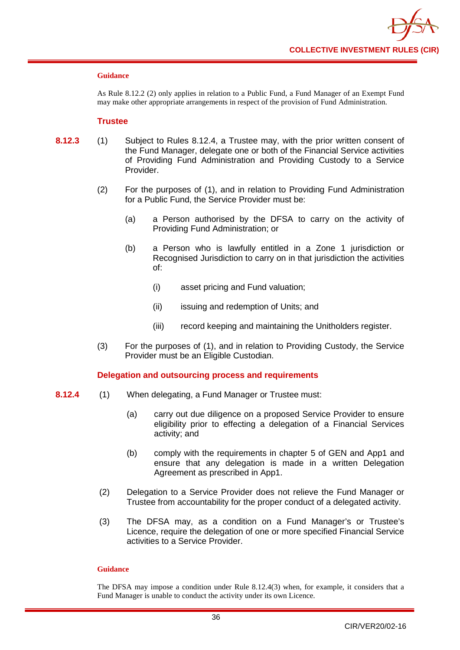

#### **Guidance**

As Rule 8.12.2 (2) only applies in relation to a Public Fund, a Fund Manager of an Exempt Fund may make other appropriate arrangements in respect of the provision of Fund Administration.

#### **Trustee**

- **8.12.3** (1) Subject to Rules 8.12.4, a Trustee may, with the prior written consent of the Fund Manager, delegate one or both of the Financial Service activities of Providing Fund Administration and Providing Custody to a Service Provider.
	- (2) For the purposes of (1), and in relation to Providing Fund Administration for a Public Fund, the Service Provider must be:
		- (a) a Person authorised by the DFSA to carry on the activity of Providing Fund Administration; or
		- (b) a Person who is lawfully entitled in a Zone 1 jurisdiction or Recognised Jurisdiction to carry on in that jurisdiction the activities of:
			- (i) asset pricing and Fund valuation;
			- (ii) issuing and redemption of Units; and
			- (iii) record keeping and maintaining the Unitholders register.
	- (3) For the purposes of (1), and in relation to Providing Custody, the Service Provider must be an Eligible Custodian.

### **Delegation and outsourcing process and requirements**

- **8.12.4** (1) When delegating, a Fund Manager or Trustee must:
	- (a) carry out due diligence on a proposed Service Provider to ensure eligibility prior to effecting a delegation of a Financial Services activity; and
	- (b) comply with the requirements in chapter 5 of GEN and App1 and ensure that any delegation is made in a written Delegation Agreement as prescribed in App1.
	- (2) Delegation to a Service Provider does not relieve the Fund Manager or Trustee from accountability for the proper conduct of a delegated activity.
	- (3) The DFSA may, as a condition on a Fund Manager's or Trustee's Licence, require the delegation of one or more specified Financial Service activities to a Service Provider.

#### **Guidance**

The DFSA may impose a condition under Rule 8.12.4(3) when, for example, it considers that a Fund Manager is unable to conduct the activity under its own Licence.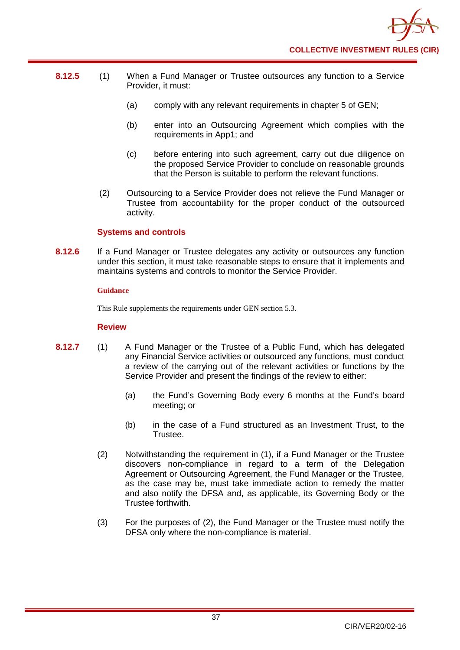

- **8.12.5** (1) When a Fund Manager or Trustee outsources any function to a Service Provider, it must:
	- (a) comply with any relevant requirements in chapter 5 of GEN;
	- (b) enter into an Outsourcing Agreement which complies with the requirements in App1; and
	- (c) before entering into such agreement, carry out due diligence on the proposed Service Provider to conclude on reasonable grounds that the Person is suitable to perform the relevant functions.
	- (2) Outsourcing to a Service Provider does not relieve the Fund Manager or Trustee from accountability for the proper conduct of the outsourced activity.

### **Systems and controls**

**8.12.6** If a Fund Manager or Trustee delegates any activity or outsources any function under this section, it must take reasonable steps to ensure that it implements and maintains systems and controls to monitor the Service Provider.

### **Guidance**

This Rule supplements the requirements under GEN section 5.3.

### **Review**

- **8.12.7** (1) A Fund Manager or the Trustee of a Public Fund, which has delegated any Financial Service activities or outsourced any functions, must conduct a review of the carrying out of the relevant activities or functions by the Service Provider and present the findings of the review to either:
	- (a) the Fund's Governing Body every 6 months at the Fund's board meeting; or
	- (b) in the case of a Fund structured as an Investment Trust, to the Trustee.
	- (2) Notwithstanding the requirement in (1), if a Fund Manager or the Trustee discovers non-compliance in regard to a term of the Delegation Agreement or Outsourcing Agreement, the Fund Manager or the Trustee, as the case may be, must take immediate action to remedy the matter and also notify the DFSA and, as applicable, its Governing Body or the Trustee forthwith.
	- (3) For the purposes of (2), the Fund Manager or the Trustee must notify the DFSA only where the non-compliance is material.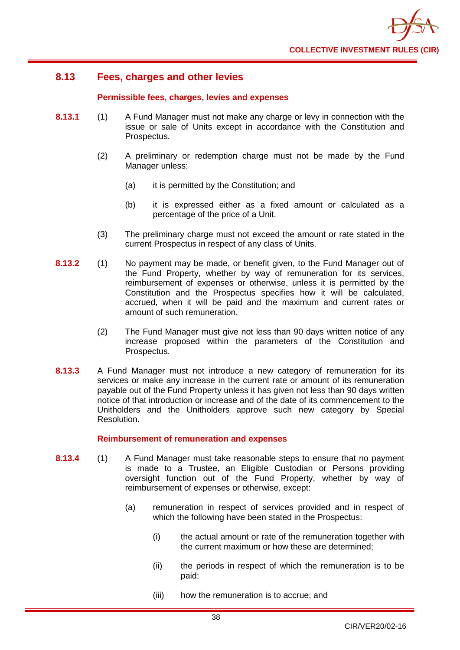

# **8.13 Fees, charges and other levies**

### **Permissible fees, charges, levies and expenses**

- **8.13.1** (1) A Fund Manager must not make any charge or levy in connection with the [issue](http://fsahandbook.info/FSA/glossary-html/handbook/Glossary/I?definition=G625) or [sale](http://fsahandbook.info/FSA/glossary-html/handbook/Glossary/S?definition=G1040) of [Units](http://fsahandbook.info/FSA/glossary-html/handbook/Glossary/U?definition=G1230) except in accordance with the Constitution and Prospectus.
	- (2) A [preliminary or redemption charge](http://fsahandbook.info/FSA/glossary-html/handbook/Glossary/P?definition=G897) must not be made by the Fund Manager unless:
		- (a) it is permitted by the Constitution; and
		- (b) it is expressed either as a fixed amount or calculated as a percentage of the [price](http://fsahandbook.info/FSA/glossary-html/handbook/Glossary/P?definition=G904) of a Unit.
	- (3) The [preliminary charge](http://fsahandbook.info/FSA/glossary-html/handbook/Glossary/P?definition=G897) must not exceed the amount or rate stated in the current Prospectus in respect of any [class](http://fsahandbook.info/FSA/glossary-html/handbook/Glossary/C?definition=G152) of Units.
- **8.13.2** (1) No payment may be made, or benefit given, to the Fund Manager out of the Fund Property, whether by way of [remuneration](http://fsahandbook.info/FSA/glossary-html/handbook/Glossary/R?definition=G1013) for its services, reimbursement of expenses or otherwise, unless it is permitted by the Constitution and the [Prospectus](http://fsahandbook.info/FSA/glossary-html/handbook/Glossary/P?definition=G924) specifies how it will be calculated, accrued, when it will be paid and the maximum and current rates or amount of such remuneration.
	- (2) The Fund Manager must give not less than 90 days written notice of any increase proposed within the parameters of the Constitution and Prospectus.
- **8.13.3** A Fund Manager must not introduce a new category of [remuneration](http://fsahandbook.info/FSA/glossary-html/handbook/Glossary/R?definition=G1013) for its services or make any increase in the current rate or amount of its [remuneration](http://fsahandbook.info/FSA/glossary-html/handbook/Glossary/R?definition=G1013) payable out of the [Fund Property](http://fsahandbook.info/FSA/glossary-html/handbook/Glossary/S?definition=G1049) unless it has given not less than 90 days written notice of that introduction or increase and of the date of its commencement to the Unitholders and the Unitholders approve such new category by Special Resolution.

### **Reimbursement of remuneration and expenses**

- **8.13.4** (1) A Fund Manager must take reasonable steps to ensure that no payment is made to a Trustee, an Eligible Custodian or Persons providing oversight function out of the [Fund Property,](http://fsahandbook.info/FSA/glossary-html/handbook/Glossary/S?definition=G1049) whether by way of reimbursement of expenses or otherwise, except:
	- (a) [remuneration](http://fsahandbook.info/FSA/glossary-html/handbook/Glossary/R?definition=G1013) in respect of services provided and in respect of which the following have been stated in the [Prospectus:](http://fsahandbook.info/FSA/glossary-html/handbook/Glossary/P?definition=G924)
		- (i) the actual amount or rate of the [remuneration](http://fsahandbook.info/FSA/glossary-html/handbook/Glossary/R?definition=G1013) together with the current maximum or how these are determined;
		- (ii) the periods in respect of which the [remuneration](http://fsahandbook.info/FSA/glossary-html/handbook/Glossary/R?definition=G1013) is to be paid;
		- (iii) how the [remuneration](http://fsahandbook.info/FSA/glossary-html/handbook/Glossary/R?definition=G1013) is to accrue; and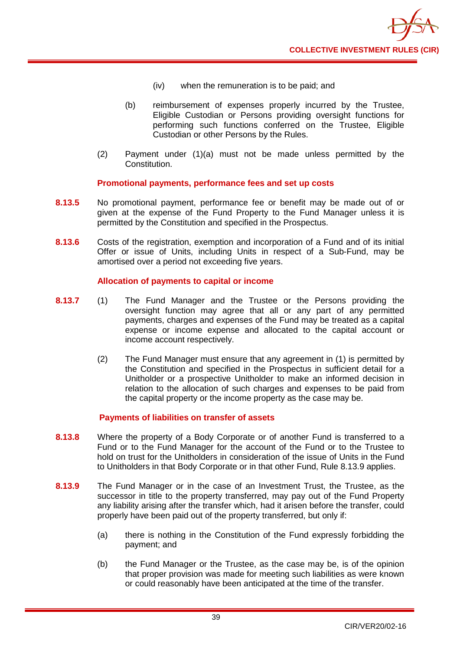

- (iv) when the [remuneration](http://fsahandbook.info/FSA/glossary-html/handbook/Glossary/R?definition=G1013) is to be paid; and
- (b) reimbursement of expenses properly incurred by the Trustee, Eligible Custodian or Persons providing oversight functions for performing such functions conferred on the Trustee, [Eligible](http://fsahandbook.info/FSA/glossary-html/handbook/Glossary/T?definition=G1195)  [Custodian](http://fsahandbook.info/FSA/glossary-html/handbook/Glossary/T?definition=G1195) or other Persons by the [Rules.](http://fsahandbook.info/FSA/glossary-html/handbook/Glossary/R?definition=G1036)
- (2) Payment under (1)(a) must not be made unless permitted by the Constitution.

### **Promotional payments, performance fees and set up costs**

- **8.13.5** No promotional payment, performance fee or benefit may be made out of or given at the expense of the [Fund Property](http://fsahandbook.info/FSA/glossary-html/handbook/Glossary/S?definition=G1049) to the Fund Manager unless it is permitted by the Constitution and specified in the Prospectus.
- **8.13.6** Costs of the registration, exemption and incorporation of a Fund and of its initial Offer or [issue](http://fsahandbook.info/FSA/glossary-html/handbook/Glossary/I?definition=G625) of [Units,](http://fsahandbook.info/FSA/glossary-html/handbook/Glossary/S?definition=G1078) including Units in respect of a [Sub-Fund,](http://fsahandbook.info/FSA/glossary-html/handbook/Glossary/S?definition=G1140) may be amortised over a period not exceeding five years.

### **Allocation of payments to capital or income**

- **8.13.7** (1) The Fund Manager and the Trustee or the Persons providing the oversight function may agree that all or any part of any permitted payments, charges and expenses of the Fund may be treated as a capital expense or income expense and allocated to the [capital account](http://fsahandbook.info/FSA/glossary-html/handbook/Glossary/I?definition=G519) or income [account](http://fsahandbook.info/FSA/glossary-html/handbook/Glossary/C?definition=G128) respectively.
	- (2) The Fund Manager must ensure that any agreement in (1) is permitted by the Constitution and specified in the Prospectus in sufficient detail for a Unitholder or a prospective Unitholder to make an informed decision in relation to the allocation of such charges and expenses to be paid from the capital property or the income property as the case may be.

### **Payments of liabilities on transfer of assets**

- **8.13.8** Where the property of a [Body Corporate](http://fsahandbook.info/FSA/glossary-html/handbook/Glossary/B?definition=G111) or of another [Fund i](http://fsahandbook.info/FSA/glossary-html/handbook/Glossary/C?definition=G178)s transferred to a Fund or to the Fund Manager for the account of the Fund or to the Trustee to hold on trust for the Unitholders in consideration of the [issue](http://fsahandbook.info/FSA/glossary-html/handbook/Glossary/I?definition=G625) of [Units](http://fsahandbook.info/FSA/glossary-html/handbook/Glossary/U?definition=G1230) in the [Fund](http://fsahandbook.info/FSA/glossary-html/handbook/Glossary/A?definition=G86) to Unitholders in that [Body](http://fsahandbook.info/FSA/glossary-html/handbook/Glossary/B?definition=G111) Corporate or in that other Fund, Rule 8.13.9 applies.
- **8.13.9** The Fund Manager or in the case of an Investment Trust, the Trustee, as the successor in title to the property transferred, may pay out of the [Fund Property](http://fsahandbook.info/FSA/glossary-html/handbook/Glossary/S?definition=G1049) any liability arising after the transfer which, had it arisen before the transfer, could properly have been paid out of the property transferred, but only if:
	- (a) there is nothing in the [Constitution of the Fund e](http://fsahandbook.info/FSA/glossary-html/handbook/Glossary/I?definition=G556)xpressly forbidding the payment; and
	- (b) the Fund Manager or the Trustee, as the case may be, is of the opinion that proper provision was made for meeting such liabilities as were known or could reasonably have been anticipated at the time of the transfer.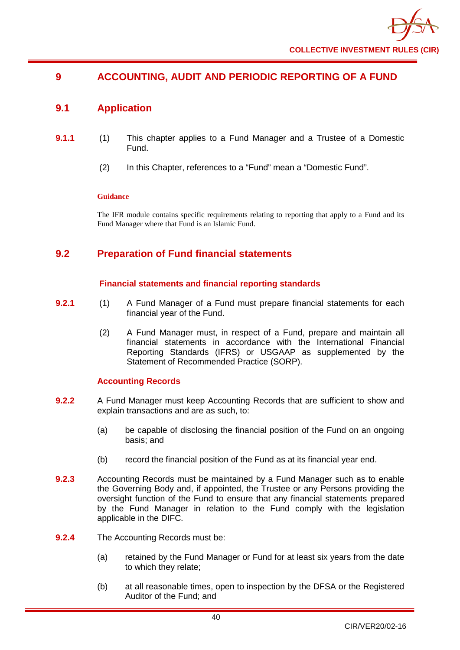# **9 ACCOUNTING, AUDIT AND PERIODIC REPORTING OF A FUND**

# **9.1 Application**

- **9.1.1** (1) This chapter applies to a Fund Manager and a Trustee of a Domestic Fund.
	- (2) In this Chapter, references to a "Fund" mean a "Domestic Fund".

### **Guidance**

The IFR module contains specific requirements relating to reporting that apply to a Fund and its Fund Manager where that Fund is an Islamic Fund.

# **9.2 Preparation of Fund financial statements**

### **Financial statements and financial reporting standards**

- **9.2.1** (1) A Fund Manager of a Fund must prepare financial statements for each financial year of the Fund.
	- (2) A Fund Manager must, in respect of a Fund, prepare and maintain all financial statements in accordance with the International Financial Reporting Standards (IFRS) or USGAAP as supplemented by the Statement of Recommended Practice (SORP).

### **Accounting Records**

- **9.2.2** A Fund Manager must keep Accounting Records that are sufficient to show and explain transactions and are as such, to:
	- (a) be capable of disclosing the financial position of the Fund on an ongoing basis; and
	- (b) record the financial position of the Fund as at its financial year end.
- **9.2.3** Accounting Records must be maintained by a Fund Manager such as to enable the Governing Body and, if appointed, the Trustee or any Persons providing the oversight function of the Fund to ensure that any financial statements prepared by the Fund Manager in relation to the Fund comply with the legislation applicable in the DIFC.
- **9.2.4** The Accounting Records must be:
	- (a) retained by the Fund Manager or Fund for at least six years from the date to which they relate;
	- (b) at all reasonable times, open to inspection by the DFSA or the Registered Auditor of the Fund; and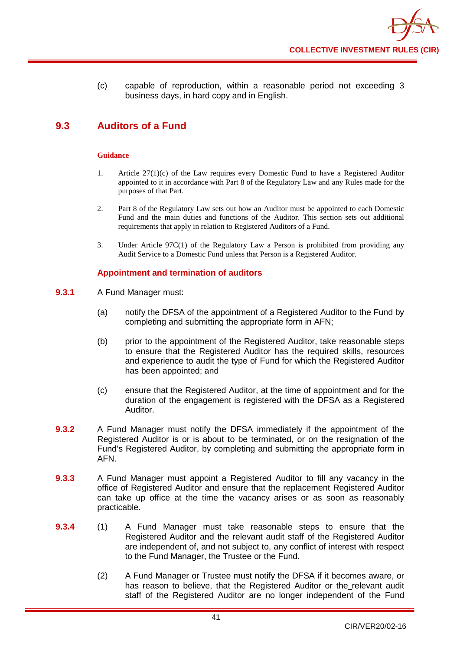(c) capable of reproduction, within a reasonable period not exceeding 3 business days, in hard copy and in English.

# **9.3 Auditors of a Fund**

#### **Guidance**

- 1. Article 27(1)(c) of the Law requires every Domestic Fund to have a Registered Auditor appointed to it in accordance with Part 8 of the Regulatory Law and any Rules made for the purposes of that Part.
- 2. Part 8 of the Regulatory Law sets out how an Auditor must be appointed to each Domestic Fund and the main duties and functions of the Auditor. This section sets out additional requirements that apply in relation to Registered Auditors of a Fund.
- 3. Under Article 97C(1) of the Regulatory Law a Person is prohibited from providing any Audit Service to a Domestic Fund unless that Person is a Registered Auditor.

### **Appointment and termination of auditors**

- **9.3.1** A Fund Manager must:
	- (a) notify the DFSA of the appointment of a Registered Auditor to the Fund by completing and submitting the appropriate form in AFN;
	- (b) prior to the appointment of the Registered Auditor, take reasonable steps to ensure that the Registered Auditor has the required skills, resources and experience to audit the type of Fund for which the Registered Auditor has been appointed; and
	- (c) ensure that the Registered Auditor, at the time of appointment and for the duration of the engagement is registered with the DFSA as a Registered Auditor.
- **9.3.2** A Fund Manager must notify the DFSA immediately if the appointment of the Registered Auditor is or is about to be terminated, or on the resignation of the Fund's Registered Auditor, by completing and submitting the appropriate form in AFN.
- **9.3.3** A Fund Manager must appoint a Registered Auditor to fill any vacancy in the office of Registered Auditor and ensure that the replacement Registered Auditor can take up office at the time the vacancy arises or as soon as reasonably practicable.
- **9.3.4** (1) A Fund Manager must take reasonable steps to ensure that the Registered Auditor and the relevant audit staff of the Registered Auditor are independent of, and not subject to, any conflict of interest with respect to the Fund Manager, the Trustee or the Fund.
	- (2) A Fund Manager or Trustee must notify the DFSA if it becomes aware, or has reason to believe, that the Registered Auditor or the relevant audit staff of the Registered Auditor are no longer independent of the Fund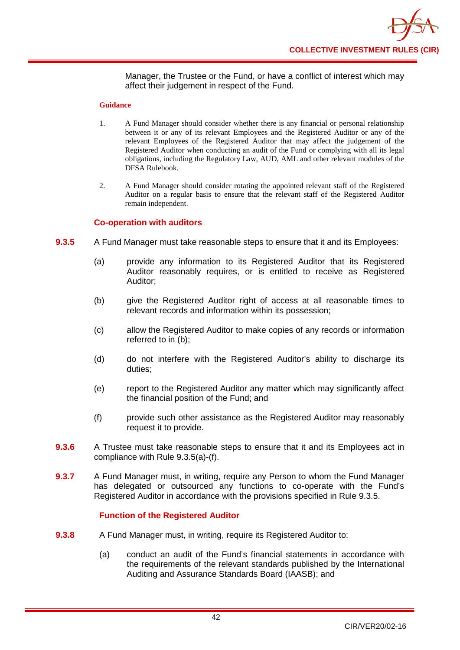Manager, the Trustee or the Fund, or have a conflict of interest which may affect their judgement in respect of the Fund.

#### **Guidance**

- 1. A Fund Manager should consider whether there is any financial or personal relationship between it or any of its relevant Employees and the Registered Auditor or any of the relevant Employees of the Registered Auditor that may affect the judgement of the Registered Auditor when conducting an audit of the Fund or complying with all its legal obligations, including the Regulatory Law, AUD, AML and other relevant modules of the DFSA Rulebook.
- 2. A Fund Manager should consider rotating the appointed relevant staff of the Registered Auditor on a regular basis to ensure that the relevant staff of the Registered Auditor remain independent.

### **Co-operation with auditors**

- **9.3.5** A Fund Manager must take reasonable steps to ensure that it and its Employees:
	- (a) provide any information to its Registered Auditor that its Registered Auditor reasonably requires, or is entitled to receive as Registered Auditor;
	- (b) give the Registered Auditor right of access at all reasonable times to relevant records and information within its possession;
	- (c) allow the Registered Auditor to make copies of any records or information referred to in (b);
	- (d) do not interfere with the Registered Auditor's ability to discharge its duties;
	- (e) report to the Registered Auditor any matter which may significantly affect the financial position of the Fund; and
	- (f) provide such other assistance as the Registered Auditor may reasonably request it to provide.
- **9.3.6** A Trustee must take reasonable steps to ensure that it and its Employees act in compliance with Rule 9.3.5(a)-(f).
- **9.3.7** A Fund Manager must, in writing, require any Person to whom the Fund Manager has delegated or outsourced any functions to co-operate with the Fund's Registered Auditor in accordance with the provisions specified in Rule 9.3.5.

### **Function of the Registered Auditor**

- **9.3.8** A Fund Manager must, in writing, require its Registered Auditor to:
	- (a) conduct an audit of the Fund's financial statements in accordance with the requirements of the relevant standards published by the International Auditing and Assurance Standards Board (IAASB); and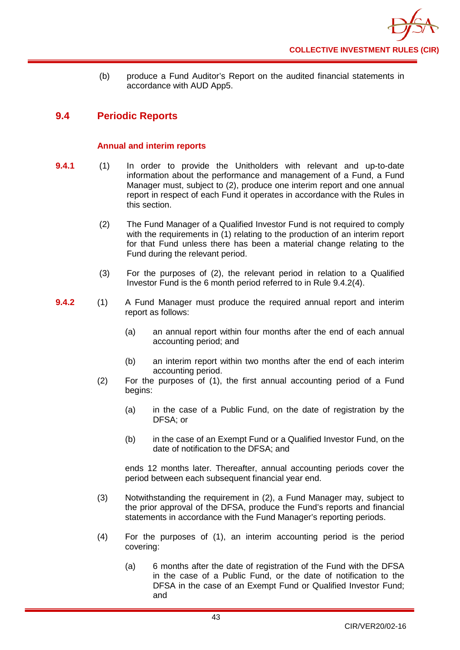

(b) produce a Fund Auditor's Report on the audited financial statements in accordance with AUD App5.

# **9.4 Periodic Reports**

### **Annual and interim reports**

- **9.4.1** (1) In order to provide the [Unitholders](http://fsahandbook.info/FSA/glossary-html/handbook/Glossary/U?definition=G1233) with relevant and up-to-date information about the performance and management of a [Fund,](http://fsahandbook.info/FSA/glossary-html/handbook/Glossary/A?definition=G86) a Fund Manager must, subject to (2), produce one interim report and one annual report in respect of each Fund it operates in accordance with the Rules in this section.
	- (2) The Fund Manager of a Qualified Investor Fund is not required to comply with the requirements in (1) relating to the production of an interim report for that Fund unless there has been a material change relating to the Fund during the relevant period.
	- (3) For the purposes of (2), the relevant period in relation to a Qualified Investor Fund is the 6 month period referred to in Rule 9.4.2(4).
- **9.4.2** (1) A Fund Manager must produce the required annual report and interim report as follows:
	- (a) an annual report within four months after the end of each annual accounting period; and
	- (b) an interim report within two months after the end of each interim accounting period.
	- (2) For the purposes of (1), the first [annual accounting period](http://fsahandbook.info/FSA/glossary-html/handbook/Glossary/A?definition=G39) of a [Fund](http://fsahandbook.info/FSA/glossary-html/handbook/Glossary/S?definition=G1043) begins:
		- (a) in the case of a Public Fund, on the date of registration by the DFSA; or
		- (b) in the case of an Exempt Fund or a Qualified Investor Fund, on the date of notification to the DFSA; and

ends [12 months later.](http://fsahandbook.info/FSA/glossary-html/handbook/Glossary/I?definition=G548) Thereafter, annual accounting periods cover the period between each subsequent financial year end.

- (3) Notwithstanding the requirement in (2), a Fund Manager may, subject to the prior approval of the DFSA, produce the Fund's reports and financial statements in accordance with the Fund Manager's reporting periods.
- (4) For the purposes of (1), an interim accounting period is the period covering:
	- (a) 6 months after the date of registration of the Fund with the DFSA in the case of a Public Fund, or the date of notification to the DFSA in the case of an Exempt Fund or Qualified Investor Fund; and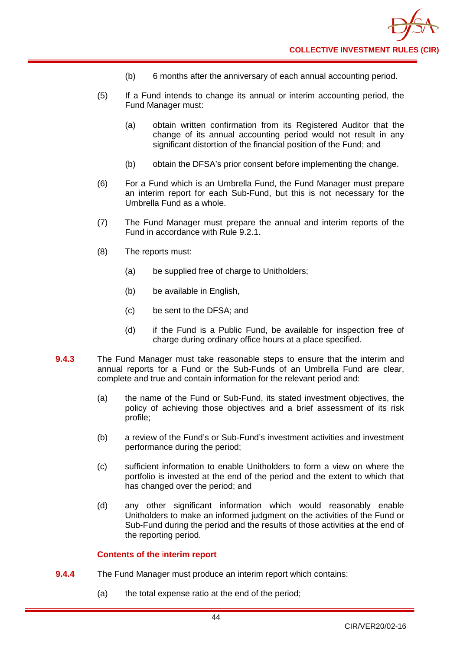

- (b) 6 months after the anniversary of each annual accounting period.
- (5) If a Fund intends to change its annual or interim accounting period, the Fund Manager must:
	- (a) obtain written confirmation from its Registered Auditor that the change of its annual accounting period would not result in any significant distortion of the financial position of the Fund; and
	- (b) obtain the DFSA's prior consent before implementing the change.
- (6) For a [Fund](http://fsahandbook.info/FSA/glossary-html/handbook/Glossary/S?definition=G1043) which is an Umbrella Fund, the Fund Manager must prepare an interim report for each Sub-Fund, but this is not necessary for the Umbrella Fund as a whole.
- (7) The Fund Manager must prepare the annual and interim reports of the Fund in accordance with Rule 9.2.1.
- (8) The reports must:
	- (a) be supplied free of charge to Unitholders;
	- (b) be available in English,
	- (c) be sent to the DFSA; and
	- (d) if the Fund is a Public Fund, be available for inspection free of charge during ordinary office hours at a place specified.
- **9.4.3** The Fund Manager must take reasonable steps to ensure that the interim and annual reports for a [Fund](http://fsahandbook.info/FSA/glossary-html/handbook/Glossary/A?definition=G86) or the Sub-Funds of an [Umbrella](http://fsahandbook.info/FSA/glossary-html/handbook/Glossary/U?definition=G1222) Fund are clear, complete and true and contain information for the relevant period and:
	- (a) the name of the Fund or Sub-Fund, its stated investment objectives, the policy of achieving those objectives and a brief assessment of its risk profile;
	- (b) a review of the [Fund's](http://fsahandbook.info/FSA/glossary-html/handbook/Glossary/S?definition=G1043) or Sub-Fund's investment activities and investment performance during the period;
	- (c) sufficient information to enable [Unitholders](http://fsahandbook.info/FSA/glossary-html/handbook/Glossary/U?definition=G1233) to form a view on where the portfolio is invested at the end of the period and the extent to which that has changed over the period; and
	- (d) any other significant information which would reasonably enable [Unitholders](http://fsahandbook.info/FSA/glossary-html/handbook/Glossary/U?definition=G1233) to make an informed judgment on the activities of the [Fund](http://fsahandbook.info/FSA/glossary-html/handbook/Glossary/S?definition=G1043) or [Sub-Fund d](http://fsahandbook.info/FSA/glossary-html/handbook/Glossary/S?definition=G1140)uring the period and the results of those activities at the end of the reporting period.

### **Contents of the** i**nterim report**

- **9.4.4** The Fund Manager must produce an interim report which contains:
	- (a) the total expense ratio at the end of the period;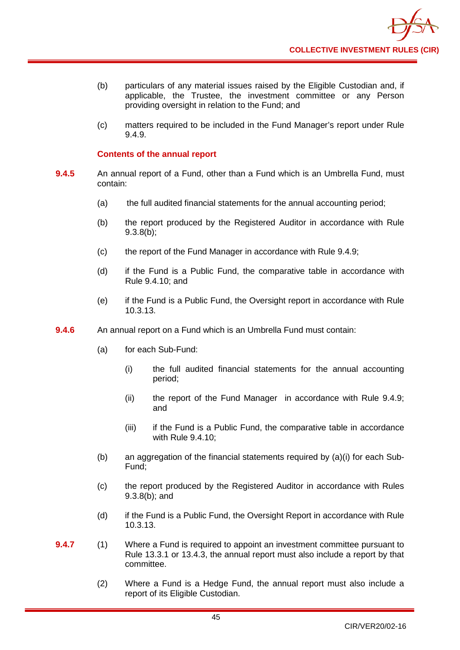- (b) particulars of any material issues raised by the Eligible Custodian and, if applicable, the Trustee, the investment committee or any Person providing oversight in relation to the Fund; and
- (c) matters required to be included in the Fund Manager's report under Rule 9.4.9.

### **Contents of the annual report**

- **9.4.5** An annual report of a Fund, other than a Fund which is an [Umbrella](http://fsahandbook.info/FSA/glossary-html/handbook/Glossary/U?definition=G1222) Fund, must contain:
	- (a) the full audited financial statements for the annual accounting period;
	- (b) the report produced by the Registered Auditor in accordance with Rule 9.3.8(b);
	- (c) the report of the Fund Manager in accordance with Rule 9.4.9;
	- (d) if the Fund is a Public Fund, the comparative table in accordance with Rule 9.4.10; and
	- (e) if the Fund is a Public Fund, the Oversight report in accordance with Rule 10.3.13.
- **9.4.6** An annual report on a Fund which is an Umbrella Fund must contain:
	- (a) for each Sub-Fund:
		- (i) the full audited financial statements for the annual accounting period;
		- (ii) the report of the Fund Manager in accordance with Rule 9.4.9; and
		- (iii) if the Fund is a Public Fund, the comparative table in accordance with Rule 9.4.10;
	- (b) an aggregation of the financial statements required by (a)(i) for each Sub-Fund;
	- (c) the report produced by the Registered Auditor in accordance with Rules 9.3.8(b); and
	- (d) if the Fund is a Public Fund, the Oversight Report in accordance with Rule 10.3.13.
- **9.4.7** (1) Where a Fund is required to appoint an investment committee pursuant to Rule 13.3.1 or 13.4.3, the annual report must also include a report by that committee.
	- (2) Where a Fund is a Hedge Fund, the annual report must also include a report of its Eligible Custodian.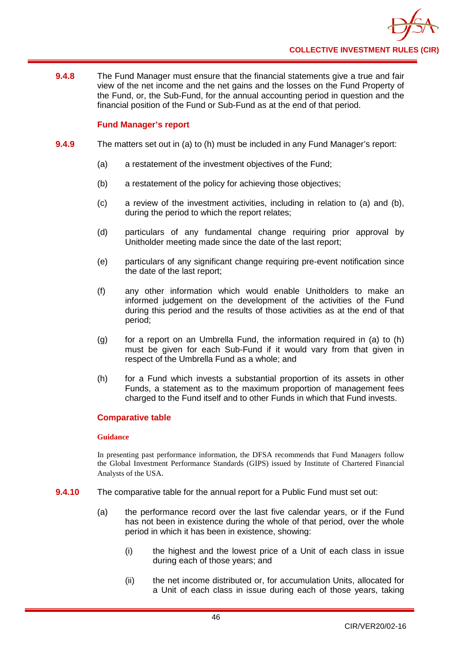

**9.4.8** The Fund Manager must ensure that the financial statements give a true and fair view of the net income and the net gains and the losses on the Fund Property of the Fund, or, the Sub-Fund, for the annual accounting period in question and the financial position of the Fund or Sub-Fund as at the end of that period.

### **Fund Manager's report**

- **9.4.9** The matters set out in (a) to (h) must be included in any Fund Manager's report:
	- (a) a restatement of the investment objectives of the Fund;
	- (b) a restatement of the policy for achieving those objectives;
	- (c) a review of the investment activities, including in relation to (a) and (b), during the period to which the report relates;
	- (d) particulars of any fundamental change requiring prior approval by Unitholder meeting made since the date of the last report;
	- (e) particulars of any significant change requiring pre-event notification since the date of the last report;
	- (f) any other information which would enable Unitholders to make an informed judgement on the development of the activities of the Fund during this period and the results of those activities as at the end of that period;
	- (g) for a report on an Umbrella Fund, the information required in (a) to  $(h)$ must be given for each Sub-Fund if it would vary from that given in respect of the Umbrella Fund as a whole; and
	- (h) for a Fund which invests a substantial proportion of its assets in other Funds, a statement as to the maximum proportion of management fees charged to the Fund itself and to other Funds in which that Fund invests.

### **Comparative table**

#### **Guidance**

In presenting past performance information, the DFSA recommends that Fund Managers follow the Global Investment Performance Standards (GIPS) issued by Institute of Chartered Financial Analysts of the USA.

- **9.4.10** The comparative table for the annual report for a Public Fund must set out:
	- (a) the performance record over the last five calendar years, or if the Fund has not been in existence during the whole of that period, over the whole period in which it has been in existence, showing:
		- (i) the highest and the lowest price of a Unit of each class in issue during each of those years; and
		- (ii) the net income distributed or, for accumulation Units, allocated for a Unit of each class in issue during each of those years, taking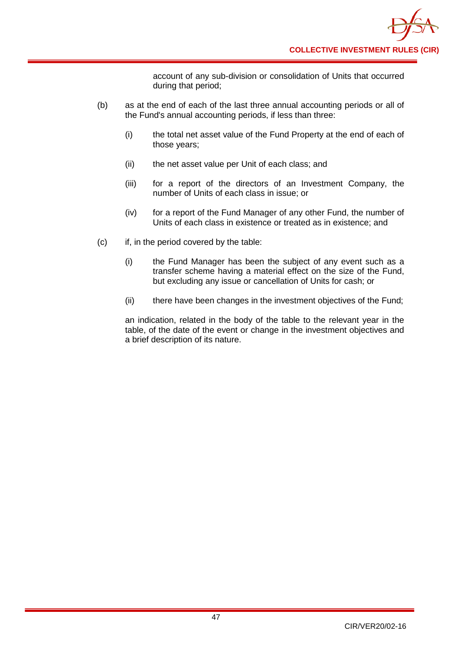account of any sub-division or consolidation of Units that occurred during that period;

- (b) as at the end of each of the last three annual accounting periods or all of the Fund's annual accounting periods, if less than three:
	- (i) the total net asset value of the Fund Property at the end of each of those years;
	- (ii) the net asset value per Unit of each class; and
	- (iii) for a report of the directors of an Investment Company, the number of Units of each class in issue; or
	- (iv) for a report of the Fund Manager of any other Fund, the number of Units of each class in existence or treated as in existence; and
- (c) if, in the period covered by the table:
	- (i) the Fund Manager has been the subject of any event such as a transfer scheme having a material effect on the size of the Fund, but excluding any issue or cancellation of Units for cash; or
	- (ii) there have been changes in the investment objectives of the Fund;

an indication, related in the body of the table to the relevant year in the table, of the date of the event or change in the investment objectives and a brief description of its nature.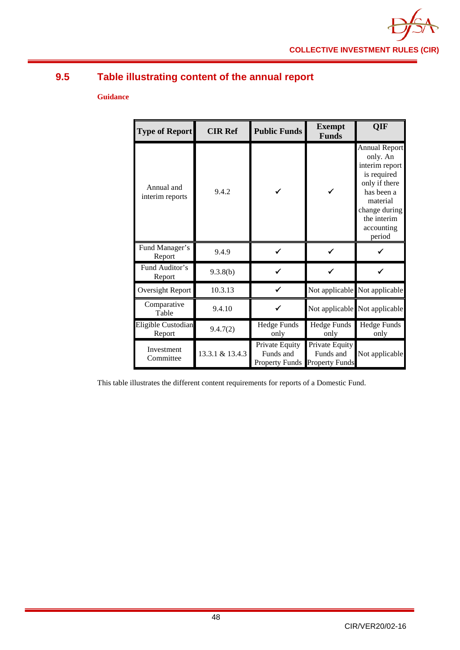

# **9.5 Table illustrating content of the annual report**

### **Guidance**

| <b>Type of Report</b>         | <b>CIR Ref</b>  | <b>Public Funds</b>                                  | <b>Exempt</b><br><b>Funds</b>                        | OIF                                                                                                                                                                  |
|-------------------------------|-----------------|------------------------------------------------------|------------------------------------------------------|----------------------------------------------------------------------------------------------------------------------------------------------------------------------|
| Annual and<br>interim reports | 9.4.2           |                                                      |                                                      | <b>Annual Report</b><br>only. An<br>interim report<br>is required<br>only if there<br>has been a<br>material<br>change during<br>the interim<br>accounting<br>period |
| Fund Manager's<br>Report      | 9.4.9           |                                                      |                                                      |                                                                                                                                                                      |
| Fund Auditor's<br>Report      | 9.3.8(b)        |                                                      |                                                      |                                                                                                                                                                      |
| Oversight Report              | 10.3.13         |                                                      |                                                      | Not applicable Not applicable                                                                                                                                        |
| Comparative<br>Table          | 9.4.10          |                                                      |                                                      | Not applicable Not applicable                                                                                                                                        |
| Eligible Custodian<br>Report  | 9.4.7(2)        | <b>Hedge Funds</b><br>only                           | Hedge Funds<br>only                                  | <b>Hedge Funds</b><br>only                                                                                                                                           |
| Investment<br>Committee       | 13.3.1 & 13.4.3 | Private Equity<br>Funds and<br><b>Property Funds</b> | Private Equity<br>Funds and<br><b>Property Funds</b> | Not applicable                                                                                                                                                       |

This table illustrates the different content requirements for reports of a Domestic Fund.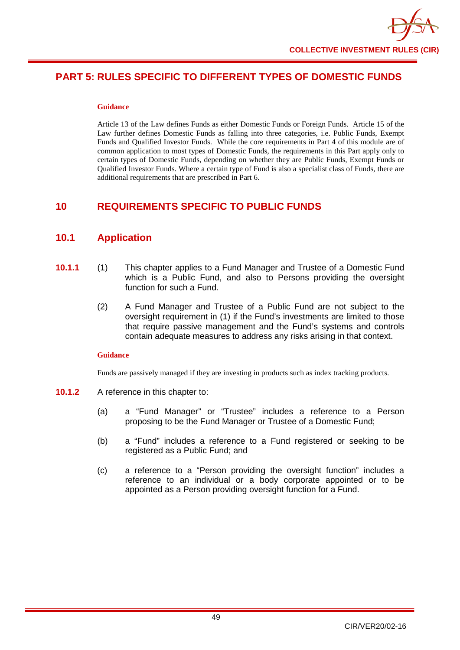# **PART 5: RULES SPECIFIC TO DIFFERENT TYPES OF DOMESTIC FUNDS**

#### **Guidance**

Article 13 of the Law defines Funds as either Domestic Funds or Foreign Funds. Article 15 of the Law further defines Domestic Funds as falling into three categories, i.e. Public Funds, Exempt Funds and Qualified Investor Funds. While the core requirements in Part 4 of this module are of common application to most types of Domestic Funds, the requirements in this Part apply only to certain types of Domestic Funds, depending on whether they are Public Funds, Exempt Funds or Qualified Investor Funds. Where a certain type of Fund is also a specialist class of Funds, there are additional requirements that are prescribed in Part 6.

# **10 REQUIREMENTS SPECIFIC TO PUBLIC FUNDS**

# **10.1 Application**

- **10.1.1** (1) This chapter applies to a Fund Manager and Trustee of a Domestic Fund which is a Public Fund, and also to Persons providing the oversight function for such a Fund.
	- (2) A Fund Manager and Trustee of a Public Fund are not subject to the oversight requirement in (1) if the Fund's investments are limited to those that require passive management and the Fund's systems and controls contain adequate measures to address any risks arising in that context.

### **Guidance**

Funds are passively managed if they are investing in products such as index tracking products.

- **10.1.2** A reference in this chapter to:
	- (a) a "Fund Manager" or "Trustee" includes a reference to a Person proposing to be the Fund Manager or Trustee of a Domestic Fund;
	- (b) a "Fund" includes a reference to a Fund registered or seeking to be registered as a Public Fund; and
	- (c) a reference to a "Person providing the oversight function" includes a reference to an individual or a body corporate appointed or to be appointed as a Person providing oversight function for a Fund.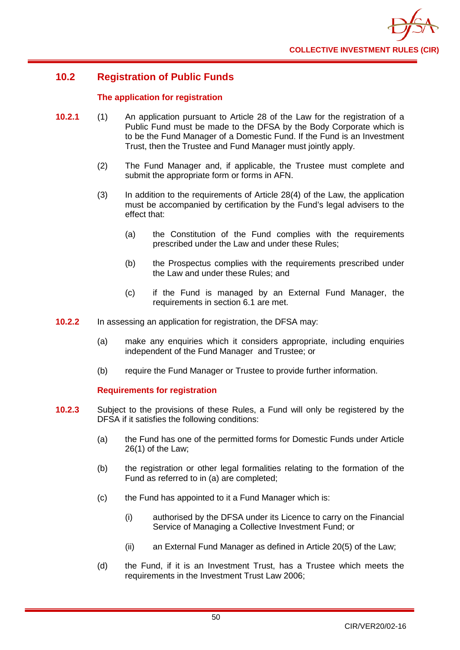

# **10.2 Registration of Public Funds**

### **The application for registration**

- **10.2.1** (1) An application pursuant to Article 28 of the Law for the registration of a Public Fund must be made to the DFSA by the Body Corporate which is to be the Fund Manager of a Domestic Fund. If the Fund is an Investment Trust, then the Trustee and Fund Manager must jointly apply.
	- (2) The Fund Manager and, if applicable, the Trustee must complete and submit the appropriate form or forms in AFN.
	- (3) In addition to the requirements of Article 28(4) of the Law, the application must be accompanied by certification by the Fund's legal advisers to the effect that:
		- (a) the Constitution of the Fund complies with the requirements prescribed under the Law and under these Rules;
		- (b) the Prospectus complies with the requirements prescribed under the Law and under these Rules; and
		- (c) if the Fund is managed by an External Fund Manager, the requirements in section 6.1 are met.
- **10.2.2** In assessing an application for registration, the DFSA may:
	- (a) make any enquiries which it considers appropriate, including enquiries independent of the Fund Manager and Trustee; or
	- (b) require the Fund Manager or Trustee to provide further information.

### **Requirements for registration**

- **10.2.3** Subject to the provisions of these Rules, a Fund will only be registered by the DFSA if it satisfies the following conditions:
	- (a) the Fund has one of the permitted forms for Domestic Funds under Article 26(1) of the Law;
	- (b) the registration or other legal formalities relating to the formation of the Fund as referred to in (a) are completed;
	- (c) the Fund has appointed to it a Fund Manager which is:
		- (i) authorised by the DFSA under its Licence to carry on the Financial Service of Managing a Collective Investment Fund; or
		- (ii) an External Fund Manager as defined in Article 20(5) of the Law;
	- (d) the Fund, if it is an Investment Trust, has a Trustee which meets the requirements in the Investment Trust Law 2006;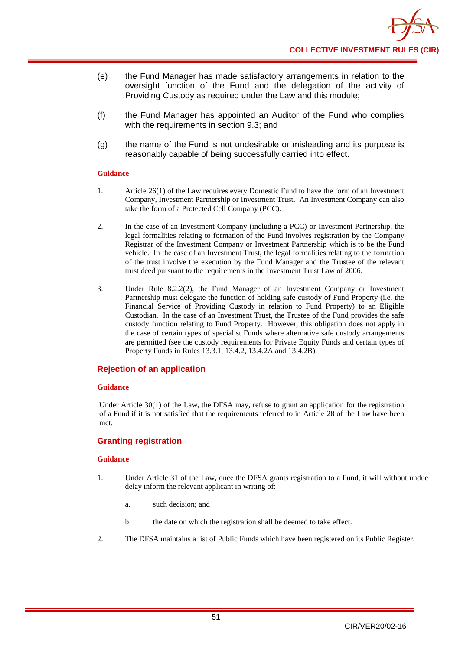- (e) the Fund Manager has made satisfactory arrangements in relation to the oversight function of the Fund and the delegation of the activity of Providing Custody as required under the Law and this module;
- (f) the Fund Manager has appointed an Auditor of the Fund who complies with the requirements in section 9.3; and
- (g) the name of the Fund is not undesirable or misleading and its purpose is reasonably capable of being successfully carried into effect.

#### **Guidance**

- 1. Article 26(1) of the Law requires every Domestic Fund to have the form of an Investment Company, Investment Partnership or Investment Trust. An Investment Company can also take the form of a Protected Cell Company (PCC).
- 2. In the case of an Investment Company (including a PCC) or Investment Partnership, the legal formalities relating to formation of the Fund involves registration by the Company Registrar of the Investment Company or Investment Partnership which is to be the Fund vehicle. In the case of an Investment Trust, the legal formalities relating to the formation of the trust involve the execution by the Fund Manager and the Trustee of the relevant trust deed pursuant to the requirements in the Investment Trust Law of 2006.
- 3. Under Rule 8.2.2(2), the Fund Manager of an Investment Company or Investment Partnership must delegate the function of holding safe custody of Fund Property (i.e. the Financial Service of Providing Custody in relation to Fund Property) to an Eligible Custodian. In the case of an Investment Trust, the Trustee of the Fund provides the safe custody function relating to Fund Property. However, this obligation does not apply in the case of certain types of specialist Funds where alternative safe custody arrangements are permitted (see the custody requirements for Private Equity Funds and certain types of Property Funds in Rules 13.3.1, 13.4.2, 13.4.2A and 13.4.2B).

### **Rejection of an application**

#### **Guidance**

Under Article 30(1) of the Law, the DFSA may, refuse to grant an application for the registration of a Fund if it is not satisfied that the requirements referred to in Article 28 of the Law have been met.

### **Granting registration**

- 1. Under Article 31 of the Law, once the DFSA grants registration to a Fund, it will without undue delay inform the relevant applicant in writing of:
	- a. such decision; and
	- b. the date on which the registration shall be deemed to take effect.
- 2. The DFSA maintains a list of Public Funds which have been registered on its Public Register.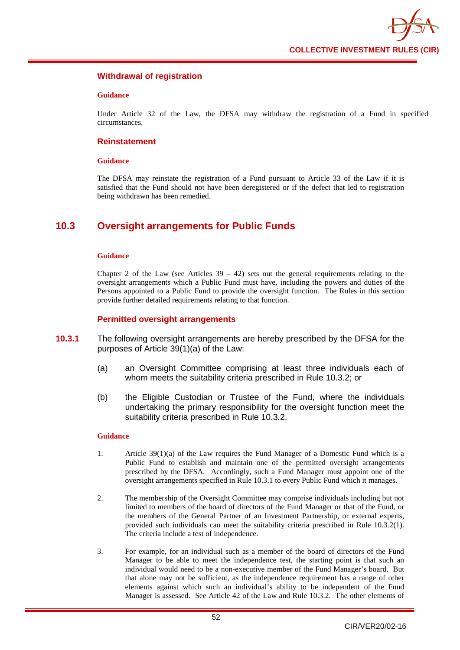

### **Withdrawal of registration**

#### **Guidance**

Under Article 32 of the Law, the DFSA may withdraw the registration of a Fund in specified circumstances.

### **Reinstatement**

#### **Guidance**

The DFSA may reinstate the registration of a Fund pursuant to Article 33 of the Law if it is satisfied that the Fund should not have been deregistered or if the defect that led to registration being withdrawn has been remedied.

# **10.3 Oversight arrangements for Public Funds**

#### **Guidance**

Chapter 2 of the Law (see Articles  $39 - 42$ ) sets out the general requirements relating to the oversight arrangements which a Public Fund must have, including the powers and duties of the Persons appointed to a Public Fund to provide the oversight function. The Rules in this section provide further detailed requirements relating to that function.

#### **Permitted oversight arrangements**

- **10.3.1** The following oversight arrangements are hereby prescribed by the DFSA for the purposes of Article 39(1)(a) of the Law:
	- (a) an Oversight Committee comprising at least three individuals each of whom meets the suitability criteria prescribed in Rule 10.3.2; or
	- (b) the Eligible Custodian or Trustee of the Fund, where the individuals undertaking the primary responsibility for the oversight function meet the suitability criteria prescribed in Rule 10.3.2.

- 1. Article 39(1)(a) of the Law requires the Fund Manager of a Domestic Fund which is a Public Fund to establish and maintain one of the permitted oversight arrangements prescribed by the DFSA. Accordingly, such a Fund Manager must appoint one of the oversight arrangements specified in Rule 10.3.1 to every Public Fund which it manages.
- 2. The membership of the Oversight Committee may comprise individuals including but not limited to members of the board of directors of the Fund Manager or that of the Fund, or the members of the General Partner of an Investment Partnership, or external experts, provided such individuals can meet the suitability criteria prescribed in Rule 10.3.2(1). The criteria include a test of independence.
- 3. For example, for an individual such as a member of the board of directors of the Fund Manager to be able to meet the independence test, the starting point is that such an individual would need to be a non-executive member of the Fund Manager's board. But that alone may not be sufficient, as the independence requirement has a range of other elements against which such an individual's ability to be independent of the Fund Manager is assessed. See Article 42 of the Law and Rule 10.3.2. The other elements of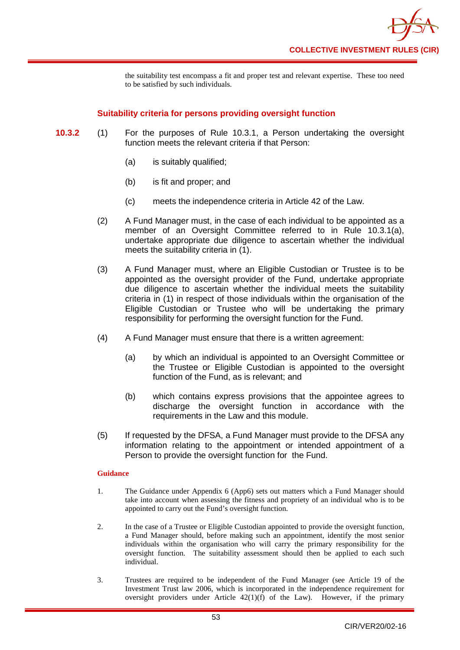the suitability test encompass a fit and proper test and relevant expertise. These too need to be satisfied by such individuals.

### **Suitability criteria for persons providing oversight function**

- **10.3.2** (1) For the purposes of Rule 10.3.1, a Person undertaking the oversight function meets the relevant criteria if that Person:
	- (a) is suitably qualified;
	- (b) is fit and proper; and
	- (c) meets the independence criteria in Article 42 of the Law.
	- (2) A Fund Manager must, in the case of each individual to be appointed as a member of an Oversight Committee referred to in Rule 10.3.1(a), undertake appropriate due diligence to ascertain whether the individual meets the suitability criteria in  $(1)$ .
	- (3) A Fund Manager must, where an Eligible Custodian or Trustee is to be appointed as the oversight provider of the Fund, undertake appropriate due diligence to ascertain whether the individual meets the suitability criteria in (1) in respect of those individuals within the organisation of the Eligible Custodian or Trustee who will be undertaking the primary responsibility for performing the oversight function for the Fund.
	- (4) A Fund Manager must ensure that there is a written agreement:
		- (a) by which an individual is appointed to an Oversight Committee or the Trustee or Eligible Custodian is appointed to the oversight function of the Fund, as is relevant; and
		- (b) which contains express provisions that the appointee agrees to discharge the oversight function in accordance with the requirements in the Law and this module.
	- (5) If requested by the DFSA, a Fund Manager must provide to the DFSA any information relating to the appointment or intended appointment of a Person to provide the oversight function for the Fund.

- 1. The Guidance under Appendix 6 (App6) sets out matters which a Fund Manager should take into account when assessing the fitness and propriety of an individual who is to be appointed to carry out the Fund's oversight function.
- 2. In the case of a Trustee or Eligible Custodian appointed to provide the oversight function, a Fund Manager should, before making such an appointment, identify the most senior individuals within the organisation who will carry the primary responsibility for the oversight function. The suitability assessment should then be applied to each such individual.
- 3. Trustees are required to be independent of the Fund Manager (see Article 19 of the Investment Trust law 2006, which is incorporated in the independence requirement for oversight providers under Article  $42(1)(f)$  of the Law). However, if the primary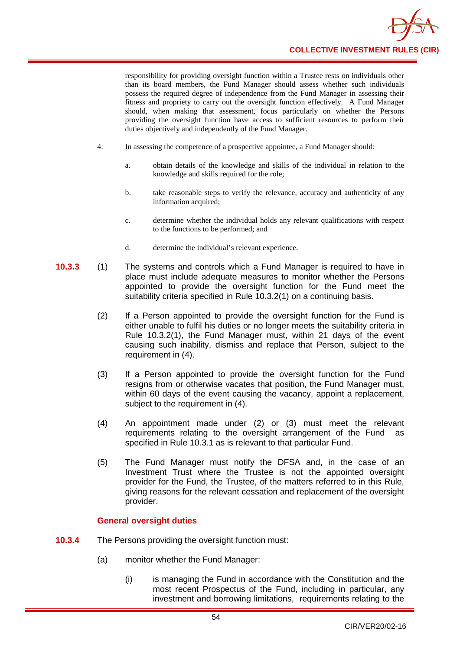

responsibility for providing oversight function within a Trustee rests on individuals other than its board members, the Fund Manager should assess whether such individuals possess the required degree of independence from the Fund Manager in assessing their fitness and propriety to carry out the oversight function effectively. A Fund Manager should, when making that assessment, focus particularly on whether the Persons providing the oversight function have access to sufficient resources to perform their duties objectively and independently of the Fund Manager.

- 4. In assessing the competence of a prospective appointee, a Fund Manager should:
	- a. obtain details of the knowledge and skills of the individual in relation to the knowledge and skills required for the role;
	- b. take reasonable steps to verify the relevance, accuracy and authenticity of any information acquired;
	- c. determine whether the individual holds any relevant qualifications with respect to the functions to be performed; and
	- d. determine the individual's relevant experience.
- **10.3.3** (1) The systems and controls which a Fund Manager is required to have in place must include adequate measures to monitor whether the Persons appointed to provide the oversight function for the Fund meet the suitability criteria specified in Rule 10.3.2(1) on a continuing basis.
	- (2) If a Person appointed to provide the oversight function for the Fund is either unable to fulfil his duties or no longer meets the suitability criteria in Rule 10.3.2(1), the Fund Manager must, within 21 days of the event causing such inability, dismiss and replace that Person, subject to the requirement in (4).
	- (3) If a Person appointed to provide the oversight function for the Fund resigns from or otherwise vacates that position, the Fund Manager must, within 60 days of the event causing the vacancy, appoint a replacement. subject to the requirement in (4).
	- (4) An appointment made under (2) or (3) must meet the relevant requirements relating to the oversight arrangement of the Fund as specified in Rule 10.3.1 as is relevant to that particular Fund.
	- (5) The Fund Manager must notify the DFSA and, in the case of an Investment Trust where the Trustee is not the appointed oversight provider for the Fund, the Trustee, of the matters referred to in this Rule, giving reasons for the relevant cessation and replacement of the oversight provider.

### **General oversight duties**

- **10.3.4** The Persons providing the oversight function must:
	- (a) monitor whether the Fund Manager:
		- (i) is managing the Fund in accordance with the Constitution and the most recent Prospectus of the Fund, including in particular, any investment and borrowing limitations, requirements relating to the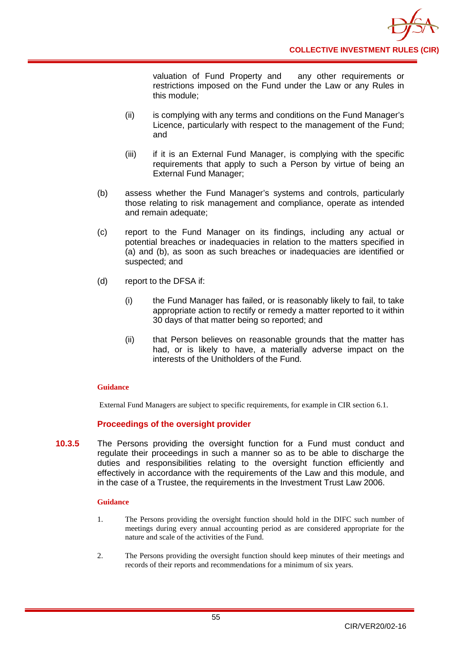

valuation of Fund Property and any other requirements or restrictions imposed on the Fund under the Law or any Rules in this module;

- (ii) is complying with any terms and conditions on the Fund Manager's Licence, particularly with respect to the management of the Fund; and
- (iii) if it is an External Fund Manager, is complying with the specific requirements that apply to such a Person by virtue of being an External Fund Manager;
- (b) assess whether the Fund Manager's systems and controls, particularly those relating to risk management and compliance, operate as intended and remain adequate;
- (c) report to the Fund Manager on its findings, including any actual or potential breaches or inadequacies in relation to the matters specified in (a) and (b), as soon as such breaches or inadequacies are identified or suspected; and
- (d) report to the DFSA if:
	- (i) the Fund Manager has failed, or is reasonably likely to fail, to take appropriate action to rectify or remedy a matter reported to it within 30 days of that matter being so reported; and
	- (ii) that Person believes on reasonable grounds that the matter has had, or is likely to have, a materially adverse impact on the interests of the Unitholders of the Fund.

### **Guidance**

External Fund Managers are subject to specific requirements, for example in CIR section 6.1.

### **Proceedings of the oversight provider**

**10.3.5** The Persons providing the oversight function for a Fund must conduct and regulate their proceedings in such a manner so as to be able to discharge the duties and responsibilities relating to the oversight function efficiently and effectively in accordance with the requirements of the Law and this module, and in the case of a Trustee, the requirements in the Investment Trust Law 2006.

- 1. The Persons providing the oversight function should hold in the DIFC such number of meetings during every annual accounting period as are considered appropriate for the nature and scale of the activities of the Fund.
- 2. The Persons providing the oversight function should keep minutes of their meetings and records of their reports and recommendations for a minimum of six years.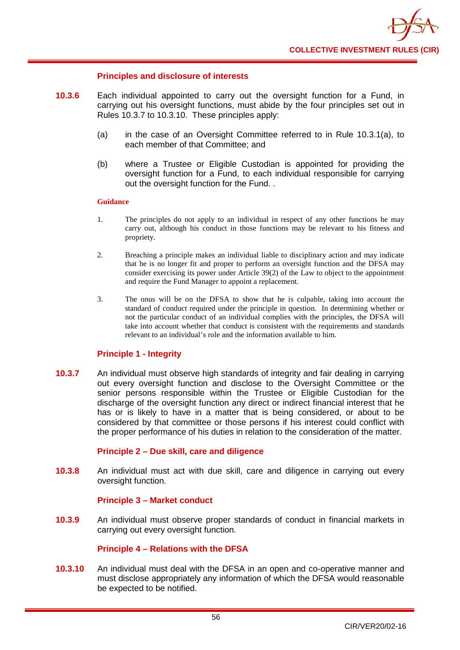### **Principles and disclosure of interests**

- **10.3.6** Each individual appointed to carry out the oversight function for a Fund, in carrying out his oversight functions, must abide by the four principles set out in Rules 10.3.7 to 10.3.10. These principles apply:
	- (a) in the case of an Oversight Committee referred to in Rule 10.3.1(a), to each member of that Committee; and
	- (b) where a Trustee or Eligible Custodian is appointed for providing the oversight function for a Fund, to each individual responsible for carrying out the oversight function for the Fund. .

#### **Guidance**

- 1. The principles do not apply to an individual in respect of any other functions he may carry out, although his conduct in those functions may be relevant to his fitness and propriety.
- 2. Breaching a principle makes an individual liable to disciplinary action and may indicate that he is no longer fit and proper to perform an oversight function and the DFSA may consider exercising its power under Article 39(2) of the Law to object to the appointment and require the Fund Manager to appoint a replacement.
- 3. The onus will be on the DFSA to show that he is culpable, taking into account the standard of conduct required under the principle in question. In determining whether or not the particular conduct of an individual complies with the principles, the DFSA will take into account whether that conduct is consistent with the requirements and standards relevant to an individual's role and the information available to him.

### **Principle 1 - Integrity**

**10.3.7** An individual must observe high standards of integrity and fair dealing in carrying out every oversight function and disclose to the Oversight Committee or the senior persons responsible within the Trustee or Eligible Custodian for the discharge of the oversight function any direct or indirect financial interest that he has or is likely to have in a matter that is being considered, or about to be considered by that committee or those persons if his interest could conflict with the proper performance of his duties in relation to the consideration of the matter.

### **Principle 2 – Due skill, care and diligence**

**10.3.8** An individual must act with due skill, care and diligence in carrying out every oversight function.

### **Principle 3 – Market conduct**

**10.3.9** An individual must observe proper standards of conduct in financial markets in carrying out every oversight function.

### **Principle 4 – Relations with the DFSA**

**10.3.10** An individual must deal with the DFSA in an open and co-operative manner and must disclose appropriately any information of which the DFSA would reasonable be expected to be notified.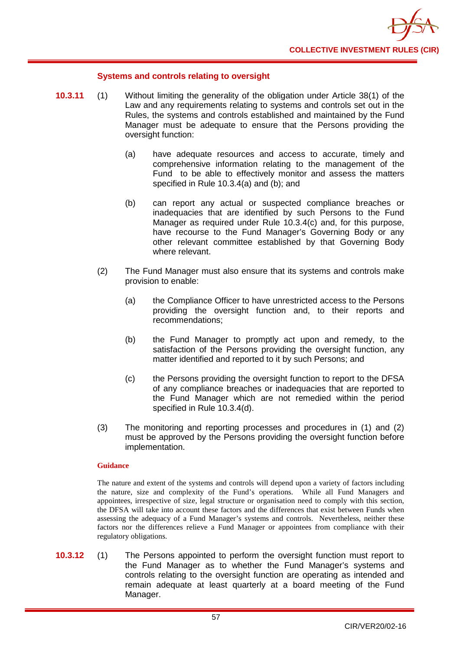

### **Systems and controls relating to oversight**

- **10.3.11** (1) Without limiting the generality of the obligation under Article 38(1) of the Law and any requirements relating to systems and controls set out in the Rules, the systems and controls established and maintained by the Fund Manager must be adequate to ensure that the Persons providing the oversight function:
	- (a) have adequate resources and access to accurate, timely and comprehensive information relating to the management of the Fund to be able to effectively monitor and assess the matters specified in Rule 10.3.4(a) and (b); and
	- (b) can report any actual or suspected compliance breaches or inadequacies that are identified by such Persons to the Fund Manager as required under Rule 10.3.4(c) and, for this purpose, have recourse to the Fund Manager's Governing Body or any other relevant committee established by that Governing Body where relevant.
	- (2) The Fund Manager must also ensure that its systems and controls make provision to enable:
		- (a) the Compliance Officer to have unrestricted access to the Persons providing the oversight function and, to their reports and recommendations;
		- (b) the Fund Manager to promptly act upon and remedy, to the satisfaction of the Persons providing the oversight function, any matter identified and reported to it by such Persons; and
		- (c) the Persons providing the oversight function to report to the DFSA of any compliance breaches or inadequacies that are reported to the Fund Manager which are not remedied within the period specified in Rule 10.3.4(d).
	- (3) The monitoring and reporting processes and procedures in (1) and (2) must be approved by the Persons providing the oversight function before implementation.

#### **Guidance**

The nature and extent of the systems and controls will depend upon a variety of factors including the nature, size and complexity of the Fund's operations. While all Fund Managers and appointees, irrespective of size, legal structure or organisation need to comply with this section, the DFSA will take into account these factors and the differences that exist between Funds when assessing the adequacy of a Fund Manager's systems and controls. Nevertheless, neither these factors nor the differences relieve a Fund Manager or appointees from compliance with their regulatory obligations.

**10.3.12** (1) The Persons appointed to perform the oversight function must report to the Fund Manager as to whether the Fund Manager's systems and controls relating to the oversight function are operating as intended and remain adequate at least quarterly at a board meeting of the Fund Manager.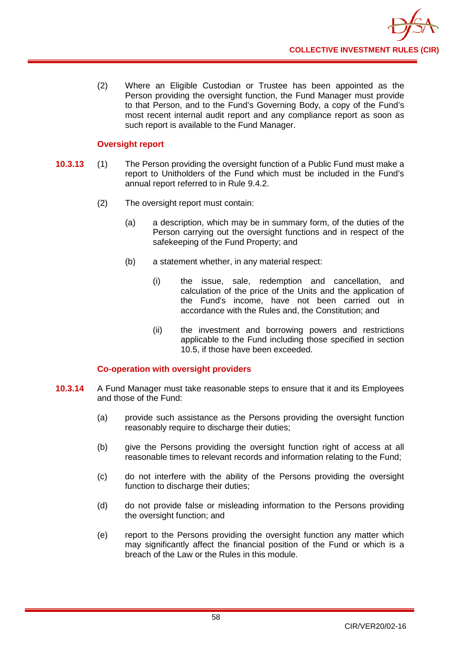

(2) Where an Eligible Custodian or Trustee has been appointed as the Person providing the oversight function, the Fund Manager must provide to that Person, and to the Fund's Governing Body, a copy of the Fund's most recent internal audit report and any compliance report as soon as such report is available to the Fund Manager.

### **Oversight report**

- **10.3.13** (1) The Person providing the oversight function of a Public Fund must make a report to Unitholders of the Fund which must be included in the Fund's annual report referred to in Rule 9.4.2.
	- (2) The oversight report must contain:
		- (a) a description, which may be in summary form, of the duties of the Person carrying out the oversight functions and in respect of the safekeeping of the Fund Property; and
		- (b) a statement whether, in any material respect:
			- (i) the issue, sale, redemption and cancellation, and calculation of the price of the Units and the application of the Fund's income, have not been carried out in accordance with the Rules and, the Constitution; and
			- (ii) the investment and borrowing powers and restrictions applicable to the Fund including those specified in section 10.5, if those have been exceeded.

### **Co-operation with oversight providers**

- **10.3.14** A Fund Manager must take reasonable steps to ensure that it and its Employees and those of the Fund:
	- (a) provide such assistance as the Persons providing the oversight function reasonably require to discharge their duties;
	- (b) give the Persons providing the oversight function right of access at all reasonable times to relevant records and information relating to the Fund;
	- (c) do not interfere with the ability of the Persons providing the oversight function to discharge their duties;
	- (d) do not provide false or misleading information to the Persons providing the oversight function; and
	- (e) report to the Persons providing the oversight function any matter which may significantly affect the financial position of the Fund or which is a breach of the Law or the Rules in this module.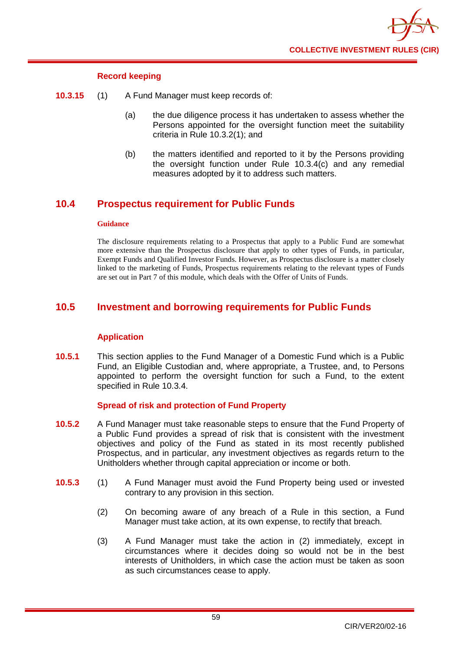

### **Record keeping**

- **10.3.15** (1) A Fund Manager must keep records of:
	- (a) the due diligence process it has undertaken to assess whether the Persons appointed for the oversight function meet the suitability criteria in Rule 10.3.2(1); and
	- (b) the matters identified and reported to it by the Persons providing the oversight function under Rule 10.3.4(c) and any remedial measures adopted by it to address such matters.

# **10.4 Prospectus requirement for Public Funds**

#### **Guidance**

The disclosure requirements relating to a Prospectus that apply to a Public Fund are somewhat more extensive than the Prospectus disclosure that apply to other types of Funds, in particular, Exempt Funds and Qualified Investor Funds. However, as Prospectus disclosure is a matter closely linked to the marketing of Funds, Prospectus requirements relating to the relevant types of Funds are set out in Part 7 of this module, which deals with the Offer of Units of Funds.

# **10.5 Investment and borrowing requirements for Public Funds**

### **Application**

**10.5.1** This section applies to the Fund Manager of a Domestic Fund which is a Public Fund, an Eligible [Custodian](http://fsahandbook.info/FSA/glossary.jsp?doc=glossary%5Cglossary&gloss=G278#G278) and, where appropriate, a Trustee, and, to Persons appointed to perform the oversight function for such a Fund, to the extent specified in Rule 10.3.4.

### **Spread of risk and protection of Fund Property**

- **10.5.2** A Fund Manager must take reasonable steps to ensure that the Fund Property of a Public Fund provides a spread of risk that is consistent with the investment objectives and policy of the Fund as stated in its most recently published Prospectus, and in particular, any investment objectives as regards return to the [Unitholders](http://fsahandbook.info/FSA/glossary.jsp?doc=glossary%5Cglossary&gloss=G1233#G1233) whether through capital appreciation or income or both.
- **10.5.3** (1) A Fund Manager must avoid the Fund Property being used or invested contrary to any provision in this section.
	- (2) On becoming aware of any breach of a Rule in this section, a Fund Manager must take action, at its own expense, to rectify that breach.
	- (3) A Fund Manager must take the action in (2) immediately, except in circumstances where it decides doing so would not be in the best interests of Unitholders, in which case the action must be taken as soon as such circumstances cease to apply.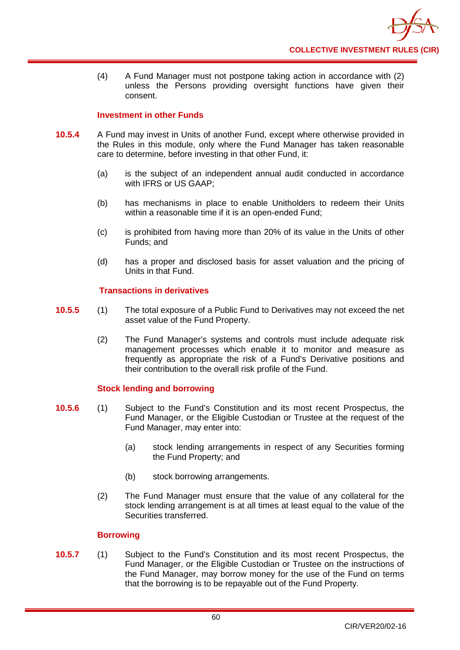(4) A Fund Manager must not postpone taking action in accordance with (2) unless the Persons providing oversight functions have given their consent.

### **Investment in other Funds**

- **10.5.4** A Fund may invest in Units of another [Fund,](http://fsahandbook.info/FSA/glossary.jsp?doc=glossary%5Cglossary&gloss=G1043#G1043) except where otherwise provided in the Rules in this module, only where the Fund Manager has taken reasonable care to determine, before investing in that other Fund, it:
	- (a) is the subject of an independent annual audit conducted in accordance with IFRS or US GAAP;
	- (b) has mechanisms in place to enable [Unitholders](http://fsahandbook.info/FSA/glossary.jsp?doc=glossary%5Cglossary&gloss=G1233#G1233) to redeem their [Units](http://fsahandbook.info/FSA/glossary.jsp?doc=glossary%5Cglossary&gloss=G1230#G1230) within a reasonable time if it is an open-ended Fund;
	- (c) is prohibited from having more than 20% of its value in the [Units](http://fsahandbook.info/FSA/glossary.jsp?doc=glossary%5Cglossary&gloss=G1230#G1230) of other Funds; and
	- (d) has a proper and disclosed basis for asset valuation and the pricing of Units in that Fund.

### **Transactions in derivatives**

- **10.5.5** (1) The total exposure of a Public Fund to Derivatives may not exceed the net asset value of the Fund Property.
	- (2) The Fund Manager's systems and controls must include adequate risk management processes which enable it to monitor and measure as frequently as appropriate the risk of a Fund's [Derivative](http://fsahandbook.info/FSA/glossary.jsp?doc=glossary%5Cglossary&gloss=G279#G279) positions and their contribution to the overall risk profile of the Fund.

### **Stock lending and borrowing**

- **10.5.6** (1) Subject to the Fund's Constitution and its most recent Prospectus, the Fund Manager, or the Eligible Custodian or Trustee at the request of the Fund Manager, may enter into:
	- (a) [stock lending](http://fsahandbook.info/FSA/glossary.jsp?doc=glossary%5Cglossary&gloss=G1134#G1134) arrangements in respect of any Securities forming the Fund Property; and
	- (b) [stock b](http://fsahandbook.info/FSA/glossary.jsp?doc=glossary%5Cglossary&gloss=G1134#G1134)orrowing arrangements.
	- (2) The Fund Manager must ensure that the value of any collateral for the [stock lending](http://fsahandbook.info/FSA/glossary.jsp?doc=glossary%5Cglossary&gloss=G1134#G1134) arrangement is at all times at least equal to the value of the Securities transferred.

### **Borrowing**

**10.5.7** (1) Subject to the Fund's Constitution and its most recent Prospectus, the Fund Manager, or the Eligible [Custodian or Trustee o](http://fsahandbook.info/FSA/glossary.jsp?doc=glossary%5Cglossary&gloss=G1195#G1195)n the instructions of the Fund Manager, may borrow money for the use of the Fund on terms that the borrowing is to be repayable out of the Fund Property.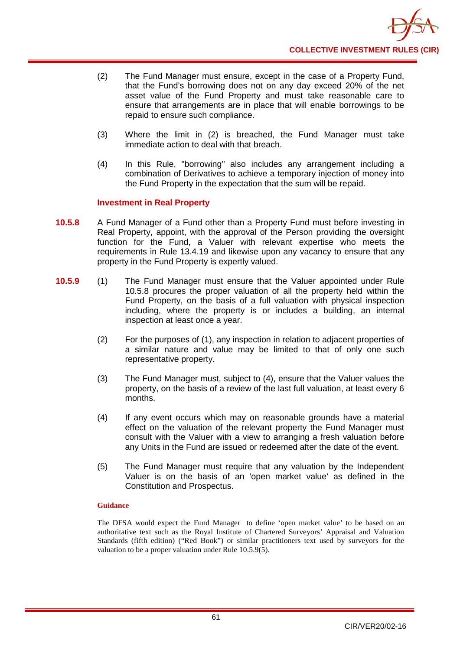- (2) The Fund Manager must ensure, except in the case of a Property Fund, that the Fund's borrowing does not on any [day](http://fsahandbook.info/FSA/glossary.jsp?doc=glossary%5Cglossary&gloss=G259#G259) exceed 20% of the net asset value of the Fund Property and must take reasonable care to ensure that arrangements are in place that will enable borrowings to be repaid to ensure such compliance.
- (3) Where the limit in (2) is breached, the Fund Manager must take immediate action to deal with that breach.
- (4) In this Rule, "borrowing" also includes any arrangement including a combination of Derivatives to achieve a temporary injection of money into the Fund Property in the expectation that the sum will be repaid.

### **Investment in Real Property**

- **10.5.8** A Fund Manager of a Fund other than a Property Fund must before investing in Real Property, appoint, with the approval of the Person providing the oversight function for the Fund, a Valuer with relevant expertise who meets the requirements in Rule 13.4.19 and likewise upon any vacancy to ensure that any property in the [Fund](http://fsahandbook.info/FSA/glossary.jsp?doc=glossary%5Cglossary&gloss=G1049#G1049) Property is expertly valued.
- **10.5.9** (1) The Fund Manager must ensure that the [Valuer](http://fsahandbook.info/FSA/glossary.jsp?doc=glossary%5Cglossary&gloss=G1126#G1126) appointed under Rule 10.5.8 procures the proper valuation of all the property held within the [Fund](http://fsahandbook.info/FSA/glossary.jsp?doc=glossary%5Cglossary&gloss=G1049#G1049) Property, on the basis of a full valuation with physical inspection including, where the property is or includes a building, an internal inspection at least once a year.
	- (2) For the purposes of (1), any inspection in relation to adjacent properties of a similar nature and value may be limited to that of only one such representative property.
	- (3) The Fund Manager must, subject to (4), ensure that the [Valuer](http://fsahandbook.info/FSA/glossary.jsp?doc=glossary%5Cglossary&gloss=G1126#G1126) values the property, on the basis of a review of the last full valuation, at least every 6 [months](http://fsahandbook.info/FSA/glossary.jsp?doc=glossary%5Cglossary&gloss=G737#G737).
	- (4) If any event occurs which may on reasonable grounds have a material effect on the valuation of the relevant property the Fund Manager must consult with the Valuer with a view to arranging a fresh valuation before any Units in the Fund are issued or redeemed after the date of the event.
	- (5) The Fund Manager must require that any valuation by the [Independent](http://fsahandbook.info/FSA/glossary.jsp?doc=glossary%5Cglossary&gloss=G1126#G1126)  [Valuer](http://fsahandbook.info/FSA/glossary.jsp?doc=glossary%5Cglossary&gloss=G1126#G1126) is on the basis of an 'open market value' as defined in the Constitution and Prospectus.

### **Guidance**

The DFSA would expect the Fund Manager to define 'open market value' to be based on an authoritative text such as the Royal Institute of Chartered Surveyors' Appraisal and Valuation Standards (fifth edition) ("Red Book") or similar practitioners text used by surveyors for the valuation to be a proper valuation under Rule 10.5.9(5).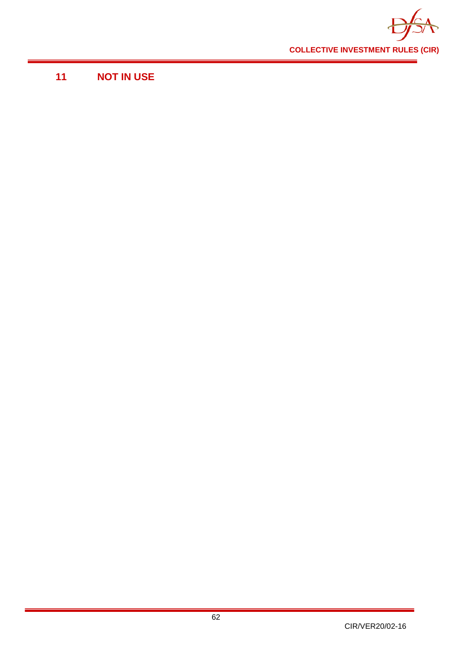

# **11 NOT IN USE**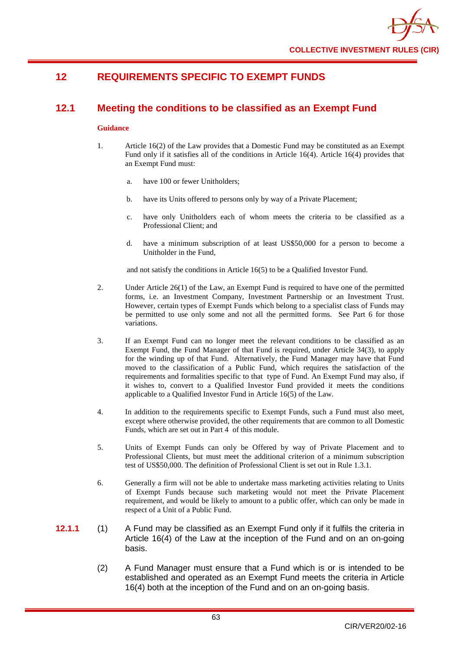# **12 REQUIREMENTS SPECIFIC TO EXEMPT FUNDS**

# **12.1 Meeting the conditions to be classified as an Exempt Fund**

#### **Guidance**

- 1. Article 16(2) of the Law provides that a Domestic Fund may be constituted as an Exempt Fund only if it satisfies all of the conditions in Article 16(4). Article 16(4) provides that an Exempt Fund must:
	- a. have 100 or fewer Unitholders;
	- b. have its Units offered to persons only by way of a Private Placement;
	- c. have only Unitholders each of whom meets the criteria to be classified as a Professional Client; and
	- d. have a minimum subscription of at least US\$50,000 for a person to become a Unitholder in the Fund,

and not satisfy the conditions in Article 16(5) to be a Qualified Investor Fund.

- 2. Under Article 26(1) of the Law, an Exempt Fund is required to have one of the permitted forms, i.e. an Investment Company, Investment Partnership or an Investment Trust. However, certain types of Exempt Funds which belong to a specialist class of Funds may be permitted to use only some and not all the permitted forms. See Part 6 for those variations.
- 3. If an Exempt Fund can no longer meet the relevant conditions to be classified as an Exempt Fund, the Fund Manager of that Fund is required, under Article 34(3), to apply for the winding up of that Fund. Alternatively, the Fund Manager may have that Fund moved to the classification of a Public Fund, which requires the satisfaction of the requirements and formalities specific to that type of Fund. An Exempt Fund may also, if it wishes to, convert to a Qualified Investor Fund provided it meets the conditions applicable to a Qualified Investor Fund in Article 16(5) of the Law.
- 4. In addition to the requirements specific to Exempt Funds, such a Fund must also meet, except where otherwise provided, the other requirements that are common to all Domestic Funds, which are set out in Part 4 of this module.
- 5. Units of Exempt Funds can only be Offered by way of Private Placement and to Professional Clients, but must meet the additional criterion of a minimum subscription test of US\$50,000. The definition of Professional Client is set out in Rule 1.3.1.
- 6. Generally a firm will not be able to undertake mass marketing activities relating to Units of Exempt Funds because such marketing would not meet the Private Placement requirement, and would be likely to amount to a public offer, which can only be made in respect of a Unit of a Public Fund.
- **12.1.1** (1) A Fund may be classified as an Exempt Fund only if it fulfils the criteria in Article 16(4) of the Law at the inception of the Fund and on an on-going basis.
	- (2) A Fund Manager must ensure that a Fund which is or is intended to be established and operated as an Exempt Fund meets the criteria in Article 16(4) both at the inception of the Fund and on an on-going basis.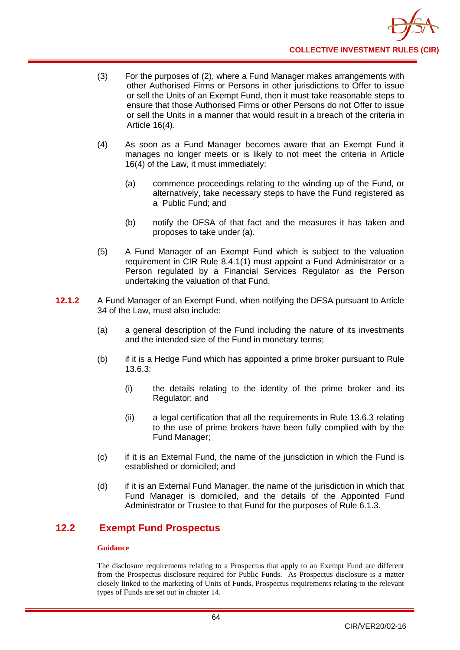- (3) For the purposes of (2), where a Fund Manager makes arrangements with other Authorised Firms or Persons in other jurisdictions to Offer to issue or sell the Units of an Exempt Fund, then it must take reasonable steps to ensure that those Authorised Firms or other Persons do not Offer to issue or sell the Units in a manner that would result in a breach of the criteria in Article 16(4).
- (4) As soon as a Fund Manager becomes aware that an Exempt Fund it manages no longer meets or is likely to not meet the criteria in Article 16(4) of the Law, it must immediately:
	- (a) commence proceedings relating to the winding up of the Fund, or alternatively, take necessary steps to have the Fund registered as a Public Fund; and
	- (b) notify the DFSA of that fact and the measures it has taken and proposes to take under (a).
- (5) A Fund Manager of an Exempt Fund which is subject to the valuation requirement in CIR Rule 8.4.1(1) must appoint a Fund Administrator or a Person regulated by a Financial Services Regulator as the Person undertaking the valuation of that Fund.
- **12.1.2** A Fund Manager of an Exempt Fund, when notifying the DFSA pursuant to Article 34 of the Law, must also include:
	- (a) a general description of the Fund including the nature of its investments and the intended size of the Fund in monetary terms;
	- (b) if it is a Hedge Fund which has appointed a prime broker pursuant to Rule 13.6.3:
		- (i) the details relating to the identity of the prime broker and its Regulator; and
		- (ii) a legal certification that all the requirements in Rule 13.6.3 relating to the use of prime brokers have been fully complied with by the Fund Manager;
	- (c) if it is an External Fund, the name of the jurisdiction in which the Fund is established or domiciled; and
	- (d) if it is an External Fund Manager, the name of the jurisdiction in which that Fund Manager is domiciled, and the details of the Appointed Fund Administrator or Trustee to that Fund for the purposes of Rule 6.1.3.

# **12.2 Exempt Fund Prospectus**

### **Guidance**

The disclosure requirements relating to a Prospectus that apply to an Exempt Fund are different from the Prospectus disclosure required for Public Funds. As Prospectus disclosure is a matter closely linked to the marketing of Units of Funds, Prospectus requirements relating to the relevant types of Funds are set out in chapter 14.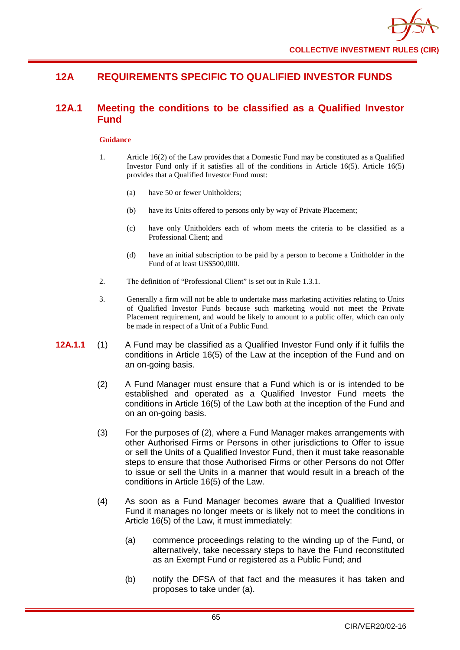# **12A REQUIREMENTS SPECIFIC TO QUALIFIED INVESTOR FUNDS**

# **12A.1 Meeting the conditions to be classified as a Qualified Investor Fund**

- 1. Article 16(2) of the Law provides that a Domestic Fund may be constituted as a Qualified Investor Fund only if it satisfies all of the conditions in Article 16(5). Article 16(5) provides that a Qualified Investor Fund must:
	- (a) have 50 or fewer Unitholders;
	- (b) have its Units offered to persons only by way of Private Placement;
	- (c) have only Unitholders each of whom meets the criteria to be classified as a Professional Client; and
	- (d) have an initial subscription to be paid by a person to become a Unitholder in the Fund of at least US\$500,000.
- 2. The definition of "Professional Client" is set out in Rule 1.3.1.
- 3. Generally a firm will not be able to undertake mass marketing activities relating to Units of Qualified Investor Funds because such marketing would not meet the Private Placement requirement, and would be likely to amount to a public offer, which can only be made in respect of a Unit of a Public Fund.
- **12A.1.1** (1) A Fund may be classified as a Qualified Investor Fund only if it fulfils the conditions in Article 16(5) of the Law at the inception of the Fund and on an on-going basis.
	- (2) A Fund Manager must ensure that a Fund which is or is intended to be established and operated as a Qualified Investor Fund meets the conditions in Article 16(5) of the Law both at the inception of the Fund and on an on-going basis.
	- (3) For the purposes of (2), where a Fund Manager makes arrangements with other Authorised Firms or Persons in other jurisdictions to Offer to issue or sell the Units of a Qualified Investor Fund, then it must take reasonable steps to ensure that those Authorised Firms or other Persons do not Offer to issue or sell the Units in a manner that would result in a breach of the conditions in Article 16(5) of the Law.
	- (4) As soon as a Fund Manager becomes aware that a Qualified Investor Fund it manages no longer meets or is likely not to meet the conditions in Article 16(5) of the Law, it must immediately:
		- (a) commence proceedings relating to the winding up of the Fund, or alternatively, take necessary steps to have the Fund reconstituted as an Exempt Fund or registered as a Public Fund; and
		- (b) notify the DFSA of that fact and the measures it has taken and proposes to take under (a).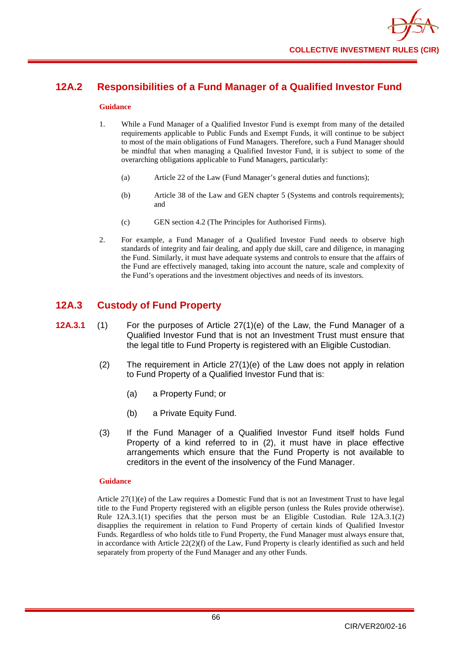# **12A.2 Responsibilities of a Fund Manager of a Qualified Investor Fund**

#### **Guidance**

- 1. While a Fund Manager of a Qualified Investor Fund is exempt from many of the detailed requirements applicable to Public Funds and Exempt Funds, it will continue to be subject to most of the main obligations of Fund Managers. Therefore, such a Fund Manager should be mindful that when managing a Qualified Investor Fund, it is subject to some of the overarching obligations applicable to Fund Managers, particularly:
	- (a) Article 22 of the Law (Fund Manager's general duties and functions);
	- (b) Article 38 of the Law and GEN chapter 5 (Systems and controls requirements); and
	- (c) GEN section 4.2 (The Principles for Authorised Firms).
- 2. For example, a Fund Manager of a Qualified Investor Fund needs to observe high standards of integrity and fair dealing, and apply due skill, care and diligence, in managing the Fund. Similarly, it must have adequate systems and controls to ensure that the affairs of the Fund are effectively managed, taking into account the nature, scale and complexity of the Fund's operations and the investment objectives and needs of its investors.

# **12A.3 Custody of Fund Property**

- **12A.3.1** (1) For the purposes of Article 27(1)(e) of the Law, the Fund Manager of a Qualified Investor Fund that is not an Investment Trust must ensure that the legal title to Fund Property is registered with an Eligible Custodian.
	- (2) The requirement in Article 27(1)(e) of the Law does not apply in relation to Fund Property of a Qualified Investor Fund that is:
		- (a) a Property Fund; or
		- (b) a Private Equity Fund.
	- (3) If the Fund Manager of a Qualified Investor Fund itself holds Fund Property of a kind referred to in (2), it must have in place effective arrangements which ensure that the Fund Property is not available to creditors in the event of the insolvency of the Fund Manager.

### **Guidance**

Article  $27(1)(e)$  of the Law requires a Domestic Fund that is not an Investment Trust to have legal title to the Fund Property registered with an eligible person (unless the Rules provide otherwise). Rule 12A.3.1(1) specifies that the person must be an Eligible Custodian. Rule 12A.3.1(2) disapplies the requirement in relation to Fund Property of certain kinds of Qualified Investor Funds. Regardless of who holds title to Fund Property, the Fund Manager must always ensure that, in accordance with Article  $22(2)(f)$  of the Law, Fund Property is clearly identified as such and held separately from property of the Fund Manager and any other Funds.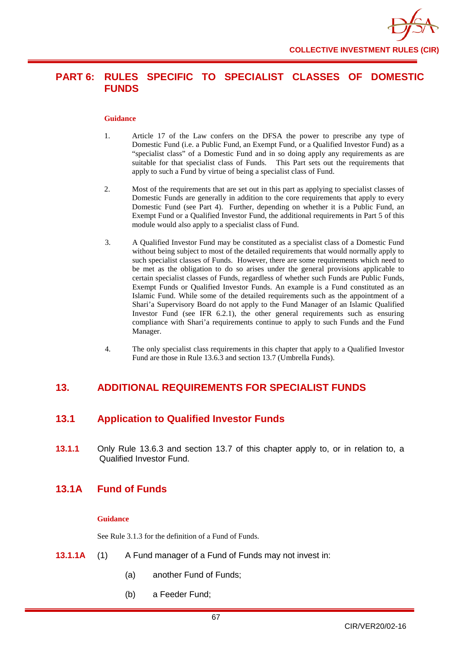

# **PART 6: RULES SPECIFIC TO SPECIALIST CLASSES OF DOMESTIC FUNDS**

#### **Guidance**

- 1. Article 17 of the Law confers on the DFSA the power to prescribe any type of Domestic Fund (i.e. a Public Fund, an Exempt Fund, or a Qualified Investor Fund) as a "specialist class" of a Domestic Fund and in so doing apply any requirements as are suitable for that specialist class of Funds. This Part sets out the requirements that apply to such a Fund by virtue of being a specialist class of Fund.
- 2. Most of the requirements that are set out in this part as applying to specialist classes of Domestic Funds are generally in addition to the core requirements that apply to every Domestic Fund (see Part 4). Further, depending on whether it is a Public Fund, an Exempt Fund or a Qualified Investor Fund, the additional requirements in Part 5 of this module would also apply to a specialist class of Fund.
- 3. A Qualified Investor Fund may be constituted as a specialist class of a Domestic Fund without being subject to most of the detailed requirements that would normally apply to such specialist classes of Funds. However, there are some requirements which need to be met as the obligation to do so arises under the general provisions applicable to certain specialist classes of Funds, regardless of whether such Funds are Public Funds, Exempt Funds or Qualified Investor Funds. An example is a Fund constituted as an Islamic Fund. While some of the detailed requirements such as the appointment of a Shari'a Supervisory Board do not apply to the Fund Manager of an Islamic Qualified Investor Fund (see IFR 6.2.1), the other general requirements such as ensuring compliance with Shari'a requirements continue to apply to such Funds and the Fund Manager.
- 4. The only specialist class requirements in this chapter that apply to a Qualified Investor Fund are those in Rule 13.6.3 and section 13.7 (Umbrella Funds).

# **13. ADDITIONAL REQUIREMENTS FOR SPECIALIST FUNDS**

# **13.1 Application to Qualified Investor Funds**

**13.1.1** Only Rule 13.6.3 and section 13.7 of this chapter apply to, or in relation to, a Qualified Investor Fund.

# **13.1A Fund of Funds**

#### **Guidance**

See Rule 3.1.3 for the definition of a Fund of Funds.

- **13.1.1A** (1) A Fund manager of a Fund of Funds may not invest in:
	- (a) another Fund of Funds;
	- (b) a Feeder Fund;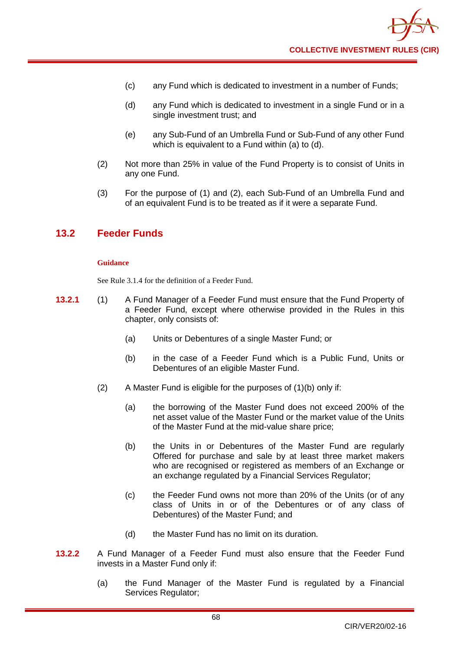- (c) any Fund which is dedicated to investment in a number of Funds;
- (d) any Fund which is dedicated to investment in a single Fund or in a single investment trust; and
- (e) any Sub-Fund of an Umbrella Fund or Sub-Fund of any other Fund which is equivalent to a Fund within (a) to (d).
- (2) Not more than 25% in value of the Fund Property is to consist of Units in any one Fund.
- (3) For the purpose of (1) and (2), each Sub-Fund of an Umbrella Fund and of an equivalent Fund is to be treated as if it were a separate Fund.

# **13.2 Feeder Funds**

#### **Guidance**

See Rule 3.1.4 for the definition of a Feeder Fund.

- **13.2.1** (1) A Fund Manager of a Feeder Fund must ensure that the Fund Property of a Feeder Fund, except where otherwise provided in the Rules in this chapter, only consists of:
	- (a) Units or Debentures of a single Master Fund; or
	- (b) in the case of a Feeder Fund which is a Public Fund, Units or Debentures of an eligible Master Fund.
	- (2) A Master Fund is eligible for the purposes of (1)(b) only if:
		- (a) the borrowing of the Master Fund does not exceed 200% of the net asset value of the Master Fund or the market value of the Units of the Master Fund at the mid-value share price;
		- (b) the Units in or Debentures of the Master Fund are regularly Offered for purchase and sale by at least three market makers who are recognised or registered as members of an Exchange or an exchange regulated by a Financial Services Regulator;
		- (c) the Feeder Fund owns not more than 20% of the Units (or of any class of Units in or of the Debentures or of any class of Debentures) of the Master Fund; and
		- (d) the Master Fund has no limit on its duration.
- **13.2.2** A Fund Manager of a Feeder Fund must also ensure that the Feeder Fund invests in a Master Fund only if:
	- (a) the Fund Manager of the Master Fund is regulated by a Financial Services Regulator;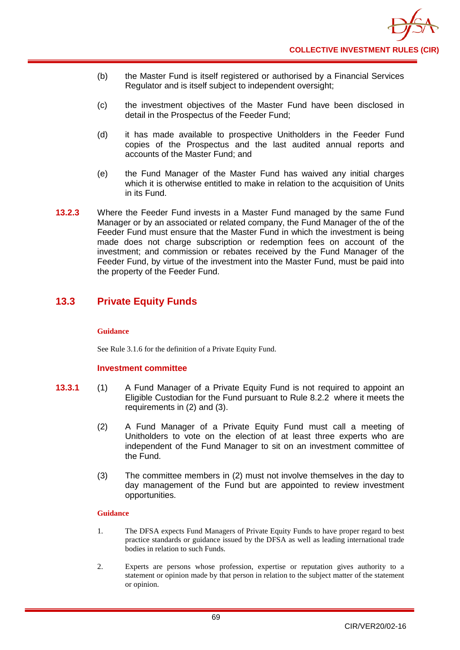- (b) the Master Fund is itself registered or authorised by a Financial Services Regulator and is itself subject to independent oversight;
- (c) the investment objectives of the Master Fund have been disclosed in detail in the Prospectus of the Feeder Fund;
- (d) it has made available to prospective Unitholders in the Feeder Fund copies of the Prospectus and the last audited annual reports and accounts of the Master Fund; and
- (e) the Fund Manager of the Master Fund has waived any initial charges which it is otherwise entitled to make in relation to the acquisition of Units in its Fund.
- **13.2.3** Where the Feeder Fund invests in a Master Fund managed by the same Fund Manager or by an associated or related company, the Fund Manager of the of the Feeder Fund must ensure that the Master Fund in which the investment is being made does not charge subscription or redemption fees on account of the investment; and commission or rebates received by the Fund Manager of the Feeder Fund, by virtue of the investment into the Master Fund, must be paid into the property of the Feeder Fund.

# **13.3 Private Equity Funds**

## **Guidance**

See Rule 3.1.6 for the definition of a Private Equity Fund.

## **Investment committee**

- **13.3.1** (1) A Fund Manager of a Private Equity Fund is not required to appoint an Eligible Custodian for the Fund pursuant to Rule 8.2.2 where it meets the requirements in (2) and (3).
	- (2) A Fund Manager of a Private Equity Fund must call a meeting of Unitholders to vote on the election of at least three experts who are independent of the Fund Manager to sit on an investment committee of the Fund.
	- (3) The committee members in (2) must not involve themselves in the day to day management of the Fund but are appointed to review investment opportunities.

## **Guidance**

- 1. The DFSA expects Fund Managers of Private Equity Funds to have proper regard to best practice standards or guidance issued by the DFSA as well as leading international trade bodies in relation to such Funds.
- 2. Experts are persons whose profession, expertise or reputation gives authority to a statement or opinion made by that person in relation to the subject matter of the statement or opinion.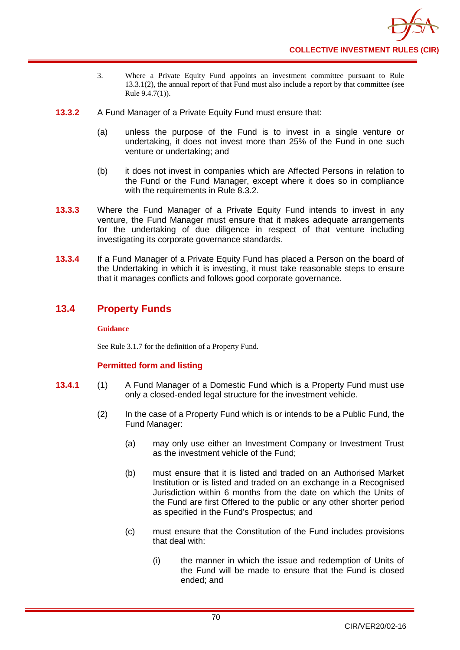

- 3. Where a Private Equity Fund appoints an investment committee pursuant to Rule 13.3.1(2), the annual report of that Fund must also include a report by that committee (see Rule 9.4.7(1)).
- **13.3.2** A Fund Manager of a Private Equity Fund must ensure that:
	- (a) unless the purpose of the Fund is to invest in a single venture or undertaking, it does not invest more than 25% of the Fund in one such venture or undertaking; and
	- (b) it does not invest in companies which are Affected Persons in relation to the Fund or the Fund Manager, except where it does so in compliance with the requirements in Rule 8.3.2.
- **13.3.3** Where the Fund Manager of a Private Equity Fund intends to invest in any venture, the Fund Manager must ensure that it makes adequate arrangements for the undertaking of due diligence in respect of that venture including investigating its corporate governance standards.
- **13.3.4** If a Fund Manager of a Private Equity Fund has placed a Person on the board of the Undertaking in which it is investing, it must take reasonable steps to ensure that it manages conflicts and follows good corporate governance.

# **13.4 Property Funds**

## **Guidance**

See Rule 3.1.7 for the definition of a Property Fund.

# **Permitted form and listing**

- **13.4.1** (1) A Fund Manager of a Domestic Fund which is a Property Fund must use only a closed-ended legal structure for the investment vehicle.
	- (2) In the case of a Property Fund which is or intends to be a Public Fund, the Fund Manager:
		- (a) may only use either an Investment Company or Investment Trust as the investment vehicle of the Fund;
		- (b) must ensure that it is listed and traded on an Authorised Market Institution or is listed and traded on an exchange in a Recognised Jurisdiction within 6 months from the date on which the Units of the Fund are first Offered to the public or any other shorter period as specified in the Fund's Prospectus; and
		- (c) must ensure that the Constitution of the Fund includes provisions that deal with:
			- (i) the manner in which the issue and redemption of Units of the Fund will be made to ensure that the Fund is closed ended; and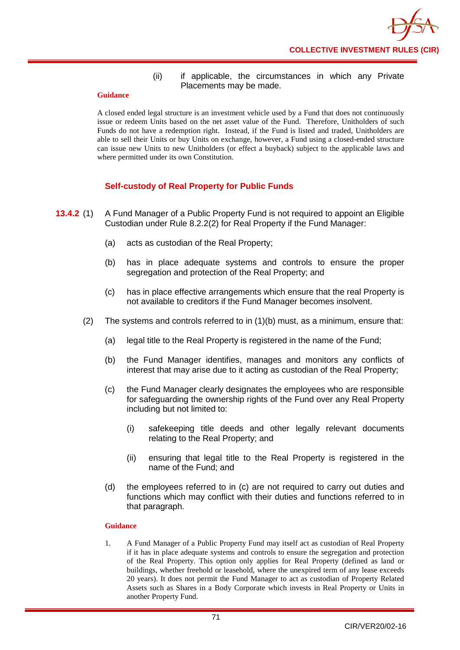## (ii) if applicable, the circumstances in which any Private Placements may be made.

#### **Guidance**

A closed ended legal structure is an investment vehicle used by a Fund that does not continuously issue or redeem Units based on the net asset value of the Fund. Therefore, Unitholders of such Funds do not have a redemption right. Instead, if the Fund is listed and traded, Unitholders are able to sell their Units or buy Units on exchange, however, a Fund using a closed-ended structure can issue new Units to new Unitholders (or effect a buyback) subject to the applicable laws and where permitted under its own Constitution.

# **Self-custody of Real Property for Public Funds**

- **13.4.2** (1) A Fund Manager of a Public Property Fund is not required to appoint an Eligible Custodian under Rule 8.2.2(2) for Real Property if the Fund Manager:
	- (a) acts as custodian of the Real Property;
	- (b) has in place adequate systems and controls to ensure the proper segregation and protection of the Real Property; and
	- (c) has in place effective arrangements which ensure that the real Property is not available to creditors if the Fund Manager becomes insolvent.
	- (2) The systems and controls referred to in (1)(b) must, as a minimum, ensure that:
		- (a) legal title to the Real Property is registered in the name of the Fund;
		- (b) the Fund Manager identifies, manages and monitors any conflicts of interest that may arise due to it acting as custodian of the Real Property;
		- (c) the Fund Manager clearly designates the employees who are responsible for safeguarding the ownership rights of the Fund over any Real Property including but not limited to:
			- (i) safekeeping title deeds and other legally relevant documents relating to the Real Property; and
			- (ii) ensuring that legal title to the Real Property is registered in the name of the Fund; and
		- (d) the employees referred to in (c) are not required to carry out duties and functions which may conflict with their duties and functions referred to in that paragraph.

## **Guidance**

1. A Fund Manager of a Public Property Fund may itself act as custodian of Real Property if it has in place adequate systems and controls to ensure the segregation and protection of the Real Property. This option only applies for Real Property (defined as land or buildings, whether freehold or leasehold, where the unexpired term of any lease exceeds 20 years). It does not permit the Fund Manager to act as custodian of Property Related Assets such as Shares in a Body Corporate which invests in Real Property or Units in another Property Fund.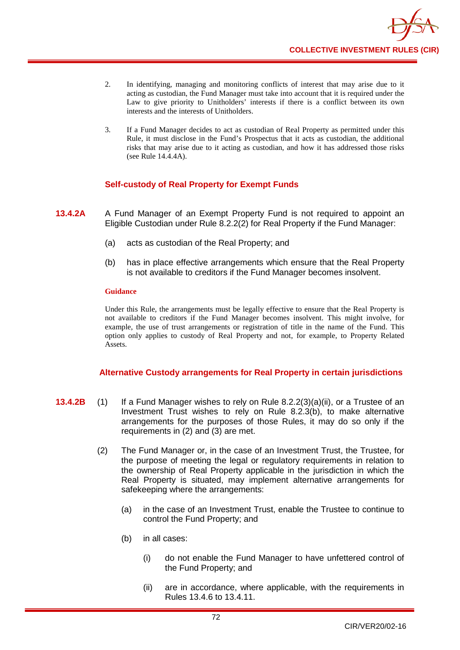

- 2. In identifying, managing and monitoring conflicts of interest that may arise due to it acting as custodian, the Fund Manager must take into account that it is required under the Law to give priority to Unitholders' interests if there is a conflict between its own interests and the interests of Unitholders.
- 3. If a Fund Manager decides to act as custodian of Real Property as permitted under this Rule, it must disclose in the Fund's Prospectus that it acts as custodian, the additional risks that may arise due to it acting as custodian, and how it has addressed those risks (see Rule 14.4.4A).

# **Self-custody of Real Property for Exempt Funds**

- **13.4.2A** A Fund Manager of an Exempt Property Fund is not required to appoint an Eligible Custodian under Rule 8.2.2(2) for Real Property if the Fund Manager:
	- (a) acts as custodian of the Real Property; and
	- (b) has in place effective arrangements which ensure that the Real Property is not available to creditors if the Fund Manager becomes insolvent.

#### **Guidance**

Under this Rule, the arrangements must be legally effective to ensure that the Real Property is not available to creditors if the Fund Manager becomes insolvent. This might involve, for example, the use of trust arrangements or registration of title in the name of the Fund. This option only applies to custody of Real Property and not, for example, to Property Related Assets.

## **Alternative Custody arrangements for Real Property in certain jurisdictions**

- **13.4.2B** (1) If a Fund Manager wishes to rely on Rule 8.2.2(3)(a)(ii), or a Trustee of an Investment Trust wishes to rely on Rule 8.2.3(b), to make alternative arrangements for the purposes of those Rules, it may do so only if the requirements in (2) and (3) are met.
	- (2) The Fund Manager or, in the case of an Investment Trust, the Trustee, for the purpose of meeting the legal or regulatory requirements in relation to the ownership of Real Property applicable in the jurisdiction in which the Real Property is situated, may implement alternative arrangements for safekeeping where the arrangements:
		- (a) in the case of an Investment Trust, enable the Trustee to continue to control the Fund Property; and
		- (b) in all cases:
			- (i) do not enable the Fund Manager to have unfettered control of the Fund Property; and
			- (ii) are in accordance, where applicable, with the requirements in Rules 13.4.6 to 13.4.11.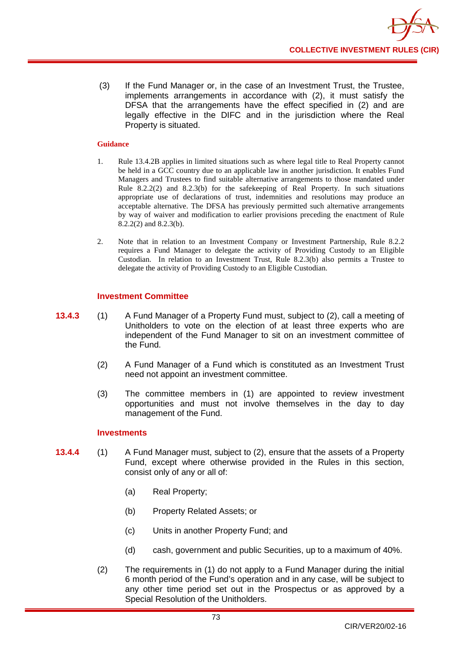(3) If the Fund Manager or, in the case of an Investment Trust, the Trustee, implements arrangements in accordance with (2), it must satisfy the DFSA that the arrangements have the effect specified in (2) and are legally effective in the DIFC and in the jurisdiction where the Real Property is situated.

### **Guidance**

- 1. Rule 13.4.2B applies in limited situations such as where legal title to Real Property cannot be held in a GCC country due to an applicable law in another jurisdiction. It enables Fund Managers and Trustees to find suitable alternative arrangements to those mandated under Rule 8.2.2(2) and 8.2.3(b) for the safekeeping of Real Property. In such situations appropriate use of declarations of trust, indemnities and resolutions may produce an acceptable alternative. The DFSA has previously permitted such alternative arrangements by way of waiver and modification to earlier provisions preceding the enactment of Rule 8.2.2(2) and 8.2.3(b).
- 2. Note that in relation to an Investment Company or Investment Partnership, Rule 8.2.2 requires a Fund Manager to delegate the activity of Providing Custody to an Eligible Custodian. In relation to an Investment Trust, Rule 8.2.3(b) also permits a Trustee to delegate the activity of Providing Custody to an Eligible Custodian.

## **Investment Committee**

- **13.4.3** (1) A Fund Manager of a Property Fund must, subject to (2), call a meeting of Unitholders to vote on the election of at least three experts who are independent of the Fund Manager to sit on an investment committee of the Fund.
	- (2) A Fund Manager of a Fund which is constituted as an Investment Trust need not appoint an investment committee.
	- (3) The committee members in (1) are appointed to review investment opportunities and must not involve themselves in the day to day management of the Fund.

## **Investments**

- **13.4.4** (1) A Fund Manager must, subject to (2), ensure that the assets of a Property Fund, except where otherwise provided in the Rules in this section, consist only of any or all of:
	- (a) Real Property;
	- (b) Property Related Assets; or
	- (c) Units in another Property Fund; and
	- (d) cash, government and public Securities, up to a maximum of 40%.
	- (2) The requirements in (1) do not apply to a Fund Manager during the initial 6 month period of the Fund's operation and in any case, will be subject to any other time period set out in the Prospectus or as approved by a Special Resolution of the Unitholders.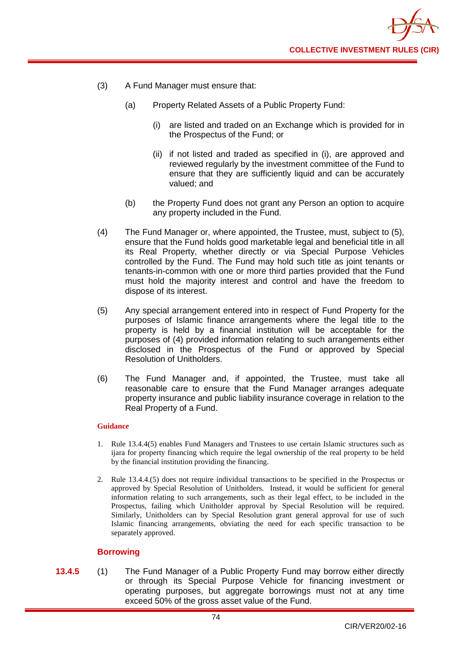

- (3) A Fund Manager must ensure that:
	- (a) Property Related Assets of a Public Property Fund:
		- (i) are listed and traded on an Exchange which is provided for in the Prospectus of the Fund; or
		- (ii) if not listed and traded as specified in (i), are approved and reviewed regularly by the investment committee of the Fund to ensure that they are sufficiently liquid and can be accurately valued; and
	- (b) the Property Fund does not grant any Person an option to acquire any property included in the Fund.
- (4) The Fund Manager or, where appointed, the Trustee, must, subject to (5), ensure that the Fund holds good marketable legal and beneficial title in all its Real Property, whether directly or via Special Purpose Vehicles controlled by the Fund. The Fund may hold such title as joint tenants or tenants-in-common with one or more third parties provided that the Fund must hold the majority interest and control and have the freedom to dispose of its interest.
- (5) Any special arrangement entered into in respect of Fund Property for the purposes of Islamic finance arrangements where the legal title to the property is held by a financial institution will be acceptable for the purposes of (4) provided information relating to such arrangements either disclosed in the Prospectus of the Fund or approved by Special Resolution of Unitholders.
- (6) The Fund Manager and, if appointed, the Trustee, must take all reasonable care to ensure that the Fund Manager arranges adequate property insurance and public liability insurance coverage in relation to the Real Property of a Fund.

- 1. Rule 13.4.4(5) enables Fund Managers and Trustees to use certain Islamic structures such as ijara for property financing which require the legal ownership of the real property to be held by the financial institution providing the financing.
- 2. Rule 13.4.4.(5) does not require individual transactions to be specified in the Prospectus or approved by Special Resolution of Unitholders. Instead, it would be sufficient for general information relating to such arrangements, such as their legal effect, to be included in the Prospectus, failing which Unitholder approval by Special Resolution will be required. Similarly, Unitholders can by Special Resolution grant general approval for use of such Islamic financing arrangements, obviating the need for each specific transaction to be separately approved.

## **Borrowing**

**13.4.5** (1) The Fund Manager of a Public Property Fund may borrow either directly or through its Special Purpose Vehicle for financing investment or operating purposes, but aggregate borrowings must not at any time exceed 50% of the gross asset value of the Fund.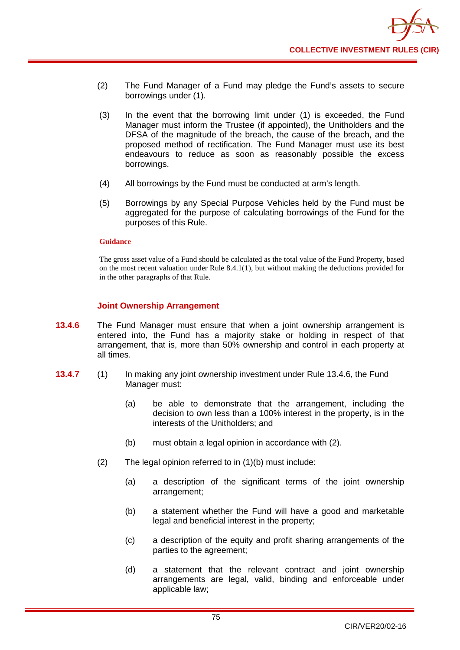- (2) The Fund Manager of a Fund may pledge the Fund's assets to secure borrowings under (1).
- (3) In the event that the borrowing limit under (1) is exceeded, the Fund Manager must inform the Trustee (if appointed), the Unitholders and the DFSA of the magnitude of the breach, the cause of the breach, and the proposed method of rectification. The Fund Manager must use its best endeavours to reduce as soon as reasonably possible the excess borrowings.
- (4) All borrowings by the Fund must be conducted at arm's length.
- (5) Borrowings by any Special Purpose Vehicles held by the Fund must be aggregated for the purpose of calculating borrowings of the Fund for the purposes of this Rule.

The gross asset value of a Fund should be calculated as the total value of the Fund Property, based on the most recent valuation under Rule 8.4.1(1), but without making the deductions provided for in the other paragraphs of that Rule.

## **Joint Ownership Arrangement**

- **13.4.6** The Fund Manager must ensure that when a joint ownership arrangement is entered into, the Fund has a majority stake or holding in respect of that arrangement, that is, more than 50% ownership and control in each property at all times.
- **13.4.7** (1) In making any joint ownership investment under Rule 13.4.6, the Fund Manager must:
	- (a) be able to demonstrate that the arrangement, including the decision to own less than a 100% interest in the property, is in the interests of the Unitholders; and
	- (b) must obtain a legal opinion in accordance with (2).
	- (2) The legal opinion referred to in (1)(b) must include:
		- (a) a description of the significant terms of the joint ownership arrangement;
		- (b) a statement whether the Fund will have a good and marketable legal and beneficial interest in the property;
		- (c) a description of the equity and profit sharing arrangements of the parties to the agreement;
		- (d) a statement that the relevant contract and joint ownership arrangements are legal, valid, binding and enforceable under applicable law;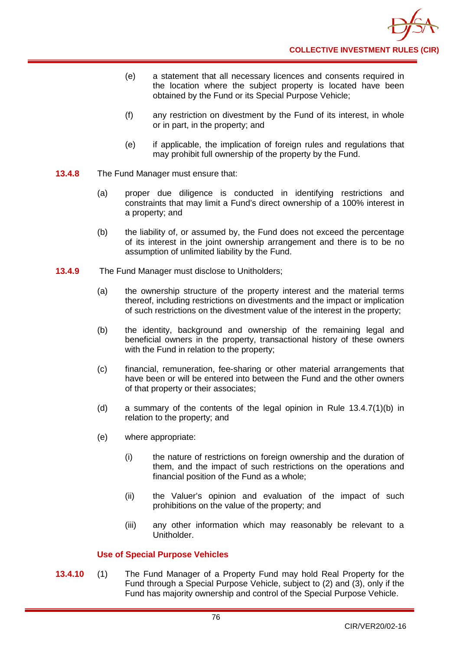- (e) a statement that all necessary licences and consents required in the location where the subject property is located have been obtained by the Fund or its Special Purpose Vehicle;
- (f) any restriction on divestment by the Fund of its interest, in whole or in part, in the property; and
- (e) if applicable, the implication of foreign rules and regulations that may prohibit full ownership of the property by the Fund.
- **13.4.8** The Fund Manager must ensure that:
	- (a) proper due diligence is conducted in identifying restrictions and constraints that may limit a Fund's direct ownership of a 100% interest in a property; and
	- (b) the liability of, or assumed by, the Fund does not exceed the percentage of its interest in the joint ownership arrangement and there is to be no assumption of unlimited liability by the Fund.
- **13.4.9** The Fund Manager must disclose to Unitholders;
	- (a) the ownership structure of the property interest and the material terms thereof, including restrictions on divestments and the impact or implication of such restrictions on the divestment value of the interest in the property;
	- (b) the identity, background and ownership of the remaining legal and beneficial owners in the property, transactional history of these owners with the Fund in relation to the property;
	- (c) financial, remuneration, fee-sharing or other material arrangements that have been or will be entered into between the Fund and the other owners of that property or their associates;
	- (d) a summary of the contents of the legal opinion in Rule 13.4.7(1)(b) in relation to the property; and
	- (e) where appropriate:
		- (i) the nature of restrictions on foreign ownership and the duration of them, and the impact of such restrictions on the operations and financial position of the Fund as a whole;
		- (ii) the Valuer's opinion and evaluation of the impact of such prohibitions on the value of the property; and
		- (iii) any other information which may reasonably be relevant to a Unitholder.

# **Use of Special Purpose Vehicles**

**13.4.10** (1) The Fund Manager of a Property Fund may hold Real Property for the Fund through a Special Purpose Vehicle, subject to (2) and (3), only if the Fund has majority ownership and control of the Special Purpose Vehicle.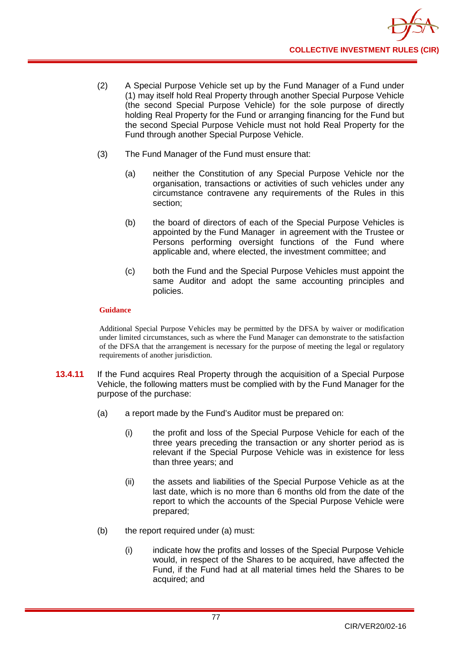

- (2) A Special Purpose Vehicle set up by the Fund Manager of a Fund under (1) may itself hold Real Property through another Special Purpose Vehicle (the second Special Purpose Vehicle) for the sole purpose of directly holding Real Property for the Fund or arranging financing for the Fund but the second Special Purpose Vehicle must not hold Real Property for the Fund through another Special Purpose Vehicle.
- (3) The Fund Manager of the Fund must ensure that:
	- (a) neither the Constitution of any Special Purpose Vehicle nor the organisation, transactions or activities of such vehicles under any circumstance contravene any requirements of the Rules in this section;
	- (b) the board of directors of each of the Special Purpose Vehicles is appointed by the Fund Manager in agreement with the Trustee or Persons performing oversight functions of the Fund where applicable and, where elected, the investment committee; and
	- (c) both the Fund and the Special Purpose Vehicles must appoint the same Auditor and adopt the same accounting principles and policies.

Additional Special Purpose Vehicles may be permitted by the DFSA by waiver or modification under limited circumstances, such as where the Fund Manager can demonstrate to the satisfaction of the DFSA that the arrangement is necessary for the purpose of meeting the legal or regulatory requirements of another jurisdiction.

- **13.4.11** If the Fund acquires Real Property through the acquisition of a Special Purpose Vehicle, the following matters must be complied with by the Fund Manager for the purpose of the purchase:
	- (a) a report made by the Fund's Auditor must be prepared on:
		- (i) the profit and loss of the Special Purpose Vehicle for each of the three years preceding the transaction or any shorter period as is relevant if the Special Purpose Vehicle was in existence for less than three years; and
		- (ii) the assets and liabilities of the Special Purpose Vehicle as at the last date, which is no more than 6 months old from the date of the report to which the accounts of the Special Purpose Vehicle were prepared;
	- (b) the report required under (a) must:
		- (i) indicate how the profits and losses of the Special Purpose Vehicle would, in respect of the Shares to be acquired, have affected the Fund, if the Fund had at all material times held the Shares to be acquired; and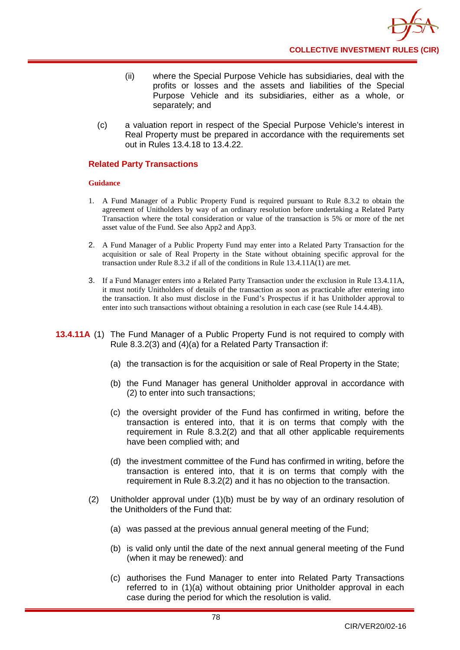- (ii) where the Special Purpose Vehicle has subsidiaries, deal with the profits or losses and the assets and liabilities of the Special Purpose Vehicle and its subsidiaries, either as a whole, or separately; and
- (c) a valuation report in respect of the Special Purpose Vehicle's interest in Real Property must be prepared in accordance with the requirements set out in Rules 13.4.18 to 13.4.22.

## **Related Party Transactions**

## **Guidance**

- 1. A Fund Manager of a Public Property Fund is required pursuant to Rule 8.3.2 to obtain the agreement of Unitholders by way of an ordinary resolution before undertaking a Related Party Transaction where the total consideration or value of the transaction is 5% or more of the net asset value of the Fund. See also App2 and App3.
- 2. A Fund Manager of a Public Property Fund may enter into a Related Party Transaction for the acquisition or sale of Real Property in the State without obtaining specific approval for the transaction under Rule 8.3.2 if all of the conditions in Rule 13.4.11A(1) are met.
- 3. If a Fund Manager enters into a Related Party Transaction under the exclusion in Rule 13.4.11A, it must notify Unitholders of details of the transaction as soon as practicable after entering into the transaction. It also must disclose in the Fund's Prospectus if it has Unitholder approval to enter into such transactions without obtaining a resolution in each case (see Rule 14.4.4B).
- **13.4.11A** (1) The Fund Manager of a Public Property Fund is not required to comply with Rule 8.3.2(3) and (4)(a) for a Related Party Transaction if:
	- (a) the transaction is for the acquisition or sale of Real Property in the State;
	- (b) the Fund Manager has general Unitholder approval in accordance with (2) to enter into such transactions;
	- (c) the oversight provider of the Fund has confirmed in writing, before the transaction is entered into, that it is on terms that comply with the requirement in Rule 8.3.2(2) and that all other applicable requirements have been complied with; and
	- (d) the investment committee of the Fund has confirmed in writing, before the transaction is entered into, that it is on terms that comply with the requirement in Rule 8.3.2(2) and it has no objection to the transaction.
	- (2) Unitholder approval under (1)(b) must be by way of an ordinary resolution of the Unitholders of the Fund that:
		- (a) was passed at the previous annual general meeting of the Fund;
		- (b) is valid only until the date of the next annual general meeting of the Fund (when it may be renewed): and
		- (c) authorises the Fund Manager to enter into Related Party Transactions referred to in (1)(a) without obtaining prior Unitholder approval in each case during the period for which the resolution is valid.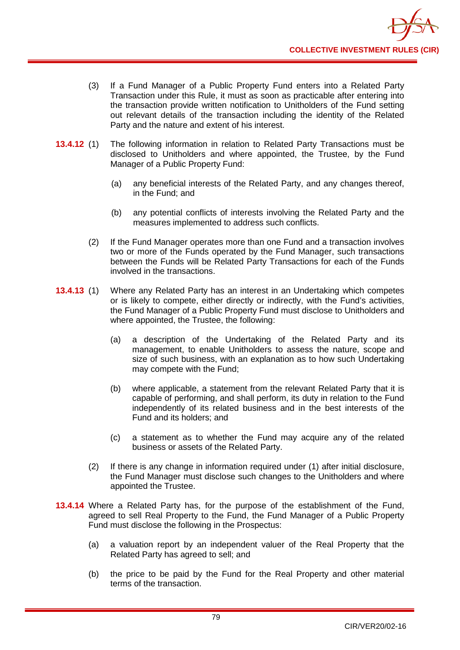- (3) If a Fund Manager of a Public Property Fund enters into a Related Party Transaction under this Rule, it must as soon as practicable after entering into the transaction provide written notification to Unitholders of the Fund setting out relevant details of the transaction including the identity of the Related Party and the nature and extent of his interest.
- **13.4.12** (1) The following information in relation to Related Party Transactions must be disclosed to Unitholders and where appointed, the Trustee, by the Fund Manager of a Public Property Fund:
	- (a) any beneficial interests of the Related Party, and any changes thereof, in the Fund; and
	- (b) any potential conflicts of interests involving the Related Party and the measures implemented to address such conflicts.
	- (2) If the Fund Manager operates more than one Fund and a transaction involves two or more of the Funds operated by the Fund Manager, such transactions between the Funds will be Related Party Transactions for each of the Funds involved in the transactions.
- **13.4.13** (1) Where any Related Party has an interest in an Undertaking which competes or is likely to compete, either directly or indirectly, with the Fund's activities, the Fund Manager of a Public Property Fund must disclose to Unitholders and where appointed, the Trustee, the following:
	- (a) a description of the Undertaking of the Related Party and its management, to enable Unitholders to assess the nature, scope and size of such business, with an explanation as to how such Undertaking may compete with the Fund;
	- (b) where applicable, a statement from the relevant Related Party that it is capable of performing, and shall perform, its duty in relation to the Fund independently of its related business and in the best interests of the Fund and its holders; and
	- (c) a statement as to whether the Fund may acquire any of the related business or assets of the Related Party.
	- (2) If there is any change in information required under (1) after initial disclosure, the Fund Manager must disclose such changes to the Unitholders and where appointed the Trustee.
- **13.4.14** Where a Related Party has, for the purpose of the establishment of the Fund, agreed to sell Real Property to the Fund, the Fund Manager of a Public Property Fund must disclose the following in the Prospectus:
	- (a) a valuation report by an independent valuer of the Real Property that the Related Party has agreed to sell; and
	- (b) the price to be paid by the Fund for the Real Property and other material terms of the transaction.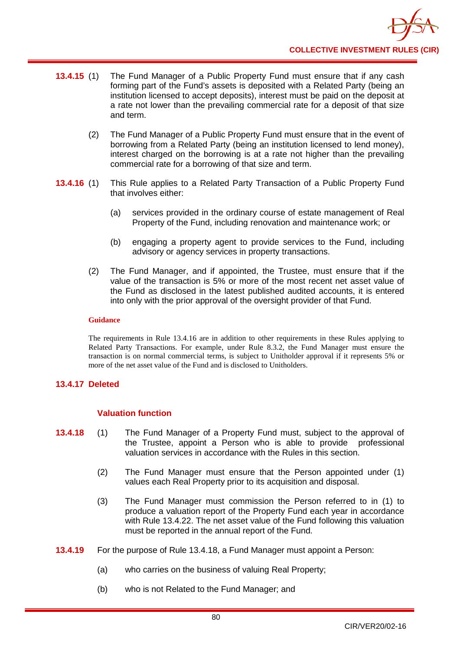- **13.4.15** (1) The Fund Manager of a Public Property Fund must ensure that if any cash forming part of the Fund's assets is deposited with a Related Party (being an institution licensed to accept deposits), interest must be paid on the deposit at a rate not lower than the prevailing commercial rate for a deposit of that size and term.
	- (2) The Fund Manager of a Public Property Fund must ensure that in the event of borrowing from a Related Party (being an institution licensed to lend money), interest charged on the borrowing is at a rate not higher than the prevailing commercial rate for a borrowing of that size and term.
- **13.4.16** (1) This Rule applies to a Related Party Transaction of a Public Property Fund that involves either:
	- (a) services provided in the ordinary course of estate management of Real Property of the Fund, including renovation and maintenance work; or
	- (b) engaging a property agent to provide services to the Fund, including advisory or agency services in property transactions.
	- (2) The Fund Manager, and if appointed, the Trustee, must ensure that if the value of the transaction is 5% or more of the most recent net asset value of the Fund as disclosed in the latest published audited accounts, it is entered into only with the prior approval of the oversight provider of that Fund.

The requirements in Rule 13.4.16 are in addition to other requirements in these Rules applying to Related Party Transactions. For example, under Rule 8.3.2, the Fund Manager must ensure the transaction is on normal commercial terms, is subject to Unitholder approval if it represents 5% or more of the net asset value of the Fund and is disclosed to Unitholders.

# **13.4.17 Deleted**

# **Valuation function**

- **13.4.18** (1) The Fund Manager of a Property Fund must, subject to the approval of the Trustee, appoint a Person who is able to provide professional valuation services in accordance with the Rules in this section.
	- (2) The Fund Manager must ensure that the Person appointed under (1) values each Real Property prior to its acquisition and disposal.
	- (3) The Fund Manager must commission the Person referred to in (1) to produce a valuation report of the Property Fund each year in accordance with Rule 13.4.22. The net asset value of the Fund following this valuation must be reported in the annual report of the Fund.
- **13.4.19** For the purpose of Rule 13.4.18, a Fund Manager must appoint a Person:
	- (a) who carries on the business of valuing Real Property;
	- (b) who is not Related to the Fund Manager; and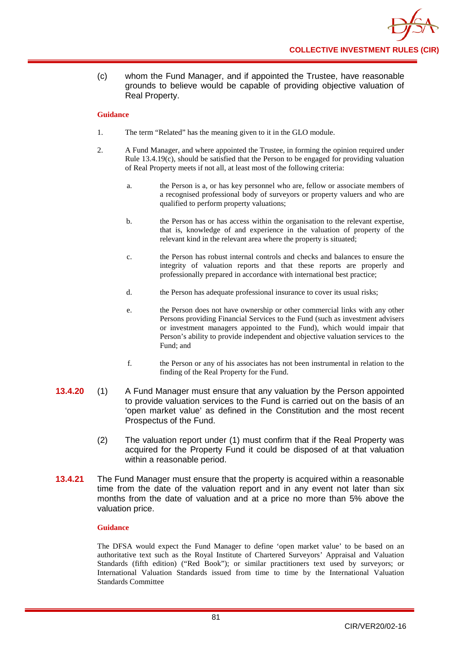(c) whom the Fund Manager, and if appointed the Trustee, have reasonable grounds to believe would be capable of providing objective valuation of Real Property.

### **Guidance**

- 1. The term "Related" has the meaning given to it in the GLO module.
- 2. A Fund Manager, and where appointed the Trustee, in forming the opinion required under Rule 13.4.19(c), should be satisfied that the Person to be engaged for providing valuation of Real Property meets if not all, at least most of the following criteria:
	- a. the Person is a, or has key personnel who are, fellow or associate members of a recognised professional body of surveyors or property valuers and who are qualified to perform property valuations;
	- b. the Person has or has access within the organisation to the relevant expertise, that is, knowledge of and experience in the valuation of property of the relevant kind in the relevant area where the property is situated;
	- c. the Person has robust internal controls and checks and balances to ensure the integrity of valuation reports and that these reports are properly and professionally prepared in accordance with international best practice;
	- d. the Person has adequate professional insurance to cover its usual risks;
	- e. the Person does not have ownership or other commercial links with any other Persons providing Financial Services to the Fund (such as investment advisers or investment managers appointed to the Fund), which would impair that Person's ability to provide independent and objective valuation services to the Fund; and
	- f. the Person or any of his associates has not been instrumental in relation to the finding of the Real Property for the Fund.
- **13.4.20** (1) A Fund Manager must ensure that any valuation by the Person appointed to provide valuation services to the Fund is carried out on the basis of an 'open market value' as defined in the Constitution and the most recent Prospectus of the Fund.
	- (2) The valuation report under (1) must confirm that if the Real Property was acquired for the Property Fund it could be disposed of at that valuation within a reasonable period.
- **13.4.21** The Fund Manager must ensure that the property is acquired within a reasonable time from the date of the valuation report and in any event not later than six months from the date of valuation and at a price no more than 5% above the valuation price.

#### **Guidance**

The DFSA would expect the Fund Manager to define 'open market value' to be based on an authoritative text such as the Royal Institute of Chartered Surveyors' Appraisal and Valuation Standards (fifth edition) ("Red Book"); or similar practitioners text used by surveyors; or International Valuation Standards issued from time to time by the International Valuation Standards Committee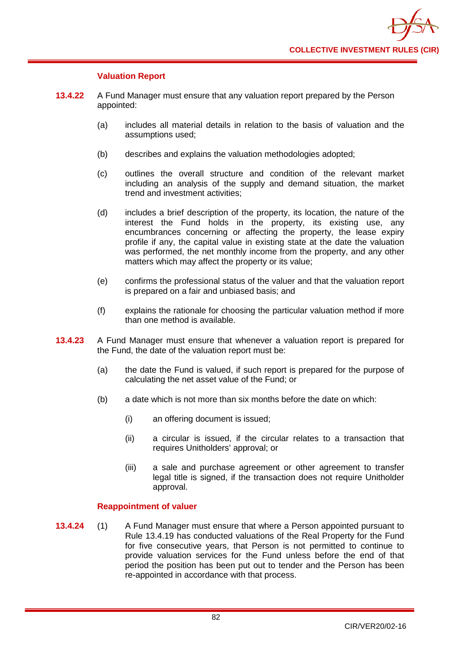

## **Valuation Report**

- **13.4.22** A Fund Manager must ensure that any valuation report prepared by the Person appointed:
	- (a) includes all material details in relation to the basis of valuation and the assumptions used;
	- (b) describes and explains the valuation methodologies adopted;
	- (c) outlines the overall structure and condition of the relevant market including an analysis of the supply and demand situation, the market trend and investment activities;
	- (d) includes a brief description of the property, its location, the nature of the interest the Fund holds in the property, its existing use, any encumbrances concerning or affecting the property, the lease expiry profile if any, the capital value in existing state at the date the valuation was performed, the net monthly income from the property, and any other matters which may affect the property or its value;
	- (e) confirms the professional status of the valuer and that the valuation report is prepared on a fair and unbiased basis; and
	- (f) explains the rationale for choosing the particular valuation method if more than one method is available.
- **13.4.23** A Fund Manager must ensure that whenever a valuation report is prepared for the Fund, the date of the valuation report must be:
	- (a) the date the Fund is valued, if such report is prepared for the purpose of calculating the net asset value of the Fund; or
	- (b) a date which is not more than six months before the date on which:
		- (i) an offering document is issued;
		- (ii) a circular is issued, if the circular relates to a transaction that requires Unitholders' approval; or
		- (iii) a sale and purchase agreement or other agreement to transfer legal title is signed, if the transaction does not require Unitholder approval.

## **Reappointment of valuer**

**13.4.24** (1) A Fund Manager must ensure that where a Person appointed pursuant to Rule 13.4.19 has conducted valuations of the Real Property for the Fund for five consecutive years, that Person is not permitted to continue to provide valuation services for the Fund unless before the end of that period the position has been put out to tender and the Person has been re-appointed in accordance with that process.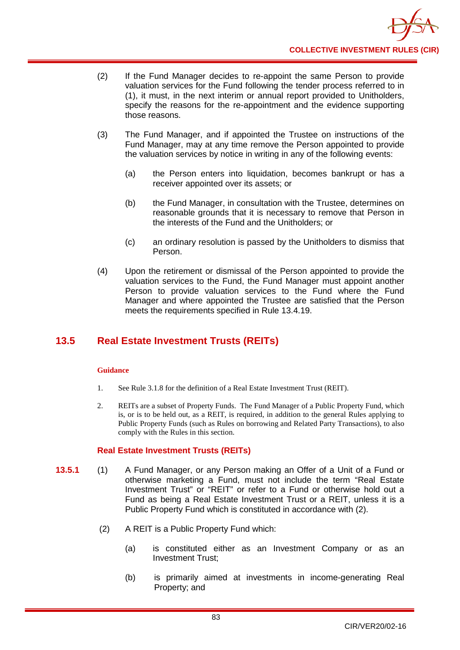- (2) If the Fund Manager decides to re-appoint the same Person to provide valuation services for the Fund following the tender process referred to in (1), it must, in the next interim or annual report provided to Unitholders, specify the reasons for the re-appointment and the evidence supporting those reasons.
- (3) The Fund Manager, and if appointed the Trustee on instructions of the Fund Manager, may at any time remove the Person appointed to provide the valuation services by notice in writing in any of the following events:
	- (a) the Person enters into liquidation, becomes bankrupt or has a receiver appointed over its assets; or
	- (b) the Fund Manager, in consultation with the Trustee, determines on reasonable grounds that it is necessary to remove that Person in the interests of the Fund and the Unitholders; or
	- (c) an ordinary resolution is passed by the Unitholders to dismiss that Person.
- (4) Upon the retirement or dismissal of the Person appointed to provide the valuation services to the Fund, the Fund Manager must appoint another Person to provide valuation services to the Fund where the Fund Manager and where appointed the Trustee are satisfied that the Person meets the requirements specified in Rule 13.4.19.

# **13.5 Real Estate Investment Trusts (REITs)**

## **Guidance**

- 1. See Rule 3.1.8 for the definition of a Real Estate Investment Trust (REIT).
- 2. REITs are a subset of Property Funds. The Fund Manager of a Public Property Fund, which is, or is to be held out, as a REIT, is required, in addition to the general Rules applying to Public Property Funds (such as Rules on borrowing and Related Party Transactions), to also comply with the Rules in this section.

# **Real Estate Investment Trusts (REITs)**

- **13.5.1** (1) A Fund Manager, or any Person making an Offer of a Unit of a Fund or otherwise marketing a Fund, must not include the term "Real Estate Investment Trust" or "REIT" or refer to a Fund or otherwise hold out a Fund as being a Real Estate Investment Trust or a REIT, unless it is a Public Property Fund which is constituted in accordance with (2).
	- (2) A REIT is a Public Property Fund which:
		- (a) is constituted either as an Investment Company or as an Investment Trust;
		- (b) is primarily aimed at investments in income-generating Real Property; and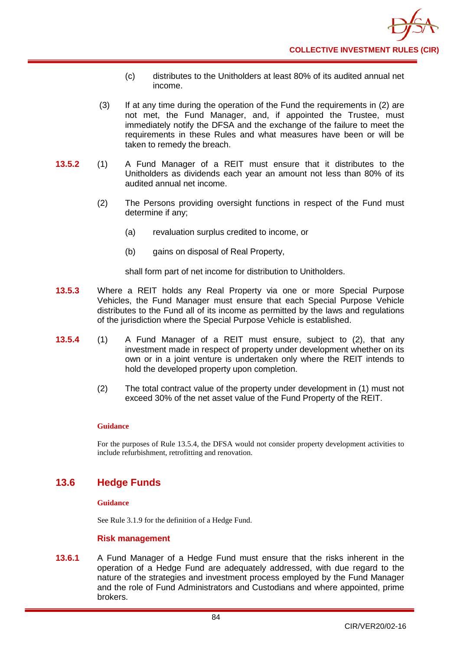- (c) distributes to the Unitholders at least 80% of its audited annual net income.
- (3) If at any time during the operation of the Fund the requirements in (2) are not met, the Fund Manager, and, if appointed the Trustee, must immediately notify the DFSA and the exchange of the failure to meet the requirements in these Rules and what measures have been or will be taken to remedy the breach.
- **13.5.2** (1) A Fund Manager of a REIT must ensure that it distributes to the Unitholders as dividends each year an amount not less than 80% of its audited annual net income.
	- (2) The Persons providing oversight functions in respect of the Fund must determine if any;
		- (a) revaluation surplus credited to income, or
		- (b) gains on disposal of Real Property,

shall form part of net income for distribution to Unitholders.

- **13.5.3** Where a REIT holds any Real Property via one or more Special Purpose Vehicles, the Fund Manager must ensure that each Special Purpose Vehicle distributes to the Fund all of its income as permitted by the laws and regulations of the jurisdiction where the Special Purpose Vehicle is established.
- **13.5.4** (1) A Fund Manager of a REIT must ensure, subject to (2), that any investment made in respect of property under development whether on its own or in a joint venture is undertaken only where the REIT intends to hold the developed property upon completion.
	- (2) The total contract value of the property under development in (1) must not exceed 30% of the net asset value of the Fund Property of the REIT.

## **Guidance**

For the purposes of Rule 13.5.4, the DFSA would not consider property development activities to include refurbishment, retrofitting and renovation.

# **13.6 Hedge Funds**

## **Guidance**

See Rule 3.1.9 for the definition of a Hedge Fund.

## **Risk management**

**13.6.1** A Fund Manager of a Hedge Fund must ensure that the risks inherent in the operation of a Hedge Fund are adequately addressed, with due regard to the nature of the strategies and investment process employed by the Fund Manager and the role of Fund Administrators and Custodians and where appointed, prime brokers.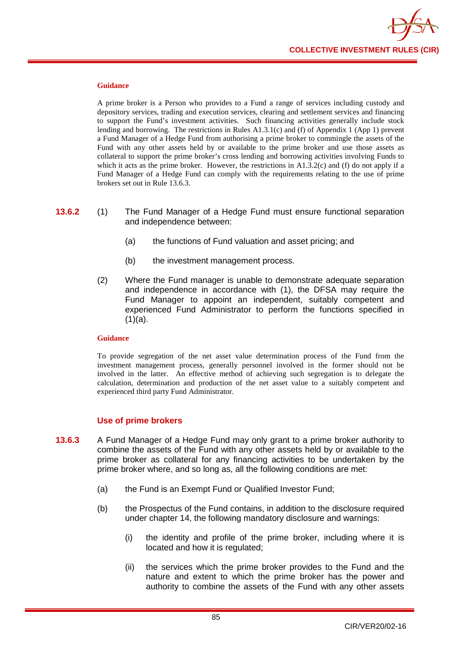

A prime broker is a Person who provides to a Fund a range of services including custody and depository services, trading and execution services, clearing and settlement services and financing to support the Fund's investment activities. Such financing activities generally include stock lending and borrowing. The restrictions in Rules A1.3.1(c) and (f) of Appendix 1 (App 1) prevent a Fund Manager of a Hedge Fund from authorising a prime broker to commingle the assets of the Fund with any other assets held by or available to the prime broker and use those assets as collateral to support the prime broker's cross lending and borrowing activities involving Funds to which it acts as the prime broker. However, the restrictions in  $A1.3.2(c)$  and (f) do not apply if a Fund Manager of a Hedge Fund can comply with the requirements relating to the use of prime brokers set out in Rule 13.6.3.

- **13.6.2** (1) The Fund Manager of a Hedge Fund must ensure functional separation and independence between:
	- (a) the functions of Fund valuation and asset pricing; and
	- (b) the investment management process.
	- (2) Where the Fund manager is unable to demonstrate adequate separation and independence in accordance with (1), the DFSA may require the Fund Manager to appoint an independent, suitably competent and experienced Fund Administrator to perform the functions specified in  $(1)(a)$ .

#### **Guidance**

To provide segregation of the net asset value determination process of the Fund from the investment management process, generally personnel involved in the former should not be involved in the latter. An effective method of achieving such segregation is to delegate the calculation, determination and production of the net asset value to a suitably competent and experienced third party Fund Administrator.

## **Use of prime brokers**

- **13.6.3** A Fund Manager of a Hedge Fund may only grant to a prime broker authority to combine the assets of the Fund with any other assets held by or available to the prime broker as collateral for any financing activities to be undertaken by the prime broker where, and so long as, all the following conditions are met:
	- (a) the Fund is an Exempt Fund or Qualified Investor Fund;
	- (b) the Prospectus of the Fund contains, in addition to the disclosure required under chapter 14, the following mandatory disclosure and warnings:
		- (i) the identity and profile of the prime broker, including where it is located and how it is regulated;
		- (ii) the services which the prime broker provides to the Fund and the nature and extent to which the prime broker has the power and authority to combine the assets of the Fund with any other assets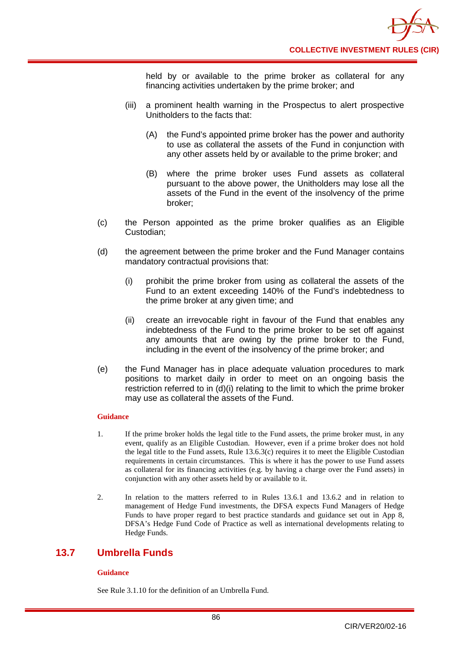held by or available to the prime broker as collateral for any financing activities undertaken by the prime broker; and

- (iii) a prominent health warning in the Prospectus to alert prospective Unitholders to the facts that:
	- (A) the Fund's appointed prime broker has the power and authority to use as collateral the assets of the Fund in conjunction with any other assets held by or available to the prime broker; and
	- (B) where the prime broker uses Fund assets as collateral pursuant to the above power, the Unitholders may lose all the assets of the Fund in the event of the insolvency of the prime broker;
- (c) the Person appointed as the prime broker qualifies as an Eligible Custodian;
- (d) the agreement between the prime broker and the Fund Manager contains mandatory contractual provisions that:
	- (i) prohibit the prime broker from using as collateral the assets of the Fund to an extent exceeding 140% of the Fund's indebtedness to the prime broker at any given time; and
	- (ii) create an irrevocable right in favour of the Fund that enables any indebtedness of the Fund to the prime broker to be set off against any amounts that are owing by the prime broker to the Fund, including in the event of the insolvency of the prime broker; and
- (e) the Fund Manager has in place adequate valuation procedures to mark positions to market daily in order to meet on an ongoing basis the restriction referred to in (d)(i) relating to the limit to which the prime broker may use as collateral the assets of the Fund.

## **Guidance**

- 1. If the prime broker holds the legal title to the Fund assets, the prime broker must, in any event, qualify as an Eligible Custodian. However, even if a prime broker does not hold the legal title to the Fund assets, Rule 13.6.3(c) requires it to meet the Eligible Custodian requirements in certain circumstances. This is where it has the power to use Fund assets as collateral for its financing activities (e.g. by having a charge over the Fund assets) in conjunction with any other assets held by or available to it.
- 2. In relation to the matters referred to in Rules 13.6.1 and 13.6.2 and in relation to management of Hedge Fund investments, the DFSA expects Fund Managers of Hedge Funds to have proper regard to best practice standards and guidance set out in App 8, DFSA's Hedge Fund Code of Practice as well as international developments relating to Hedge Funds.

# **13.7 Umbrella Funds**

## **Guidance**

See Rule 3.1.10 for the definition of an Umbrella Fund.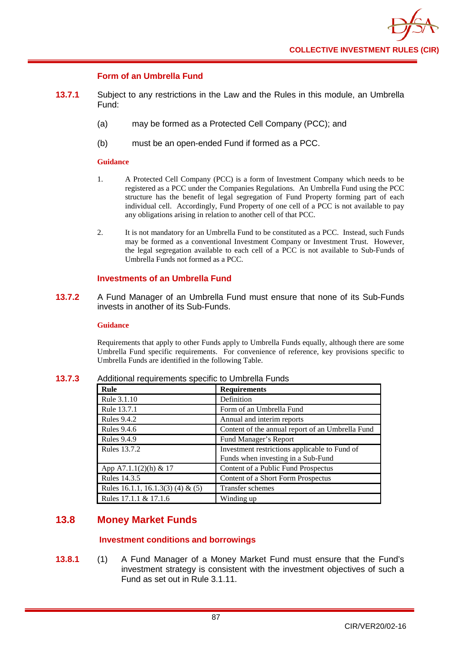

## **Form of an Umbrella Fund**

- **13.7.1** Subject to any restrictions in the Law and the Rules in this module, an Umbrella Fund:
	- (a) may be formed as a Protected Cell Company (PCC); and
	- (b) must be an open-ended Fund if formed as a PCC.

#### **Guidance**

- 1. A Protected Cell Company (PCC) is a form of Investment Company which needs to be registered as a PCC under the Companies Regulations. An Umbrella Fund using the PCC structure has the benefit of legal segregation of Fund Property forming part of each individual cell. Accordingly, Fund Property of one cell of a PCC is not available to pay any obligations arising in relation to another cell of that PCC.
- 2. It is not mandatory for an Umbrella Fund to be constituted as a PCC. Instead, such Funds may be formed as a conventional Investment Company or Investment Trust. However, the legal segregation available to each cell of a PCC is not available to Sub-Funds of Umbrella Funds not formed as a PCC.

# **Investments of an Umbrella Fund**

**13.7.2** A Fund Manager of an Umbrella Fund must ensure that none of its Sub-Funds invests in another of its Sub-Funds.

#### **Guidance**

Requirements that apply to other Funds apply to Umbrella Funds equally, although there are some Umbrella Fund specific requirements. For convenience of reference, key provisions specific to Umbrella Funds are identified in the following Table.

| Rule                              | <b>Requirements</b>                                                                 |
|-----------------------------------|-------------------------------------------------------------------------------------|
| Rule 3.1.10                       | Definition                                                                          |
| Rule 13.7.1                       | Form of an Umbrella Fund                                                            |
| <b>Rules 9.4.2</b>                | Annual and interim reports                                                          |
| <b>Rules 9.4.6</b>                | Content of the annual report of an Umbrella Fund                                    |
| <b>Rules 9.4.9</b>                | Fund Manager's Report                                                               |
| <b>Rules 13.7.2</b>               | Investment restrictions applicable to Fund of<br>Funds when investing in a Sub-Fund |
| App A7.1.1(2)(h) & 17             | Content of a Public Fund Prospectus                                                 |
| Rules 14.3.5                      | Content of a Short Form Prospectus                                                  |
| Rules 16.1.1, 16.1.3(3) (4) & (5) | Transfer schemes                                                                    |
| Rules 17.1.1 & 17.1.6             | Winding up                                                                          |

**13.7.3** Additional requirements specific to Umbrella Funds

# **13.8 Money Market Funds**

# **Investment conditions and borrowings**

**13.8.1** (1) A Fund Manager of a Money Market Fund must ensure that the Fund's investment strategy is consistent with the investment objectives of such a Fund as set out in Rule 3.1.11.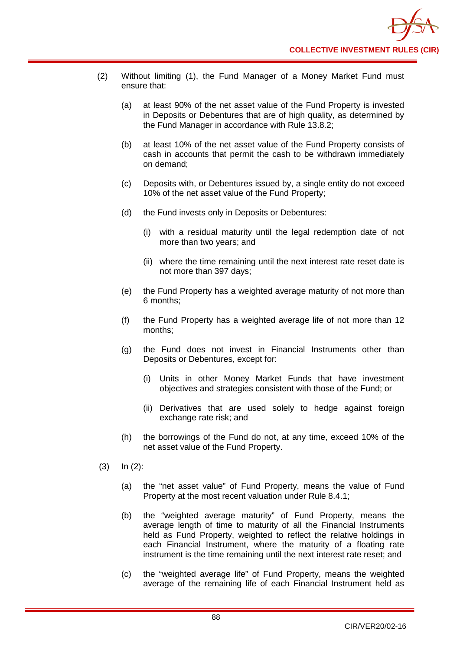- (2) Without limiting (1), the Fund Manager of a Money Market Fund must ensure that:
	- (a) at least 90% of the net asset value of the Fund Property is invested in Deposits or Debentures that are of high quality, as determined by the Fund Manager in accordance with Rule 13.8.2;
	- (b) at least 10% of the net asset value of the Fund Property consists of cash in accounts that permit the cash to be withdrawn immediately on demand;
	- (c) Deposits with, or Debentures issued by, a single entity do not exceed 10% of the net asset value of the Fund Property;
	- (d) the Fund invests only in Deposits or Debentures:
		- (i) with a residual maturity until the legal redemption date of not more than two years; and
		- (ii) where the time remaining until the next interest rate reset date is not more than 397 days;
	- (e) the Fund Property has a weighted average maturity of not more than 6 months;
	- (f) the Fund Property has a weighted average life of not more than 12 months;
	- (g) the Fund does not invest in Financial Instruments other than Deposits or Debentures, except for:
		- (i) Units in other Money Market Funds that have investment objectives and strategies consistent with those of the Fund; or
		- (ii) Derivatives that are used solely to hedge against foreign exchange rate risk; and
	- (h) the borrowings of the Fund do not, at any time, exceed 10% of the net asset value of the Fund Property.
- (3) In (2):
	- (a) the "net asset value" of Fund Property, means the value of Fund Property at the most recent valuation under Rule 8.4.1;
	- (b) the "weighted average maturity" of Fund Property, means the average length of time to maturity of all the Financial Instruments held as Fund Property, weighted to reflect the relative holdings in each Financial Instrument, where the maturity of a floating rate instrument is the time remaining until the next interest rate reset; and
	- (c) the "weighted average life" of Fund Property, means the weighted average of the remaining life of each Financial Instrument held as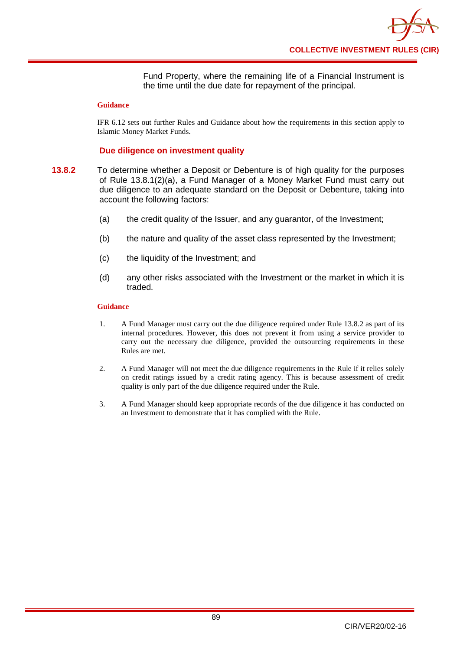Fund Property, where the remaining life of a Financial Instrument is the time until the due date for repayment of the principal.

#### **Guidance**

IFR 6.12 sets out further Rules and Guidance about how the requirements in this section apply to Islamic Money Market Funds.

## **Due diligence on investment quality**

- **13.8.2** To determine whether a Deposit or Debenture is of high quality for the purposes of Rule 13.8.1(2)(a), a Fund Manager of a Money Market Fund must carry out due diligence to an adequate standard on the Deposit or Debenture, taking into account the following factors:
	- (a) the credit quality of the Issuer, and any guarantor, of the Investment;
	- (b) the nature and quality of the asset class represented by the Investment;
	- (c) the liquidity of the Investment; and
	- (d) any other risks associated with the Investment or the market in which it is traded.

#### **Guidance**

- 1. A Fund Manager must carry out the due diligence required under Rule 13.8.2 as part of its internal procedures. However, this does not prevent it from using a service provider to carry out the necessary due diligence, provided the outsourcing requirements in these Rules are met.
- 2. A Fund Manager will not meet the due diligence requirements in the Rule if it relies solely on credit ratings issued by a credit rating agency. This is because assessment of credit quality is only part of the due diligence required under the Rule.
- 3. A Fund Manager should keep appropriate records of the due diligence it has conducted on an Investment to demonstrate that it has complied with the Rule.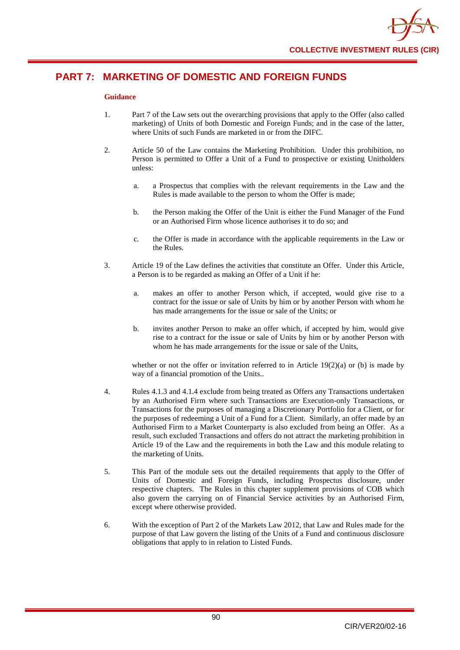

# **PART 7: MARKETING OF DOMESTIC AND FOREIGN FUNDS**

## **Guidance**

- 1. Part 7 of the Law sets out the overarching provisions that apply to the Offer (also called marketing) of Units of both Domestic and Foreign Funds; and in the case of the latter, where Units of such Funds are marketed in or from the DIFC.
- 2. Article 50 of the Law contains the Marketing Prohibition. Under this prohibition, no Person is permitted to Offer a Unit of a Fund to prospective or existing Unitholders unless:
	- a. a Prospectus that complies with the relevant requirements in the Law and the Rules is made available to the person to whom the Offer is made;
	- b. the Person making the Offer of the Unit is either the Fund Manager of the Fund or an Authorised Firm whose licence authorises it to do so; and
	- c. the Offer is made in accordance with the applicable requirements in the Law or the Rules.
- 3. Article 19 of the Law defines the activities that constitute an Offer. Under this Article, a Person is to be regarded as making an Offer of a Unit if he:
	- a. makes an offer to another Person which, if accepted, would give rise to a contract for the issue or sale of Units by him or by another Person with whom he has made arrangements for the issue or sale of the Units; or
	- b. invites another Person to make an offer which, if accepted by him, would give rise to a contract for the issue or sale of Units by him or by another Person with whom he has made arrangements for the issue or sale of the Units,

whether or not the offer or invitation referred to in Article  $19(2)(a)$  or (b) is made by way of a financial promotion of the Units..

- 4. Rules 4.1.3 and 4.1.4 exclude from being treated as Offers any Transactions undertaken by an Authorised Firm where such Transactions are Execution-only Transactions, or Transactions for the purposes of managing a Discretionary Portfolio for a Client, or for the purposes of redeeming a Unit of a Fund for a Client. Similarly, an offer made by an Authorised Firm to a Market Counterparty is also excluded from being an Offer. As a result, such excluded Transactions and offers do not attract the marketing prohibition in Article 19 of the Law and the requirements in both the Law and this module relating to the marketing of Units.
- 5. This Part of the module sets out the detailed requirements that apply to the Offer of Units of Domestic and Foreign Funds, including Prospectus disclosure, under respective chapters. The Rules in this chapter supplement provisions of COB which also govern the carrying on of Financial Service activities by an Authorised Firm, except where otherwise provided.
- 6. With the exception of Part 2 of the Markets Law 2012, that Law and Rules made for the purpose of that Law govern the listing of the Units of a Fund and continuous disclosure obligations that apply to in relation to Listed Funds.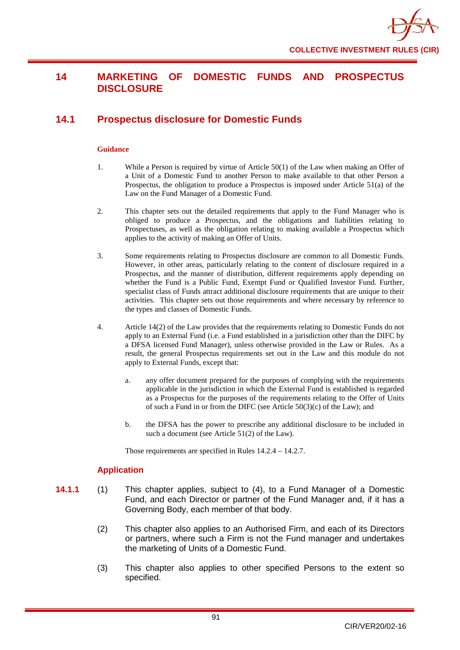# **14 MARKETING OF DOMESTIC FUNDS AND PROSPECTUS DISCLOSURE**

# **14.1 Prospectus disclosure for Domestic Funds**

### **Guidance**

- 1. While a Person is required by virtue of Article 50(1) of the Law when making an Offer of a Unit of a Domestic Fund to another Person to make available to that other Person a Prospectus, the obligation to produce a Prospectus is imposed under Article 51(a) of the Law on the Fund Manager of a Domestic Fund.
- 2. This chapter sets out the detailed requirements that apply to the Fund Manager who is obliged to produce a Prospectus, and the obligations and liabilities relating to Prospectuses, as well as the obligation relating to making available a Prospectus which applies to the activity of making an Offer of Units.
- 3. Some requirements relating to Prospectus disclosure are common to all Domestic Funds. However, in other areas, particularly relating to the content of disclosure required in a Prospectus, and the manner of distribution, different requirements apply depending on whether the Fund is a Public Fund, Exempt Fund or Qualified Investor Fund. Further, specialist class of Funds attract additional disclosure requirements that are unique to their activities. This chapter sets out those requirements and where necessary by reference to the types and classes of Domestic Funds.
- 4. Article 14(2) of the Law provides that the requirements relating to Domestic Funds do not apply to an External Fund (i.e. a Fund established in a jurisdiction other than the DIFC by a DFSA licensed Fund Manager), unless otherwise provided in the Law or Rules. As a result, the general Prospectus requirements set out in the Law and this module do not apply to External Funds, except that:
	- a. any offer document prepared for the purposes of complying with the requirements applicable in the jurisdiction in which the External Fund is established is regarded as a Prospectus for the purposes of the requirements relating to the Offer of Units of such a Fund in or from the DIFC (see Article 50(3)(c) of the Law); and
	- b. the DFSA has the power to prescribe any additional disclosure to be included in such a document (see Article 51(2) of the Law).

Those requirements are specified in Rules 14.2.4 – 14.2.7.

# **Application**

- **14.1.1** (1) This chapter applies, subject to (4), to a Fund Manager of a Domestic Fund, and each Director or partner of the Fund Manager and, if it has a Governing Body, each member of that body.
	- (2) This chapter also applies to an Authorised Firm, and each of its Directors or partners, where such a Firm is not the Fund manager and undertakes the marketing of Units of a Domestic Fund.
	- (3) This chapter also applies to other specified Persons to the extent so specified.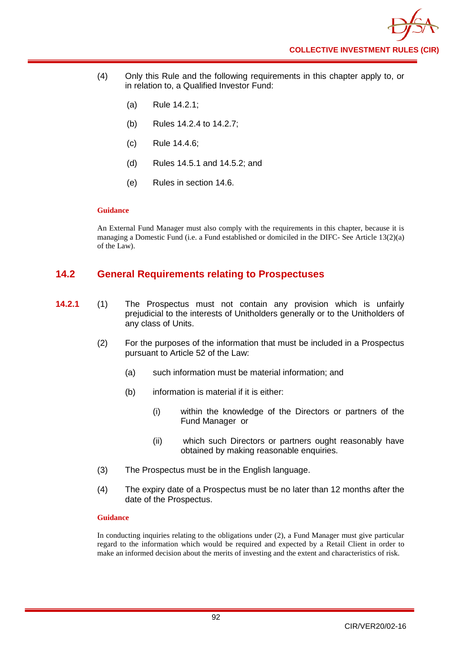- (4) Only this Rule and the following requirements in this chapter apply to, or in relation to, a Qualified Investor Fund:
	- (a) Rule 14.2.1;
	- (b) Rules 14.2.4 to 14.2.7;
	- (c) Rule 14.4.6;
	- (d) Rules 14.5.1 and 14.5.2; and
	- (e) Rules in section 14.6.

An External Fund Manager must also comply with the requirements in this chapter, because it is managing a Domestic Fund (i.e. a Fund established or domiciled in the DIFC- See Article 13(2)(a) of the Law).

# **14.2 General Requirements relating to Prospectuses**

- **14.2.1** (1) The Prospectus must not contain any provision which is unfairly prejudicial to the interests of [Unitholders](http://fsahandbook.info/FSA/glossary.jsp?doc=glossary%5Cglossary&gloss=G1233#G1233) generally or to the [Unitholders](http://fsahandbook.info/FSA/glossary.jsp?doc=glossary%5Cglossary&gloss=G1233#G1233) of any [class](http://fsahandbook.info/FSA/glossary.jsp?doc=glossary%5Cglossary&gloss=G152#G152) of [Units.](http://fsahandbook.info/FSA/glossary.jsp?doc=glossary%5Cglossary&gloss=G1230#G1230)
	- (2) For the purposes of the information that must be included in a Prospectus pursuant to Article 52 of the Law:
		- (a) such information must be material information; and
		- (b) information is material if it is either:
			- (i) within the knowledge of the Directors or partners of the Fund Manager or
			- (ii) which such [Directors](http://fsahandbook.info/FSA/glossary.jsp?doc=glossary%5Cglossary&gloss=G296#G296) or partners ought reasonably have obtained by making reasonable enquiries.
	- (3) The Prospectus must be in the English language.
	- (4) The expiry date of a Prospectus must be no later than 12 months after the date of the Prospectus.

#### **Guidance**

In conducting inquiries relating to the obligations under (2), a Fund Manager must give particular regard to the information which would be required and expected by a Retail Client in order to make an informed decision about the merits of investing and the extent and characteristics of risk.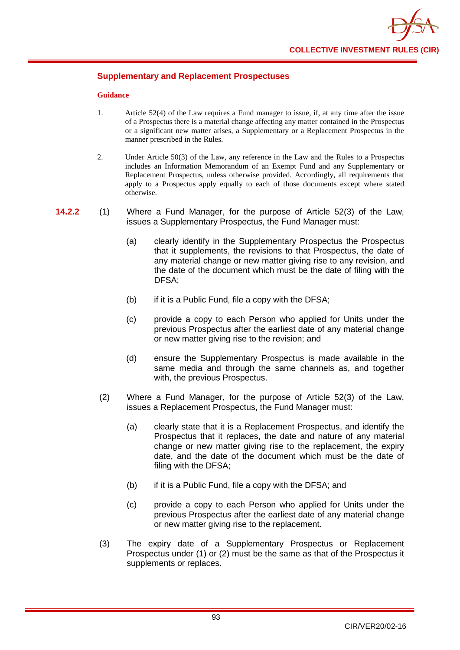

## **Supplementary and Replacement Prospectuses**

#### **Guidance**

- 1. Article 52(4) of the Law requires a Fund manager to issue, if, at any time after the issue of a Prospectus there is a material change affecting any matter contained in the Prospectus or a significant new matter arises, a Supplementary or a Replacement Prospectus in the manner prescribed in the Rules.
- 2. Under Article 50(3) of the Law, any reference in the Law and the Rules to a Prospectus includes an Information Memorandum of an Exempt Fund and any Supplementary or Replacement Prospectus, unless otherwise provided. Accordingly, all requirements that apply to a Prospectus apply equally to each of those documents except where stated otherwise.
- **14.2.2** (1) Where a Fund Manager, for the purpose of Article 52(3) of the Law, issues a Supplementary Prospectus, the Fund Manager must:
	- (a) clearly identify in the Supplementary [Prospectus](http://fsahandbook.info/FSA/glossary.jsp?doc=glossary%5Cglossary&gloss=G924#G924) the Prospectus that it supplements, the revisions to that Prospectus, the date of any material change or new matter giving rise to any revision, and the date of the document which must be the date of filing with the DFSA;
	- (b) if it is a Public Fund, file a copy with the DFSA;
	- (c) provide a copy to each Person who applied for Units under the previous Prospectus after the earliest date of any material change or new matter giving rise to the revision; and
	- (d) ensure the Supplementary Prospectus is made available in the same media and through the same channels as, and together with, the previous Prospectus.
	- (2) Where a Fund Manager, for the purpose of Article 52(3) of the Law, issues a Replacement Prospectus, the Fund Manager must:
		- (a) clearly state that it is a Replacement Prospectus, and identify the Prospectus that it replaces, the date and nature of any material change or new matter giving rise to the replacement, the expiry date, and the date of the document which must be the date of filing with the DFSA;
		- (b) if it is a Public Fund, file a copy with the DFSA; and
		- (c) provide a copy to each Person who applied for Units under the previous Prospectus after the earliest date of any material change or new matter giving rise to the replacement.
	- (3) The expiry date of a Supplementary Prospectus or Replacement Prospectus under (1) or (2) must be the same as that of the Prospectus it supplements or replaces.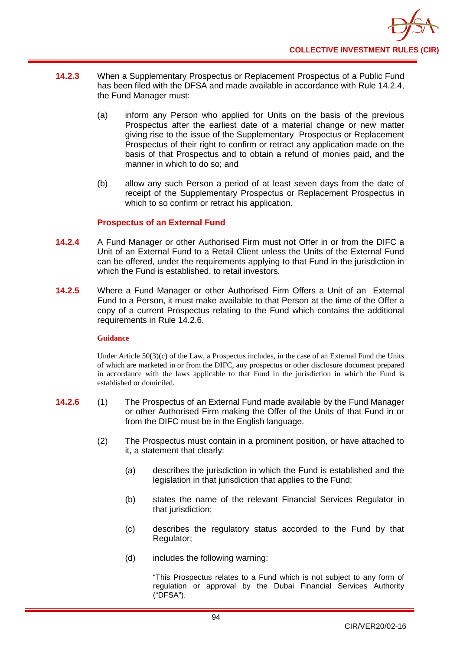

- **14.2.3** When a Supplementary Prospectus or Replacement Prospectus of a Public Fund has been filed with the DFSA and made available in accordance with Rule 14.2.4, the Fund Manager must:
	- (a) inform any Person who applied for Units on the basis of the previous Prospectus after the earliest date of a material change or new matter giving rise to the issue of the Supplementary Prospectus or Replacement Prospectus of their right to confirm or retract any application made on the basis of that Prospectus and to obtain a refund of monies paid, and the manner in which to do so; and
	- (b) allow any such Person a period of at least seven days from the date of receipt of the Supplementary Prospectus or Replacement Prospectus in which to so confirm or retract his application.

## **Prospectus of an External Fund**

- **14.2.4** A Fund Manager or other Authorised Firm must not Offer in or from the DIFC a Unit of an External Fund to a Retail Client unless the Units of the External Fund can be offered, under the requirements applying to that Fund in the jurisdiction in which the Fund is established, to retail investors.
- **14.2.5** Where a Fund Manager or other Authorised Firm Offers a Unit of an External Fund to a Person, it must make available to that Person at the time of the Offer a copy of a current Prospectus relating to the Fund which contains the additional requirements in Rule 14.2.6.

## **Guidance**

Under Article 50(3)(c) of the Law, a Prospectus includes, in the case of an External Fund the Units of which are marketed in or from the DIFC, any prospectus or other disclosure document prepared in accordance with the laws applicable to that Fund in the jurisdiction in which the Fund is established or domiciled.

- **14.2.6** (1) The Prospectus of an External Fund made available by the Fund Manager or other Authorised Firm making the Offer of the Units of that Fund in or from the DIFC must be in the English language.
	- (2) The Prospectus must contain in a prominent position, or have attached to it, a statement that clearly:
		- (a) describes the jurisdiction in which the Fund is established and the legislation in that jurisdiction that applies to the Fund;
		- (b) states the name of the relevant Financial Services Regulator in that jurisdiction;
		- (c) describes the regulatory status accorded to the Fund by that Regulator;
		- (d) includes the following warning:

"This Prospectus relates to a Fund which is not subject to any form of regulation or approval by the Dubai Financial Services Authority ("DFSA").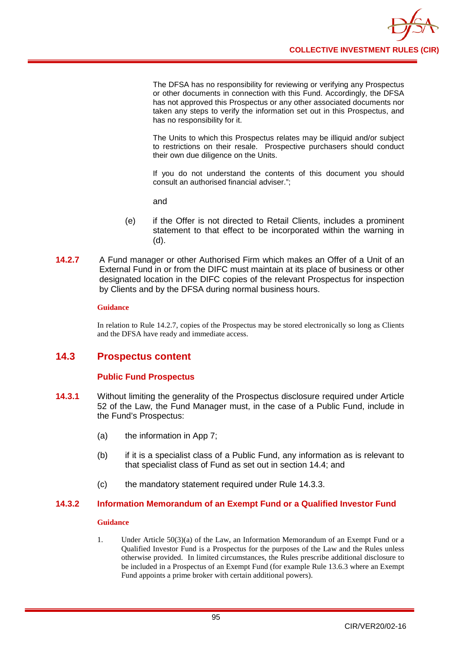

The DFSA has no responsibility for reviewing or verifying any Prospectus or other documents in connection with this Fund. Accordingly, the DFSA has not approved this Prospectus or any other associated documents nor taken any steps to verify the information set out in this Prospectus, and has no responsibility for it.

The Units to which this Prospectus relates may be illiquid and/or subject to restrictions on their resale. Prospective purchasers should conduct their own due diligence on the Units.

If you do not understand the contents of this document you should consult an authorised financial adviser.";

and

- (e) if the Offer is not directed to Retail Clients, includes a prominent statement to that effect to be incorporated within the warning in (d).
- **14.2.7** A Fund manager or other Authorised Firm which makes an Offer of a Unit of an External Fund in or from the DIFC must maintain at its place of business or other designated location in the DIFC copies of the relevant Prospectus for inspection by Clients and by the DFSA during normal business hours.

#### **Guidance**

In relation to Rule 14.2.7, copies of the Prospectus may be stored electronically so long as Clients and the DFSA have ready and immediate access.

# **14.3 Prospectus content**

# **Public Fund Prospectus**

- **14.3.1** Without limiting the generality of the Prospectus disclosure required under Article 52 of the Law, the Fund Manager must, in the case of a Public Fund, include in the Fund's Prospectus:
	- (a) the information in App 7;
	- (b) if it is a specialist class of a Public Fund, any information as is relevant to that specialist class of Fund as set out in section 14.4; and
	- (c) the mandatory statement required under Rule 14.3.3.

## **14.3.2 Information Memorandum of an Exempt Fund or a Qualified Investor Fund**

#### **Guidance**

1. Under Article 50(3)(a) of the Law, an Information Memorandum of an Exempt Fund or a Qualified Investor Fund is a Prospectus for the purposes of the Law and the Rules unless otherwise provided. In limited circumstances, the Rules prescribe additional disclosure to be included in a Prospectus of an Exempt Fund (for example Rule 13.6.3 where an Exempt Fund appoints a prime broker with certain additional powers).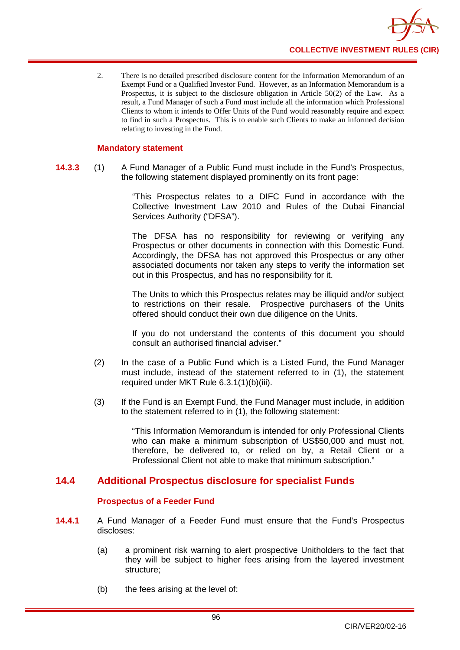

2. There is no detailed prescribed disclosure content for the Information Memorandum of an Exempt Fund or a Qualified Investor Fund. However, as an Information Memorandum is a Prospectus, it is subject to the disclosure obligation in Article 50(2) of the Law. As a result, a Fund Manager of such a Fund must include all the information which Professional Clients to whom it intends to Offer Units of the Fund would reasonably require and expect to find in such a Prospectus. This is to enable such Clients to make an informed decision relating to investing in the Fund.

## **Mandatory statement**

**14.3.3** (1) A Fund Manager of a Public Fund must include in the Fund's Prospectus, the following statement displayed prominently on its front page:

> "This Prospectus relates to a DIFC Fund in accordance with the Collective Investment Law 2010 and Rules of the Dubai Financial Services Authority ("DFSA").

> The DFSA has no responsibility for reviewing or verifying any Prospectus or other documents in connection with this Domestic Fund. Accordingly, the DFSA has not approved this Prospectus or any other associated documents nor taken any steps to verify the information set out in this Prospectus, and has no responsibility for it.

> The Units to which this Prospectus relates may be illiquid and/or subject to restrictions on their resale. Prospective purchasers of the Units offered should conduct their own due diligence on the Units.

> If you do not understand the contents of this document you should consult an authorised financial adviser."

- (2) In the case of a Public Fund which is a Listed Fund, the Fund Manager must include, instead of the statement referred to in (1), the statement required under MKT Rule 6.3.1(1)(b)(iii).
- (3) If the Fund is an Exempt Fund, the Fund Manager must include, in addition to the statement referred to in (1), the following statement:

"This Information Memorandum is intended for only Professional Clients who can make a minimum subscription of US\$50,000 and must not, therefore, be delivered to, or relied on by, a Retail Client or a Professional Client not able to make that minimum subscription."

# **14.4 Additional Prospectus disclosure for specialist Funds**

## **Prospectus of a Feeder Fund**

- **14.4.1** A Fund Manager of a Feeder Fund must ensure that the Fund's Prospectus discloses:
	- (a) a prominent risk warning to alert prospective Unitholders to the fact that they will be subject to higher fees arising from the layered investment structure;
	- (b) the fees arising at the level of: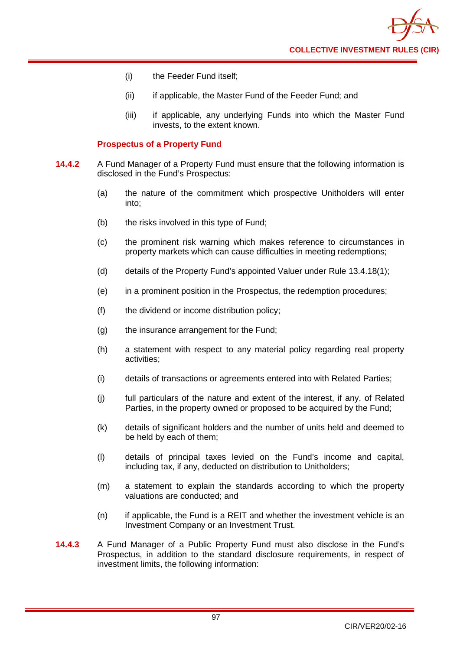

- (i) the Feeder Fund itself;
- (ii) if applicable, the Master Fund of the Feeder Fund; and
- (iii) if applicable, any underlying Funds into which the Master Fund invests, to the extent known.

## **Prospectus of a Property Fund**

- **14.4.2** A Fund Manager of a Property Fund must ensure that the following information is disclosed in the Fund's Prospectus:
	- (a) the nature of the commitment which prospective Unitholders will enter into;
	- (b) the risks involved in this type of Fund;
	- (c) the prominent risk warning which makes reference to circumstances in property markets which can cause difficulties in meeting redemptions;
	- (d) details of the Property Fund's appointed Valuer under Rule 13.4.18(1);
	- (e) in a prominent position in the Prospectus, the redemption procedures;
	- (f) the dividend or income distribution policy;
	- (g) the insurance arrangement for the Fund;
	- (h) a statement with respect to any material policy regarding real property activities;
	- (i) details of transactions or agreements entered into with Related Parties;
	- (j) full particulars of the nature and extent of the interest, if any, of Related Parties, in the property owned or proposed to be acquired by the Fund;
	- (k) details of significant holders and the number of units held and deemed to be held by each of them;
	- (l) details of principal taxes levied on the Fund's income and capital, including tax, if any, deducted on distribution to Unitholders;
	- (m) a statement to explain the standards according to which the property valuations are conducted; and
	- (n) if applicable, the Fund is a REIT and whether the investment vehicle is an Investment Company or an Investment Trust.
- **14.4.3** A Fund Manager of a Public Property Fund must also disclose in the Fund's Prospectus, in addition to the standard disclosure requirements, in respect of investment limits, the following information: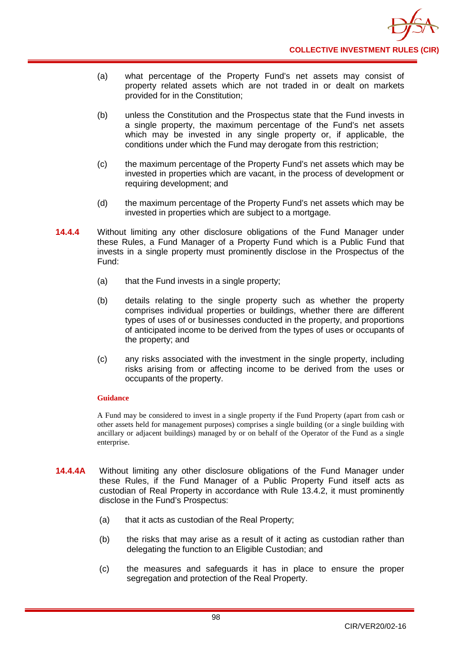- (a) what percentage of the Property Fund's net assets may consist of property related assets which are not traded in or dealt on markets provided for in the Constitution;
- (b) unless the Constitution and the Prospectus state that the Fund invests in a single property, the maximum percentage of the Fund's net assets which may be invested in any single property or, if applicable, the conditions under which the Fund may derogate from this restriction;
- (c) the maximum percentage of the Property Fund's net assets which may be invested in properties which are vacant, in the process of development or requiring development; and
- (d) the maximum percentage of the Property Fund's net assets which may be invested in properties which are subject to a mortgage.
- **14.4.4** Without limiting any other disclosure obligations of the Fund Manager under these Rules, a Fund Manager of a Property Fund which is a Public Fund that invests in a single property must prominently disclose in the Prospectus of the Fund:
	- (a) that the Fund invests in a single property;
	- (b) details relating to the single property such as whether the property comprises individual properties or buildings, whether there are different types of uses of or businesses conducted in the property, and proportions of anticipated income to be derived from the types of uses or occupants of the property; and
	- (c) any risks associated with the investment in the single property, including risks arising from or affecting income to be derived from the uses or occupants of the property.

A Fund may be considered to invest in a single property if the Fund Property (apart from cash or other assets held for management purposes) comprises a single building (or a single building with ancillary or adjacent buildings) managed by or on behalf of the Operator of the Fund as a single enterprise.

- **14.4.4A** Without limiting any other disclosure obligations of the Fund Manager under these Rules, if the Fund Manager of a Public Property Fund itself acts as custodian of Real Property in accordance with Rule 13.4.2, it must prominently disclose in the Fund's Prospectus:
	- (a) that it acts as custodian of the Real Property;
	- (b) the risks that may arise as a result of it acting as custodian rather than delegating the function to an Eligible Custodian; and
	- (c) the measures and safeguards it has in place to ensure the proper segregation and protection of the Real Property.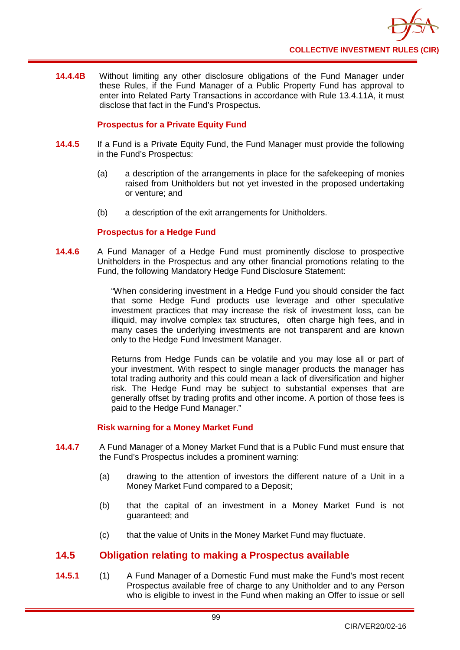

**14.4.4B** Without limiting any other disclosure obligations of the Fund Manager under these Rules, if the Fund Manager of a Public Property Fund has approval to enter into Related Party Transactions in accordance with Rule 13.4.11A, it must disclose that fact in the Fund's Prospectus.

## **Prospectus for a Private Equity Fund**

- **14.4.5** If a Fund is a Private Equity Fund, the Fund Manager must provide the following in the Fund's Prospectus:
	- (a) a description of the arrangements in place for the safekeeping of monies raised from Unitholders but not yet invested in the proposed undertaking or venture; and
	- (b) a description of the exit arrangements for Unitholders.

## **Prospectus for a Hedge Fund**

**14.4.6** A Fund Manager of a Hedge Fund must prominently disclose to prospective Unitholders in the Prospectus and any other financial promotions relating to the Fund, the following Mandatory Hedge Fund Disclosure Statement:

> "When considering investment in a Hedge Fund you should consider the fact that some Hedge Fund products use leverage and other speculative investment practices that may increase the risk of investment loss, can be illiquid, may involve complex tax structures, often charge high fees, and in many cases the underlying investments are not transparent and are known only to the Hedge Fund Investment Manager.

> Returns from Hedge Funds can be volatile and you may lose all or part of your investment. With respect to single manager products the manager has total trading authority and this could mean a lack of diversification and higher risk. The Hedge Fund may be subject to substantial expenses that are generally offset by trading profits and other income. A portion of those fees is paid to the Hedge Fund Manager."

## **Risk warning for a Money Market Fund**

- **14.4.7** A Fund Manager of a Money Market Fund that is a Public Fund must ensure that the Fund's Prospectus includes a prominent warning:
	- (a) drawing to the attention of investors the different nature of a Unit in a Money Market Fund compared to a Deposit;
	- (b) that the capital of an investment in a Money Market Fund is not guaranteed; and
	- (c) that the value of Units in the Money Market Fund may fluctuate.

# **14.5 Obligation relating to making a Prospectus available**

**14.5.1** (1) A Fund Manager of a Domestic Fund must make the Fund's most recent [Prospectus](http://fsahandbook.info/FSA/glossary.jsp?doc=glossary%5Cglossary&gloss=G924#G924) available free of charge to any Unitholder and to any [Person](http://fsahandbook.info/FSA/glossary.jsp?doc=glossary%5Cglossary&gloss=G869#G869) who is eligible to invest in the Fund when making an Offer to issue or sell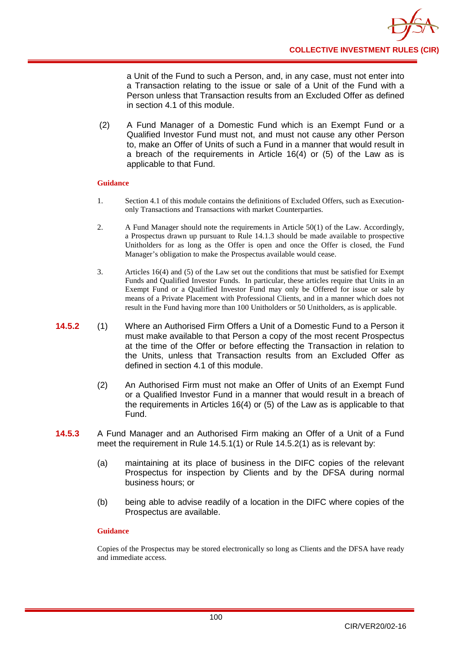a Unit of the Fund to such a Person, and, in any case, must not enter into a Transaction relating to the issue or sale of a Unit of the Fund with a Person unless that Transaction results from an Excluded Offer as defined in section 4.1 of this module.

(2) A Fund Manager of a Domestic Fund which is an Exempt Fund or a Qualified Investor Fund must not, and must not cause any other Person to, make an Offer of Units of such a Fund in a manner that would result in a breach of the requirements in Article 16(4) or (5) of the Law as is applicable to that Fund.

## **Guidance**

- 1. Section 4.1 of this module contains the definitions of Excluded Offers, such as Executiononly Transactions and Transactions with market Counterparties.
- 2. A Fund Manager should note the requirements in Article 50(1) of the Law. Accordingly, a Prospectus drawn up pursuant to Rule 14.1.3 should be made available to prospective Unitholders for as long as the Offer is open and once the Offer is closed, the Fund Manager's obligation to make the Prospectus available would cease.
- 3. Articles 16(4) and (5) of the Law set out the conditions that must be satisfied for Exempt Funds and Qualified Investor Funds. In particular, these articles require that Units in an Exempt Fund or a Qualified Investor Fund may only be Offered for issue or sale by means of a Private Placement with Professional Clients, and in a manner which does not result in the Fund having more than 100 Unitholders or 50 Unitholders, as is applicable.
- **14.5.2** (1) Where an Authorised Firm Offers a Unit of a Domestic Fund to a Person it must make available to that Person a copy of the most recent Prospectus at the time of the Offer or before effecting the Transaction in relation to the Units, unless that Transaction results from an Excluded Offer as defined in section 4.1 of this module.
	- (2) An Authorised Firm must not make an Offer of Units of an Exempt Fund or a Qualified Investor Fund in a manner that would result in a breach of the requirements in Articles 16(4) or (5) of the Law as is applicable to that Fund.
- **14.5.3** A Fund Manager and an Authorised Firm making an Offer of a Unit of a Fund meet the requirement in Rule 14.5.1(1) or Rule 14.5.2(1) as is relevant by:
	- (a) maintaining at its place of business in the DIFC copies of the relevant Prospectus for inspection by Clients and by the DFSA during normal business hours; or
	- (b) being able to advise readily of a location in the DIFC where copies of the Prospectus are available.

#### **Guidance**

Copies of the Prospectus may be stored electronically so long as Clients and the DFSA have ready and immediate access.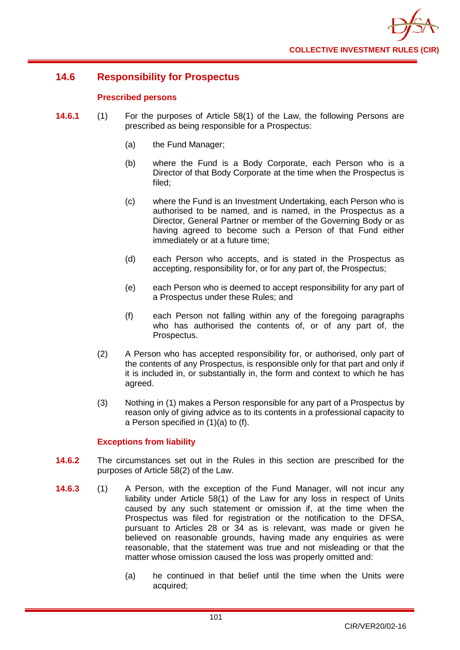

# **14.6 Responsibility for Prospectus**

## **Prescribed persons**

- **14.6.1** (1) For the purposes of Article 58(1) of the Law, the following Persons are prescribed as being responsible for a Prospectus:
	- (a) the Fund Manager;
	- (b) where the Fund is a Body Corporate, each Person who is a Director of that Body Corporate at the time when the Prospectus is filed;
	- (c) where the Fund is an Investment Undertaking, each Person who is authorised to be named, and is named, in the Prospectus as a Director, General Partner or member of the Governing Body or as having agreed to become such a Person of that Fund either immediately or at a future time;
	- (d) each Person who accepts, and is stated in the Prospectus as accepting, responsibility for, or for any part of, the Prospectus;
	- (e) each Person who is deemed to accept responsibility for any part of a Prospectus under these Rules; and
	- (f) each Person not falling within any of the foregoing paragraphs who has authorised the contents of, or of any part of, the Prospectus.
	- (2) A Person who has accepted responsibility for, or authorised, only part of the contents of any Prospectus, is responsible only for that part and only if it is included in, or substantially in, the form and context to which he has agreed.
	- (3) Nothing in (1) makes a Person responsible for any part of a Prospectus by reason only of giving advice as to its contents in a professional capacity to a Person specified in (1)(a) to (f).

# **Exceptions from liability**

- **14.6.2** The circumstances set out in the Rules in this section are prescribed for the purposes of Article 58(2) of the Law.
- **14.6.3** (1) A Person, with the exception of the Fund Manager, will not incur any liability under Article 58(1) of the Law for any loss in respect of Units caused by any such statement or omission if, at the time when the Prospectus was filed for registration or the notification to the DFSA, pursuant to Articles 28 or 34 as is relevant, was made or given he believed on reasonable grounds, having made any enquiries as were reasonable, that the statement was true and not misleading or that the matter whose omission caused the loss was properly omitted and:
	- (a) he continued in that belief until the time when the Units were acquired;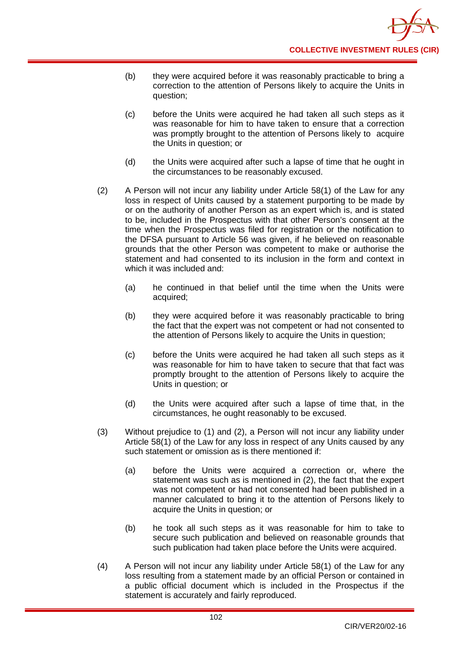- (b) they were acquired before it was reasonably practicable to bring a correction to the attention of Persons likely to acquire the Units in question;
- (c) before the Units were acquired he had taken all such steps as it was reasonable for him to have taken to ensure that a correction was promptly brought to the attention of Persons likely to acquire the Units in question; or
- (d) the Units were acquired after such a lapse of time that he ought in the circumstances to be reasonably excused.
- (2) A Person will not incur any liability under Article 58(1) of the Law for any loss in respect of Units caused by a statement purporting to be made by or on the authority of another Person as an expert which is, and is stated to be, included in the Prospectus with that other Person's consent at the time when the Prospectus was filed for registration or the notification to the DFSA pursuant to Article 56 was given, if he believed on reasonable grounds that the other Person was competent to make or authorise the statement and had consented to its inclusion in the form and context in which it was included and:
	- (a) he continued in that belief until the time when the Units were acquired;
	- (b) they were acquired before it was reasonably practicable to bring the fact that the expert was not competent or had not consented to the attention of Persons likely to acquire the Units in question;
	- (c) before the Units were acquired he had taken all such steps as it was reasonable for him to have taken to secure that that fact was promptly brought to the attention of Persons likely to acquire the Units in question; or
	- (d) the Units were acquired after such a lapse of time that, in the circumstances, he ought reasonably to be excused.
- (3) Without prejudice to (1) and (2), a Person will not incur any liability under Article 58(1) of the Law for any loss in respect of any Units caused by any such statement or omission as is there mentioned if:
	- (a) before the Units were acquired a correction or, where the statement was such as is mentioned in (2), the fact that the expert was not competent or had not consented had been published in a manner calculated to bring it to the attention of Persons likely to acquire the Units in question; or
	- (b) he took all such steps as it was reasonable for him to take to secure such publication and believed on reasonable grounds that such publication had taken place before the Units were acquired.
- (4) A Person will not incur any liability under Article 58(1) of the Law for any loss resulting from a statement made by an official Person or contained in a public official document which is included in the Prospectus if the statement is accurately and fairly reproduced.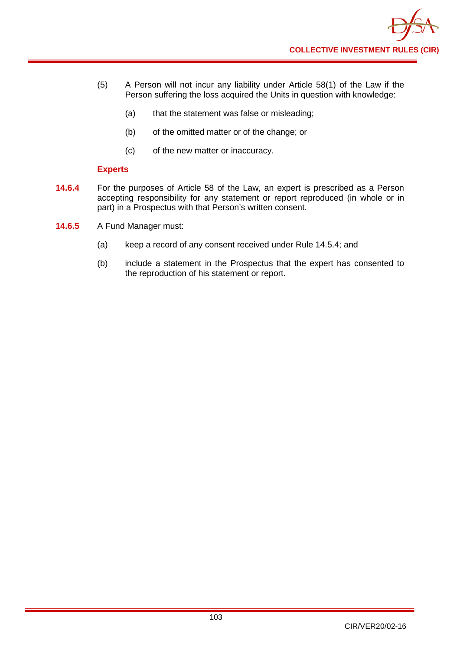- (5) A Person will not incur any liability under Article 58(1) of the Law if the Person suffering the loss acquired the Units in question with knowledge:
	- (a) that the statement was false or misleading;
	- (b) of the omitted matter or of the change; or
	- (c) of the new matter or inaccuracy.

## **Experts**

- **14.6.4** For the purposes of Article 58 of the Law, an expert is prescribed as a Person accepting responsibility for any statement or report reproduced (in whole or in part) in a Prospectus with that Person's written consent.
- **14.6.5** A Fund Manager must:
	- (a) keep a record of any consent received under Rule 14.5.4; and
	- (b) include a statement in the Prospectus that the expert has consented to the reproduction of his statement or report.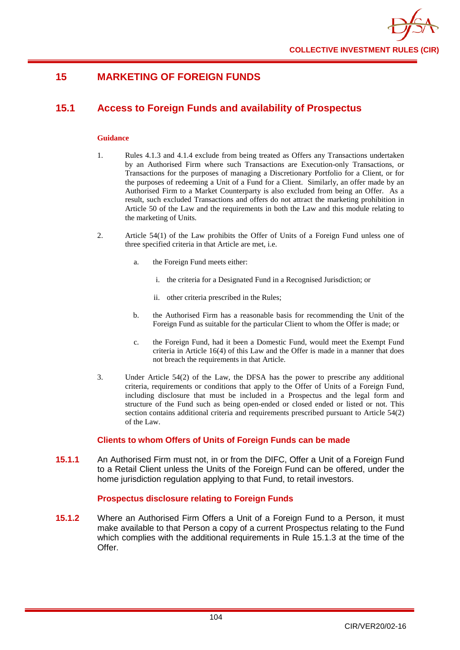

# **15 MARKETING OF FOREIGN FUNDS**

# **15.1 Access to Foreign Funds and availability of Prospectus**

#### **Guidance**

- 1. Rules 4.1.3 and 4.1.4 exclude from being treated as Offers any Transactions undertaken by an Authorised Firm where such Transactions are Execution-only Transactions, or Transactions for the purposes of managing a Discretionary Portfolio for a Client, or for the purposes of redeeming a Unit of a Fund for a Client. Similarly, an offer made by an Authorised Firm to a Market Counterparty is also excluded from being an Offer. As a result, such excluded Transactions and offers do not attract the marketing prohibition in Article 50 of the Law and the requirements in both the Law and this module relating to the marketing of Units.
- 2. Article 54(1) of the Law prohibits the Offer of Units of a Foreign Fund unless one of three specified criteria in that Article are met, i.e.
	- a. the Foreign Fund meets either:
		- i. the criteria for a Designated Fund in a Recognised Jurisdiction; or
		- ii. other criteria prescribed in the Rules;
	- b. the Authorised Firm has a reasonable basis for recommending the Unit of the Foreign Fund as suitable for the particular Client to whom the Offer is made; or
	- c. the Foreign Fund, had it been a Domestic Fund, would meet the Exempt Fund criteria in Article 16(4) of this Law and the Offer is made in a manner that does not breach the requirements in that Article.
- 3. Under Article 54(2) of the Law, the DFSA has the power to prescribe any additional criteria, requirements or conditions that apply to the Offer of Units of a Foreign Fund, including disclosure that must be included in a Prospectus and the legal form and structure of the Fund such as being open-ended or closed ended or listed or not. This section contains additional criteria and requirements prescribed pursuant to Article 54(2) of the Law.

## **Clients to whom Offers of Units of Foreign Funds can be made**

**15.1.1** An Authorised Firm must not, in or from the DIFC, Offer a Unit of a Foreign Fund to a Retail Client unless the Units of the Foreign Fund can be offered, under the home jurisdiction regulation applying to that Fund, to retail investors.

## **Prospectus disclosure relating to Foreign Funds**

**15.1.2** Where an Authorised Firm Offers a Unit of a Foreign Fund to a Person, it must make available to that Person a copy of a current Prospectus relating to the Fund which complies with the additional requirements in Rule 15.1.3 at the time of the Offer.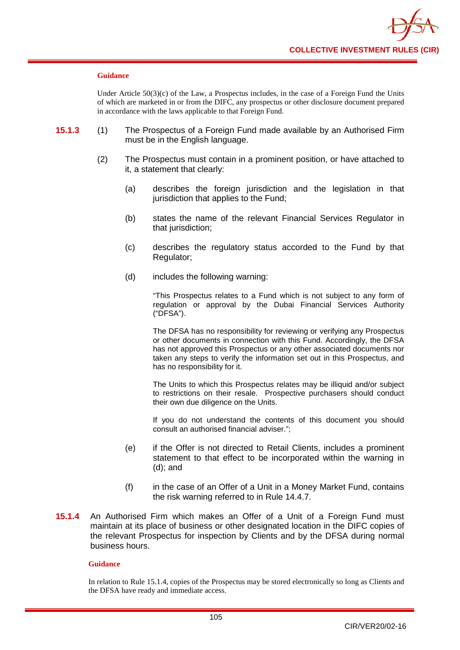

#### **Guidance**

Under Article 50(3)(c) of the Law, a Prospectus includes, in the case of a Foreign Fund the Units of which are marketed in or from the DIFC, any prospectus or other disclosure document prepared in accordance with the laws applicable to that Foreign Fund.

- **15.1.3** (1) The Prospectus of a Foreign Fund made available by an Authorised Firm must be in the English language.
	- (2) The Prospectus must contain in a prominent position, or have attached to it, a statement that clearly:
		- (a) describes the foreign jurisdiction and the legislation in that jurisdiction that applies to the Fund;
		- (b) states the name of the relevant Financial Services Regulator in that jurisdiction;
		- (c) describes the regulatory status accorded to the Fund by that Regulator;
		- (d) includes the following warning:

"This Prospectus relates to a Fund which is not subject to any form of regulation or approval by the Dubai Financial Services Authority ("DFSA").

The DFSA has no responsibility for reviewing or verifying any Prospectus or other documents in connection with this Fund. Accordingly, the DFSA has not approved this Prospectus or any other associated documents nor taken any steps to verify the information set out in this Prospectus, and has no responsibility for it.

The Units to which this Prospectus relates may be illiquid and/or subject to restrictions on their resale. Prospective purchasers should conduct their own due diligence on the Units.

If you do not understand the contents of this document you should consult an authorised financial adviser.";

- (e) if the Offer is not directed to Retail Clients, includes a prominent statement to that effect to be incorporated within the warning in (d); and
- (f) in the case of an Offer of a Unit in a Money Market Fund, contains the risk warning referred to in Rule 14.4.7.
- **15.1.4** An Authorised Firm which makes an Offer of a Unit of a Foreign Fund must maintain at its place of business or other designated location in the DIFC copies of the relevant Prospectus for inspection by Clients and by the DFSA during normal business hours.

#### **Guidance**

In relation to Rule 15.1.4, copies of the Prospectus may be stored electronically so long as Clients and the DFSA have ready and immediate access.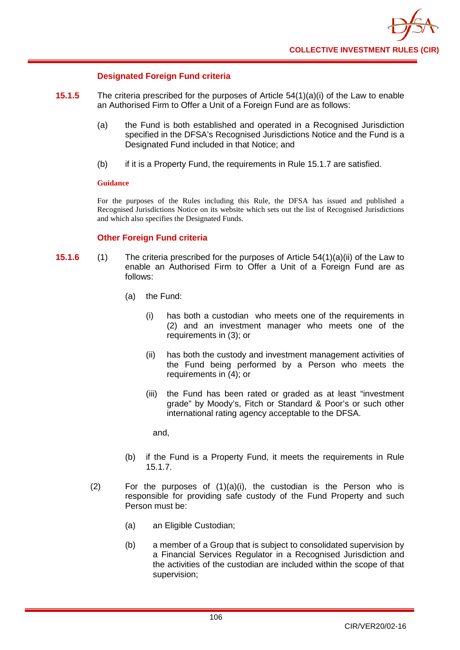

## **Designated Foreign Fund criteria**

- **15.1.5** The criteria prescribed for the purposes of Article 54(1)(a)(i) of the Law to enable an Authorised Firm to Offer a Unit of a Foreign Fund are as follows:
	- (a) the Fund is both established and operated in a Recognised Jurisdiction specified in the DFSA's Recognised Jurisdictions Notice and the Fund is a Designated Fund included in that Notice; and
	- (b) if it is a Property Fund, the requirements in Rule 15.1.7 are satisfied.

#### **Guidance**

For the purposes of the Rules including this Rule, the DFSA has issued and published a Recognised Jurisdictions Notice on its website which sets out the list of Recognised Jurisdictions and which also specifies the Designated Funds.

## **Other Foreign Fund criteria**

- **15.1.6** (1) The criteria prescribed for the purposes of Article 54(1)(a)(ii) of the Law to enable an Authorised Firm to Offer a Unit of a Foreign Fund are as follows:
	- (a) the Fund:
		- (i) has both a custodian who meets one of the requirements in (2) and an investment manager who meets one of the requirements in (3); or
		- (ii) has both the custody and investment management activities of the Fund being performed by a Person who meets the requirements in (4); or
		- (iii) the Fund has been rated or graded as at least "investment grade" by Moody's, Fitch or Standard & Poor's or such other international rating agency acceptable to the DFSA.

and,

- (b) if the Fund is a Property Fund, it meets the requirements in Rule 15.1.7.
- (2) For the purposes of  $(1)(a)(i)$ , the custodian is the Person who is responsible for providing safe custody of the Fund Property and such Person must be:
	- (a) an Eligible Custodian;
	- (b) a member of a Group that is subject to consolidated supervision by a Financial Services Regulator in a Recognised Jurisdiction and the activities of the custodian are included within the scope of that supervision;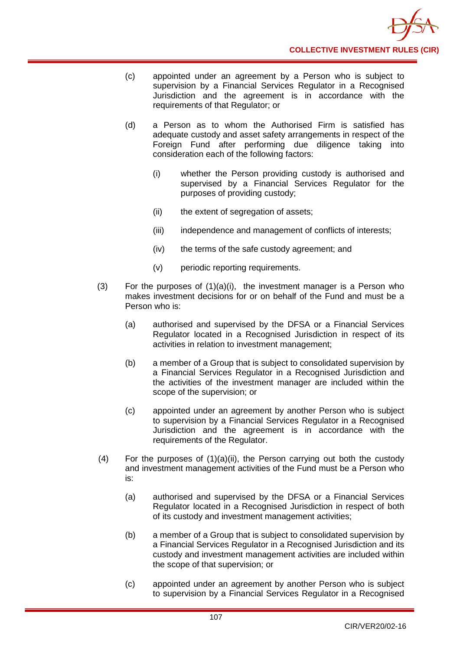- (c) appointed under an agreement by a Person who is subject to supervision by a Financial Services Regulator in a Recognised Jurisdiction and the agreement is in accordance with the requirements of that Regulator; or
- (d) a Person as to whom the Authorised Firm is satisfied has adequate custody and asset safety arrangements in respect of the Foreign Fund after performing due diligence taking into consideration each of the following factors:
	- (i) whether the Person providing custody is authorised and supervised by a Financial Services Regulator for the purposes of providing custody;
	- (ii) the extent of segregation of assets;
	- (iii) independence and management of conflicts of interests;
	- (iv) the terms of the safe custody agreement; and
	- (v) periodic reporting requirements.
- (3) For the purposes of (1)(a)(i), the investment manager is a Person who makes investment decisions for or on behalf of the Fund and must be a Person who is:
	- (a) authorised and supervised by the DFSA or a Financial Services Regulator located in a Recognised Jurisdiction in respect of its activities in relation to investment management;
	- (b) a member of a Group that is subject to consolidated supervision by a Financial Services Regulator in a Recognised Jurisdiction and the activities of the investment manager are included within the scope of the supervision; or
	- (c) appointed under an agreement by another Person who is subject to supervision by a Financial Services Regulator in a Recognised Jurisdiction and the agreement is in accordance with the requirements of the Regulator.
- $(4)$  For the purposes of  $(1)(a)(ii)$ , the Person carrying out both the custody and investment management activities of the Fund must be a Person who is:
	- (a) authorised and supervised by the DFSA or a Financial Services Regulator located in a Recognised Jurisdiction in respect of both of its custody and investment management activities;
	- (b) a member of a Group that is subject to consolidated supervision by a Financial Services Regulator in a Recognised Jurisdiction and its custody and investment management activities are included within the scope of that supervision; or
	- (c) appointed under an agreement by another Person who is subject to supervision by a Financial Services Regulator in a Recognised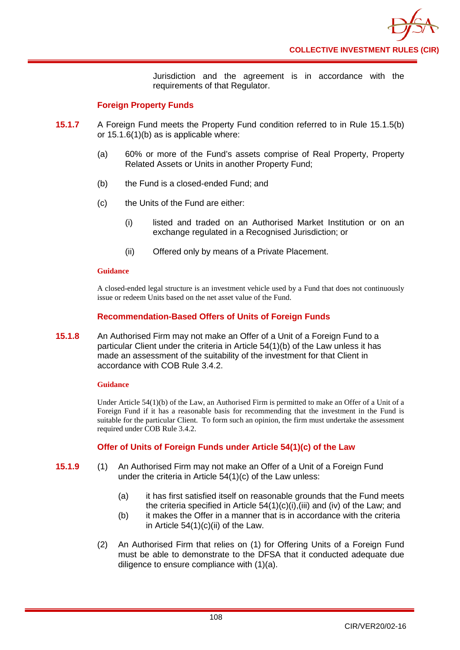Jurisdiction and the agreement is in accordance with the requirements of that Regulator.

## **Foreign Property Funds**

- **15.1.7** A Foreign Fund meets the Property Fund condition referred to in Rule 15.1.5(b) or 15.1.6(1)(b) as is applicable where:
	- (a) 60% or more of the Fund's assets comprise of Real Property, Property Related Assets or Units in another Property Fund;
	- (b) the Fund is a closed-ended Fund; and
	- (c) the Units of the Fund are either:
		- (i) listed and traded on an Authorised Market Institution or on an exchange regulated in a Recognised Jurisdiction; or
		- (ii) Offered only by means of a Private Placement.

#### **Guidance**

A closed-ended legal structure is an investment vehicle used by a Fund that does not continuously issue or redeem Units based on the net asset value of the Fund.

## **Recommendation-Based Offers of Units of Foreign Funds**

**15.1.8** An Authorised Firm may not make an Offer of a Unit of a Foreign Fund to a particular Client under the criteria in Article 54(1)(b) of the Law unless it has made an assessment of the suitability of the investment for that Client in accordance with COB Rule 3.4.2.

## **Guidance**

Under Article 54(1)(b) of the Law, an Authorised Firm is permitted to make an Offer of a Unit of a Foreign Fund if it has a reasonable basis for recommending that the investment in the Fund is suitable for the particular Client. To form such an opinion, the firm must undertake the assessment required under COB Rule 3.4.2.

## **Offer of Units of Foreign Funds under Article 54(1)(c) of the Law**

- **15.1.9** (1) An Authorised Firm may not make an Offer of a Unit of a Foreign Fund under the criteria in Article 54(1)(c) of the Law unless:
	- (a) it has first satisfied itself on reasonable grounds that the Fund meets the criteria specified in Article 54(1)(c)(i),(iii) and (iv) of the Law; and
	- (b) it makes the Offer in a manner that is in accordance with the criteria in Article  $54(1)(c)(ii)$  of the Law.
	- (2) An Authorised Firm that relies on (1) for Offering Units of a Foreign Fund must be able to demonstrate to the DFSA that it conducted adequate due diligence to ensure compliance with (1)(a).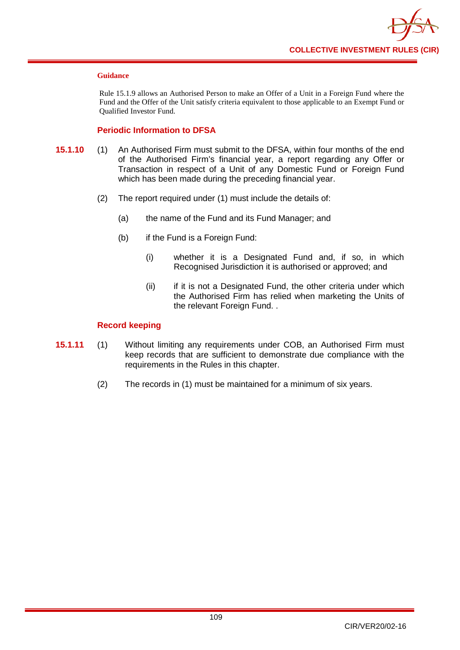

#### **Guidance**

Rule 15.1.9 allows an Authorised Person to make an Offer of a Unit in a Foreign Fund where the Fund and the Offer of the Unit satisfy criteria equivalent to those applicable to an Exempt Fund or Qualified Investor Fund.

## **Periodic Information to DFSA**

- **15.1.10** (1) An Authorised Firm must submit to the DFSA, within four months of the end of the Authorised Firm's financial year, a report regarding any Offer or Transaction in respect of a Unit of any Domestic Fund or Foreign Fund which has been made during the preceding financial year.
	- (2) The report required under (1) must include the details of:
		- (a) the name of the Fund and its Fund Manager; and
		- (b) if the Fund is a Foreign Fund:
			- (i) whether it is a Designated Fund and, if so, in which Recognised Jurisdiction it is authorised or approved; and
			- (ii) if it is not a Designated Fund, the other criteria under which the Authorised Firm has relied when marketing the Units of the relevant Foreign Fund. .

## **Record keeping**

- **15.1.11** (1) Without limiting any requirements under COB, an Authorised Firm must keep records that are sufficient to demonstrate due compliance with the requirements in the Rules in this chapter.
	- (2) The records in (1) must be maintained for a minimum of six years.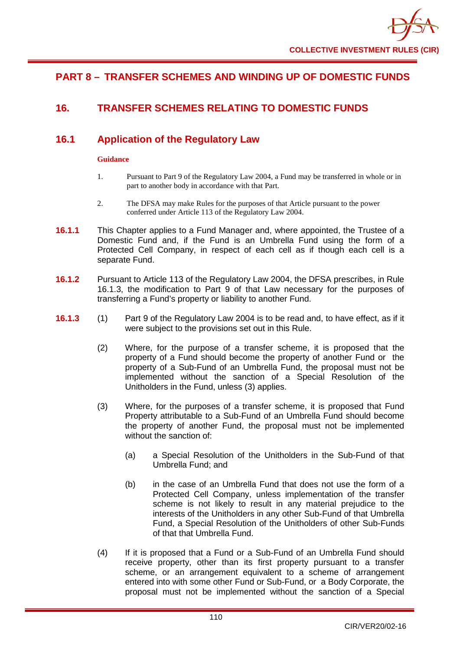# **PART 8 – TRANSFER SCHEMES AND WINDING UP OF DOMESTIC FUNDS**

# **16. TRANSFER SCHEMES RELATING TO DOMESTIC FUNDS**

# **16.1 Application of the Regulatory Law**

## **Guidance**

- 1. Pursuant to Part 9 of the Regulatory Law 2004, a Fund may be transferred in whole or in part to another body in accordance with that Part.
- 2. The DFSA may make Rules for the purposes of that Article pursuant to the power conferred under Article 113 of the Regulatory Law 2004.
- **16.1.1** This Chapter applies to a Fund Manager and, where appointed, the Trustee of a Domestic Fund and, if the Fund is an Umbrella Fund using the form of a Protected Cell Company, in respect of each cell as if though each cell is a separate Fund.
- **16.1.2** Pursuant to Article 113 of the Regulatory Law 2004, the DFSA prescribes, in Rule 16.1.3, the modification to Part 9 of that Law necessary for the purposes of transferring a Fund's property or liability to another Fund.
- **16.1.3** (1) Part 9 of the Regulatory Law 2004 is to be read and, to have effect, as if it were subject to the provisions set out in this Rule.
	- (2) Where, for the purpose of a transfer scheme, it is proposed that the property of a Fund should become the property of another Fund or the property of a Sub-Fund of an Umbrella Fund, the proposal must not be implemented without the sanction of a Special Resolution of the Unitholders in the Fund, unless (3) applies.
	- (3) Where, for the purposes of a transfer scheme, it is proposed that Fund Property attributable to a Sub-Fund of an Umbrella Fund should become the property of another Fund, the proposal must not be implemented without the sanction of:
		- (a) a Special Resolution of the Unitholders in the Sub-Fund of that Umbrella Fund; and
		- (b) in the case of an Umbrella Fund that does not use the form of a Protected Cell Company, unless implementation of the transfer scheme is not likely to result in any material prejudice to the interests of the Unitholders in any other Sub-Fund of that Umbrella Fund, a Special Resolution of the Unitholders of other Sub-Funds of that that Umbrella Fund.
	- (4) If it is proposed that a Fund or a Sub-Fund of an Umbrella Fund should receive property, other than its first property pursuant to a transfer scheme, or an arrangement equivalent to a scheme of arrangement entered into with some other Fund or Sub-Fund, or a Body Corporate, the proposal must not be implemented without the sanction of a Special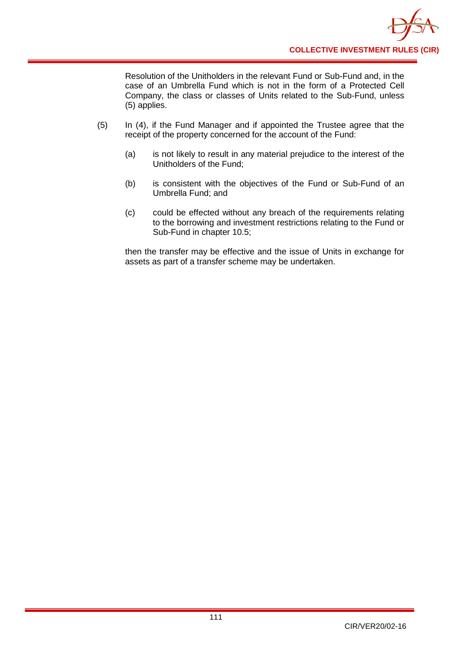Resolution of the Unitholders in the relevant Fund or Sub-Fund and, in the case of an Umbrella Fund which is not in the form of a Protected Cell Company, the class or classes of Units related to the Sub-Fund, unless (5) applies.

- (5) In (4), if the Fund Manager and if appointed the Trustee agree that the receipt of the property concerned for the account of the Fund:
	- (a) is not likely to result in any material prejudice to the interest of the Unitholders of the Fund;
	- (b) is consistent with the objectives of the Fund or Sub-Fund of an Umbrella Fund; and
	- (c) could be effected without any breach of the requirements relating to the borrowing and investment restrictions relating to the Fund or Sub-Fund in chapter 10.5;

then the transfer may be effective and the issue of Units in exchange for assets as part of a transfer scheme may be undertaken.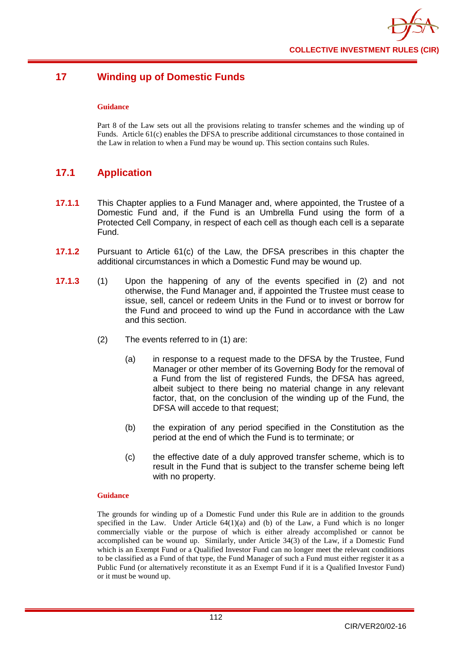

# **17 Winding up of Domestic Funds**

#### **Guidance**

Part 8 of the Law sets out all the provisions relating to transfer schemes and the winding up of Funds. Article 61(c) enables the DFSA to prescribe additional circumstances to those contained in the Law in relation to when a Fund may be wound up. This section contains such Rules.

# **17.1 Application**

- **17.1.1** This Chapter applies to a Fund Manager and, where appointed, the Trustee of a Domestic Fund and, if the Fund is an Umbrella Fund using the form of a Protected Cell Company, in respect of each cell as though each cell is a separate Fund.
- **17.1.2** Pursuant to Article 61(c) of the Law, the DFSA prescribes in this chapter the additional circumstances in which a Domestic Fund may be wound up.
- **17.1.3** (1) Upon the happening of any of the events specified in (2) and not otherwise, the Fund Manager and, if appointed the Trustee must cease to issue, sell, cancel or redeem Units in the Fund or to invest or borrow for the Fund and proceed to wind up the Fund in accordance with the Law and this section.
	- (2) The events referred to in (1) are:
		- (a) in response to a request made to the DFSA by the Trustee, Fund Manager or other member of its Governing Body for the removal of a Fund from the list of registered Funds, the DFSA has agreed, albeit subject to there being no material change in any relevant factor, that, on the conclusion of the winding up of the Fund, the DFSA will accede to that request;
		- (b) the expiration of any period specified in the Constitution as the period at the end of which the Fund is to terminate; or
		- (c) the effective date of a duly approved transfer scheme, which is to result in the Fund that is subject to the transfer scheme being left with no property.

#### **Guidance**

The grounds for winding up of a Domestic Fund under this Rule are in addition to the grounds specified in the Law. Under Article  $64(1)(a)$  and (b) of the Law, a Fund which is no longer commercially viable or the purpose of which is either already accomplished or cannot be accomplished can be wound up. Similarly, under Article 34(3) of the Law, if a Domestic Fund which is an Exempt Fund or a Qualified Investor Fund can no longer meet the relevant conditions to be classified as a Fund of that type, the Fund Manager of such a Fund must either register it as a Public Fund (or alternatively reconstitute it as an Exempt Fund if it is a Qualified Investor Fund) or it must be wound up.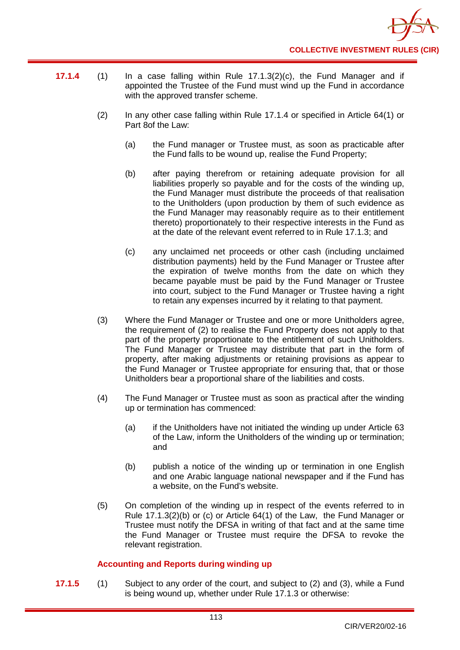

- **17.1.4** (1) In a case falling within Rule 17.1.3(2)(c), the Fund Manager and if appointed the Trustee of the Fund must wind up the Fund in accordance with the approved transfer scheme.
	- (2) In any other case falling within Rule 17.1.4 or specified in Article 64(1) or Part 8of the Law:
		- (a) the Fund manager or Trustee must, as soon as practicable after the Fund falls to be wound up, realise the Fund Property;
		- (b) after paying therefrom or retaining adequate provision for all liabilities properly so payable and for the costs of the winding up, the Fund Manager must distribute the proceeds of that realisation to the Unitholders (upon production by them of such evidence as the Fund Manager may reasonably require as to their entitlement thereto) proportionately to their respective interests in the Fund as at the date of the relevant event referred to in Rule 17.1.3; and
		- (c) any unclaimed net proceeds or other cash (including unclaimed distribution payments) held by the Fund Manager or Trustee after the expiration of twelve months from the date on which they became payable must be paid by the Fund Manager or Trustee into court, subject to the Fund Manager or Trustee having a right to retain any expenses incurred by it relating to that payment.
	- (3) Where the Fund Manager or Trustee and one or more Unitholders agree, the requirement of (2) to realise the Fund Property does not apply to that part of the property proportionate to the entitlement of such Unitholders. The Fund Manager or Trustee may distribute that part in the form of property, after making adjustments or retaining provisions as appear to the Fund Manager or Trustee appropriate for ensuring that, that or those Unitholders bear a proportional share of the liabilities and costs.
	- (4) The Fund Manager or Trustee must as soon as practical after the winding up or termination has commenced:
		- (a) if the Unitholders have not initiated the winding up under Article 63 of the Law, inform the Unitholders of the winding up or termination; and
		- (b) publish a notice of the winding up or termination in one English and one Arabic language national newspaper and if the Fund has a website, on the Fund's website.
	- (5) On completion of the winding up in respect of the events referred to in Rule 17.1.3(2)(b) or (c) or Article 64(1) of the Law, the Fund Manager or Trustee must notify the DFSA in writing of that fact and at the same time the Fund Manager or Trustee must require the DFSA to revoke the relevant registration.

## **Accounting and Reports during winding up**

**17.1.5** (1) Subject to any order of the court, and subject to (2) and (3), while a Fund is being wound up, whether under Rule 17.1.3 or otherwise: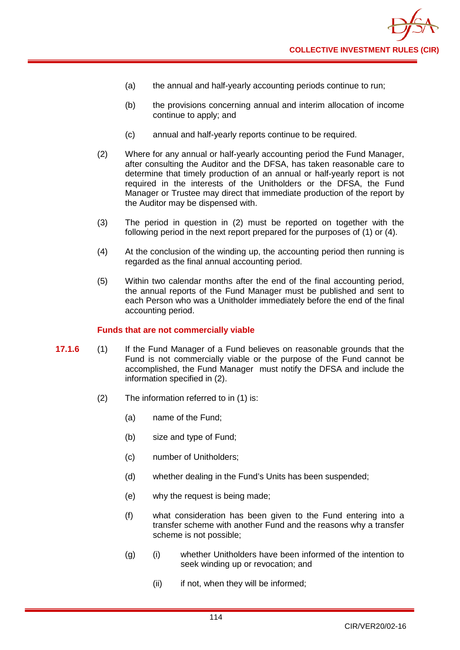

- (a) the annual and half-yearly accounting periods continue to run;
- (b) the provisions concerning annual and interim allocation of income continue to apply; and
- (c) annual and half-yearly reports continue to be required.
- (2) Where for any annual or half-yearly accounting period the Fund Manager, after consulting the Auditor and the DFSA, has taken reasonable care to determine that timely production of an annual or half-yearly report is not required in the interests of the Unitholders or the DFSA, the Fund Manager or Trustee may direct that immediate production of the report by the Auditor may be dispensed with.
- (3) The period in question in (2) must be reported on together with the following period in the next report prepared for the purposes of (1) or (4).
- (4) At the conclusion of the winding up, the accounting period then running is regarded as the final annual accounting period.
- (5) Within two calendar months after the end of the final accounting period, the annual reports of the Fund Manager must be published and sent to each Person who was a Unitholder immediately before the end of the final accounting period.

#### **Funds that are not commercially viable**

- **17.1.6** (1) If the Fund Manager of a Fund believes on reasonable grounds that the Fund is not commercially viable or the purpose of the Fund cannot be accomplished, the Fund Manager must notify the DFSA and include the information specified in (2).
	- (2) The information referred to in (1) is:
		- (a) name of the Fund;
		- (b) size and type of Fund;
		- (c) number of Unitholders;
		- (d) whether dealing in the Fund's Units has been suspended;
		- (e) why the request is being made;
		- (f) what consideration has been given to the Fund entering into a transfer scheme with another Fund and the reasons why a transfer scheme is not possible;
		- (g) (i) whether Unitholders have been informed of the intention to seek winding up or revocation; and
			- (ii) if not, when they will be informed;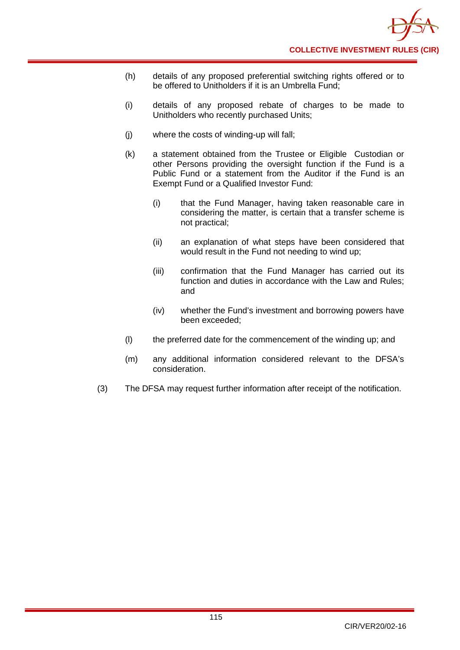- (h) details of any proposed preferential switching rights offered or to be offered to Unitholders if it is an Umbrella Fund;
- (i) details of any proposed rebate of charges to be made to Unitholders who recently purchased Units;
- (j) where the costs of winding-up will fall;
- (k) a statement obtained from the Trustee or Eligible Custodian or other Persons providing the oversight function if the Fund is a Public Fund or a statement from the Auditor if the Fund is an Exempt Fund or a Qualified Investor Fund:
	- (i) that the Fund Manager, having taken reasonable care in considering the matter, is certain that a transfer scheme is not practical;
	- (ii) an explanation of what steps have been considered that would result in the Fund not needing to wind up;
	- (iii) confirmation that the Fund Manager has carried out its function and duties in accordance with the Law and Rules; and
	- (iv) whether the Fund's investment and borrowing powers have been exceeded;
- (l) the preferred date for the commencement of the winding up; and
- (m) any additional information considered relevant to the DFSA's consideration.
- (3) The DFSA may request further information after receipt of the notification.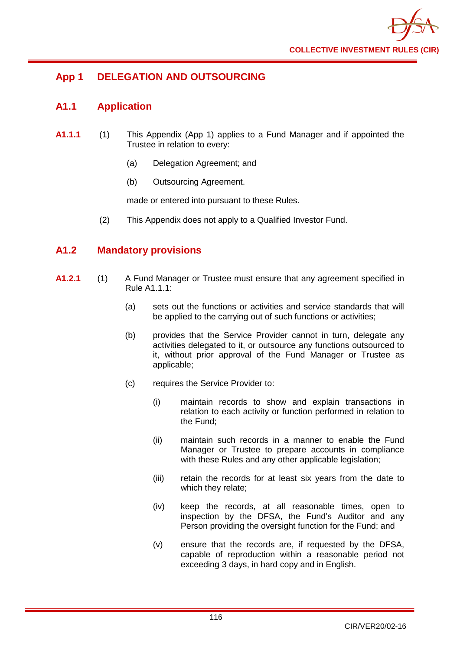

# **App 1 DELEGATION AND OUTSOURCING**

## **A1.1 Application**

- **A1.1.1** (1) This Appendix (App 1) applies to a Fund Manager and if appointed the Trustee in relation to every:
	- (a) Delegation Agreement; and
	- (b) Outsourcing Agreement.

made or entered into pursuant to these Rules.

(2) This Appendix does not apply to a Qualified Investor Fund.

## **A1.2 Mandatory provisions**

- **A1.2.1** (1) A Fund Manager or Trustee must ensure that any agreement specified in Rule A1.1.1:
	- (a) sets out the functions or activities and service standards that will be applied to the carrying out of such functions or activities;
	- (b) provides that the Service Provider cannot in turn, delegate any activities delegated to it, or outsource any functions outsourced to it, without prior approval of the Fund Manager or Trustee as applicable;
	- (c) requires the Service Provider to:
		- (i) maintain records to show and explain transactions in relation to each activity or function performed in relation to the Fund;
		- (ii) maintain such records in a manner to enable the Fund Manager or Trustee to prepare accounts in compliance with these Rules and any other applicable legislation;
		- (iii) retain the records for at least six years from the date to which they relate;
		- (iv) keep the records, at all reasonable times, open to inspection by the DFSA, the Fund's Auditor and any Person providing the oversight function for the Fund; and
		- (v) ensure that the records are, if requested by the DFSA, capable of reproduction within a reasonable period not exceeding 3 days, in hard copy and in English.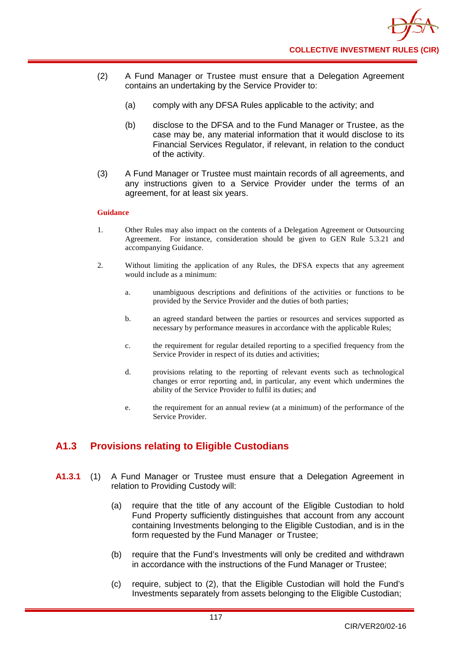- (2) A Fund Manager or Trustee must ensure that a Delegation Agreement contains an undertaking by the Service Provider to:
	- (a) comply with any DFSA Rules applicable to the activity; and
	- (b) disclose to the DFSA and to the Fund Manager or Trustee, as the case may be, any material information that it would disclose to its Financial Services Regulator, if relevant, in relation to the conduct of the activity.
- (3) A Fund Manager or Trustee must maintain records of all agreements, and any instructions given to a Service Provider under the terms of an agreement, for at least six years.

#### **Guidance**

- 1. Other Rules may also impact on the contents of a Delegation Agreement or Outsourcing Agreement. For instance, consideration should be given to GEN Rule 5.3.21 and accompanying Guidance.
- 2. Without limiting the application of any Rules, the DFSA expects that any agreement would include as a minimum:
	- a. unambiguous descriptions and definitions of the activities or functions to be provided by the Service Provider and the duties of both parties;
	- b. an agreed standard between the parties or resources and services supported as necessary by performance measures in accordance with the applicable Rules;
	- c. the requirement for regular detailed reporting to a specified frequency from the Service Provider in respect of its duties and activities;
	- d. provisions relating to the reporting of relevant events such as technological changes or error reporting and, in particular, any event which undermines the ability of the Service Provider to fulfil its duties; and
	- e. the requirement for an annual review (at a minimum) of the performance of the Service Provider.

# **A1.3 Provisions relating to Eligible Custodians**

- **A1.3.1** (1) A Fund Manager or Trustee must ensure that a Delegation Agreement in relation to Providing Custody will:
	- (a) require that the title of any account of the Eligible Custodian to hold Fund Property sufficiently distinguishes that account from any account containing Investments belonging to the Eligible Custodian, and is in the form requested by the Fund Manager or Trustee;
	- (b) require that the Fund's Investments will only be credited and withdrawn in accordance with the instructions of the Fund Manager or Trustee;
	- (c) require, subject to (2), that the Eligible Custodian will hold the Fund's Investments separately from assets belonging to the Eligible Custodian;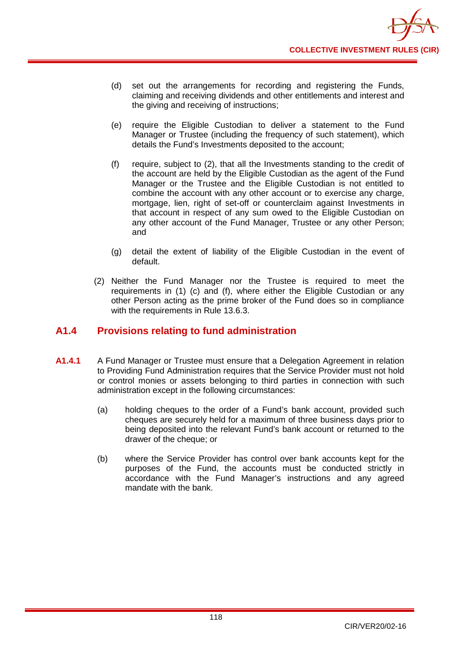

- (d) set out the arrangements for recording and registering the Funds, claiming and receiving dividends and other entitlements and interest and the giving and receiving of instructions;
- (e) require the Eligible Custodian to deliver a statement to the Fund Manager or Trustee (including the frequency of such statement), which details the Fund's Investments deposited to the account;
- (f) require, subject to (2), that all the Investments standing to the credit of the account are held by the Eligible Custodian as the agent of the Fund Manager or the Trustee and the Eligible Custodian is not entitled to combine the account with any other account or to exercise any charge, mortgage, lien, right of set-off or counterclaim against Investments in that account in respect of any sum owed to the Eligible Custodian on any other account of the Fund Manager, Trustee or any other Person; and
- (g) detail the extent of liability of the Eligible Custodian in the event of default.
- (2) Neither the Fund Manager nor the Trustee is required to meet the requirements in (1) (c) and (f), where either the Eligible Custodian or any other Person acting as the prime broker of the Fund does so in compliance with the requirements in Rule 13.6.3.

## **A1.4 Provisions relating to fund administration**

- **A1.4.1** A Fund Manager or Trustee must ensure that a Delegation Agreement in relation to Providing Fund Administration requires that the Service Provider must not hold or control monies or assets belonging to third parties in connection with such administration except in the following circumstances:
	- (a) holding cheques to the order of a Fund's bank account, provided such cheques are securely held for a maximum of three business days prior to being deposited into the relevant Fund's bank account or returned to the drawer of the cheque; or
	- (b) where the Service Provider has control over bank accounts kept for the purposes of the Fund, the accounts must be conducted strictly in accordance with the Fund Manager's instructions and any agreed mandate with the bank.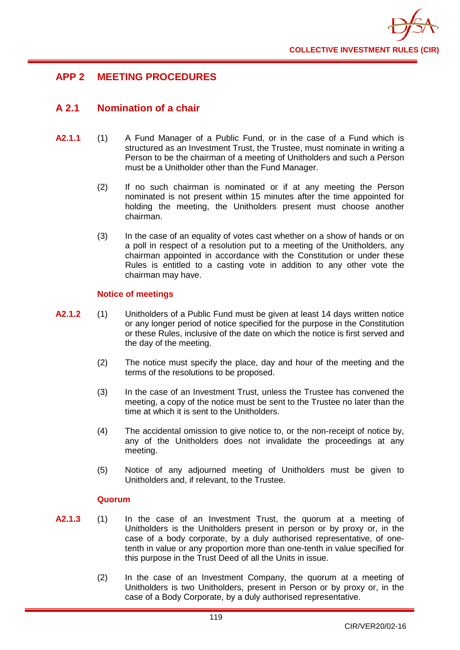

# **APP 2 MEETING PROCEDURES**

# **A 2.1 Nomination of a chair**

- **A2.1.1** (1) A Fund Manager of a Public Fund, or in the case of a Fund which is structured as an Investment Trust, the Trustee, must nominate in writing a Person to be the chairman of a meeting of Unitholders and such a Person must be a Unitholder other than the Fund Manager.
	- (2) If no such chairman is nominated or if at any meeting the Person nominated is not present within 15 minutes after the time appointed for holding the meeting, the Unitholders present must choose another chairman.
	- (3) In the case of an equality of votes cast whether on a show of hands or on a poll in respect of a resolution put to a meeting of the Unitholders, any chairman appointed in accordance with the Constitution or under these Rules is entitled to a casting vote in addition to any other vote the chairman may have.

## **Notice of meetings**

- **A2.1.2** (1) Unitholders of a Public Fund must be given at least 14 days written notice or any longer period of notice specified for the purpose in the Constitution or these Rules, inclusive of the date on which the notice is first served and the day of the meeting.
	- (2) The notice must specify the place, day and hour of the meeting and the terms of the resolutions to be proposed.
	- (3) In the case of an Investment Trust, unless the Trustee has convened the meeting, a copy of the notice must be sent to the Trustee no later than the time at which it is sent to the Unitholders.
	- (4) The accidental omission to give notice to, or the non-receipt of notice by, any of the Unitholders does not invalidate the proceedings at any meeting.
	- (5) Notice of any adjourned meeting of Unitholders must be given to Unitholders and, if relevant, to the Trustee.

## **Quorum**

- **A2.1.3** (1) In the case of an Investment Trust, the quorum at a meeting of Unitholders is the Unitholders present in person or by proxy or, in the case of a body corporate, by a duly authorised representative, of onetenth in value or any proportion more than one-tenth in value specified for this purpose in the Trust Deed of all the Units in issue.
	- (2) In the case of an Investment Company, the quorum at a meeting of Unitholders is two Unitholders, present in Person or by proxy or, in the case of a Body Corporate, by a duly authorised representative.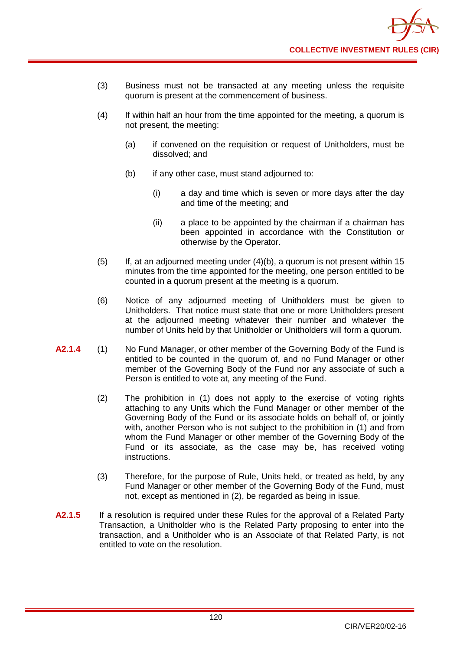- (3) Business must not be transacted at any meeting unless the requisite quorum is present at the commencement of business.
- (4) If within half an hour from the time appointed for the meeting, a quorum is not present, the meeting:
	- (a) if convened on the requisition or request of Unitholders, must be dissolved; and
	- (b) if any other case, must stand adjourned to:
		- (i) a day and time which is seven or more days after the day and time of the meeting; and
		- (ii) a place to be appointed by the chairman if a chairman has been appointed in accordance with the Constitution or otherwise by the Operator.
- (5) If, at an adjourned meeting under (4)(b), a quorum is not present within 15 minutes from the time appointed for the meeting, one person entitled to be counted in a quorum present at the meeting is a quorum.
- (6) Notice of any adjourned meeting of Unitholders must be given to Unitholders. That notice must state that one or more Unitholders present at the adjourned meeting whatever their number and whatever the number of Units held by that Unitholder or Unitholders will form a quorum.
- **A2.1.4** (1) No Fund Manager, or other member of the Governing Body of the Fund is entitled to be counted in the quorum of, and no Fund Manager or other member of the Governing Body of the Fund nor any associate of such a Person is entitled to vote at, any meeting of the Fund.
	- (2) The prohibition in (1) does not apply to the exercise of voting rights attaching to any Units which the Fund Manager or other member of the Governing Body of the Fund or its associate holds on behalf of, or jointly with, another Person who is not subject to the prohibition in (1) and from whom the Fund Manager or other member of the Governing Body of the Fund or its associate, as the case may be, has received voting instructions.
	- (3) Therefore, for the purpose of Rule, Units held, or treated as held, by any Fund Manager or other member of the Governing Body of the Fund, must not, except as mentioned in (2), be regarded as being in issue.
- **A2.1.5** If a resolution is required under these Rules for the approval of a Related Party Transaction, a Unitholder who is the Related Party proposing to enter into the transaction, and a Unitholder who is an Associate of that Related Party, is not entitled to vote on the resolution.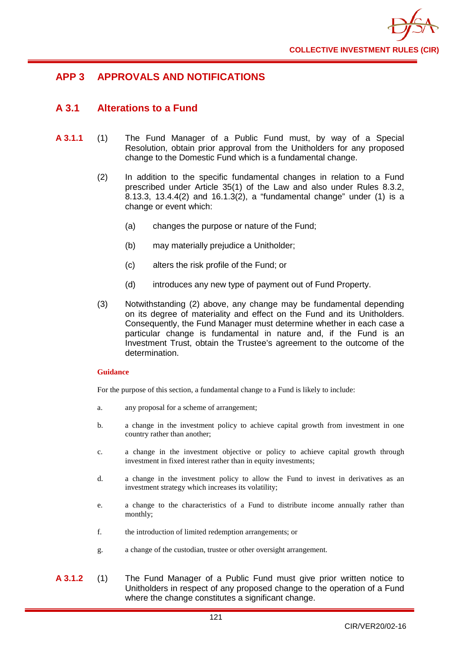

# **APP 3 APPROVALS AND NOTIFICATIONS**

# **A 3.1 Alterations to a Fund**

- **A 3.1.1** (1) The Fund Manager of a Public Fund must, by way of a Special Resolution, obtain prior approval from the Unitholders for any proposed change to the Domestic Fund which is a fundamental change.
	- (2) In addition to the specific fundamental changes in relation to a Fund prescribed under Article 35(1) of the Law and also under Rules 8.3.2, 8.13.3, 13.4.4(2) and 16.1.3(2), a "fundamental change" under (1) is a change or event which:
		- (a) changes the purpose or nature of the Fund;
		- (b) may materially prejudice a Unitholder;
		- (c) alters the risk profile of the Fund; or
		- (d) introduces any new type of payment out of Fund Property.
	- (3) Notwithstanding (2) above, any change may be fundamental depending on its degree of materiality and effect on the Fund and its Unitholders. Consequently, the Fund Manager must determine whether in each case a particular change is fundamental in nature and, if the Fund is an Investment Trust, obtain the Trustee's agreement to the outcome of the determination.

## **Guidance**

For the purpose of this section, a fundamental change to a Fund is likely to include:

- a. any proposal for a scheme of arrangement;
- b. a change in the investment policy to achieve capital growth from investment in one country rather than another;
- c. a change in the investment objective or policy to achieve capital growth through investment in fixed interest rather than in equity investments;
- d. a change in the investment policy to allow the Fund to invest in derivatives as an investment strategy which increases its volatility;
- e. a change to the characteristics of a Fund to distribute income annually rather than monthly;
- f. the introduction of limited redemption arrangements; or
- g. a change of the custodian, trustee or other oversight arrangement.
- **A 3.1.2** (1) The Fund Manager of a Public Fund must give prior written notice to Unitholders in respect of any proposed change to the operation of a Fund where the change constitutes a significant change.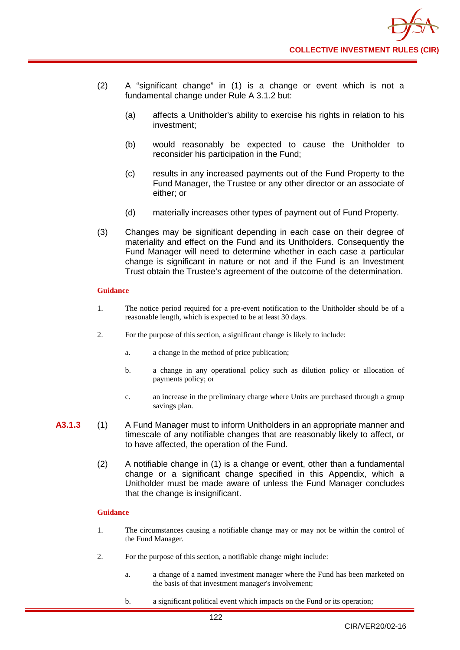- (2) A "significant change" in (1) is a change or event which is not a fundamental change under Rule A 3.1.2 but:
	- (a) affects a Unitholder's ability to exercise his rights in relation to his investment;
	- (b) would reasonably be expected to cause the Unitholder to reconsider his participation in the Fund;
	- (c) results in any increased payments out of the Fund Property to the Fund Manager, the Trustee or any other director or an associate of either; or
	- (d) materially increases other types of payment out of Fund Property.
- (3) Changes may be significant depending in each case on their degree of materiality and effect on the Fund and its Unitholders. Consequently the Fund Manager will need to determine whether in each case a particular change is significant in nature or not and if the Fund is an Investment Trust obtain the Trustee's agreement of the outcome of the determination.

#### **Guidance**

- 1. The notice period required for a pre-event notification to the Unitholder should be of a reasonable length, which is expected to be at least 30 days.
- 2. For the purpose of this section, a significant change is likely to include:
	- a. a change in the method of price publication;
	- b. a change in any operational policy such as dilution policy or allocation of payments policy; or
	- c. an increase in the preliminary charge where Units are purchased through a group savings plan.
- **A3.1.3** (1) A Fund Manager must to inform Unitholders in an appropriate manner and timescale of any notifiable changes that are reasonably likely to affect, or to have affected, the operation of the Fund.
	- (2) A notifiable change in (1) is a change or event, other than a fundamental change or a significant change specified in this Appendix, which a Unitholder must be made aware of unless the Fund Manager concludes that the change is insignificant.

## **Guidance**

- 1. The circumstances causing a notifiable change may or may not be within the control of the Fund Manager.
- 2. For the purpose of this section, a notifiable change might include:
	- a. a change of a named investment manager where the Fund has been marketed on the basis of that investment manager's involvement;
	- b. a significant political event which impacts on the Fund or its operation;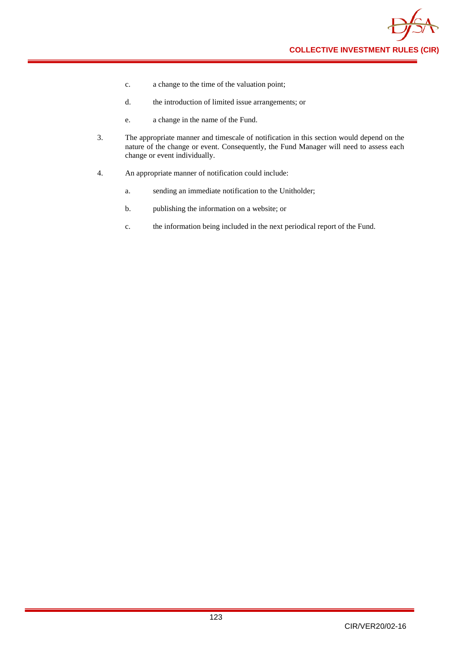

- c. a change to the time of the valuation point;
- d. the introduction of limited issue arrangements; or
- e. a change in the name of the Fund.
- 3. The appropriate manner and timescale of notification in this section would depend on the nature of the change or event. Consequently, the Fund Manager will need to assess each change or event individually.
- 4. An appropriate manner of notification could include:
	- a. sending an immediate notification to the Unitholder;
	- b. publishing the information on a website; or
	- c. the information being included in the next periodical report of the Fund.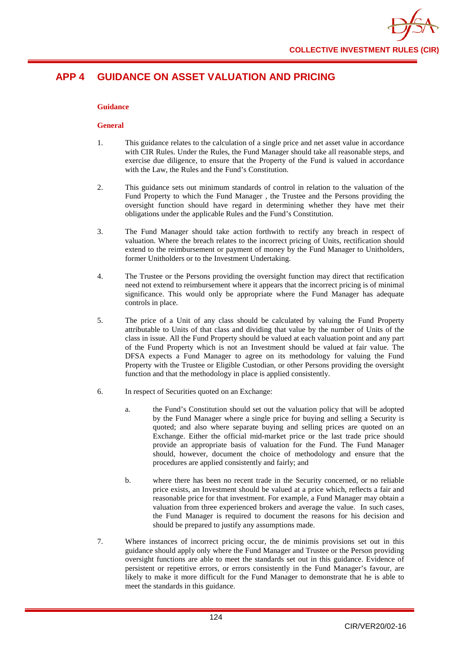

# **APP 4 GUIDANCE ON ASSET VALUATION AND PRICING**

## **Guidance**

#### **General**

- 1. This guidance relates to the calculation of a single price and net asset value in accordance with CIR Rules. Under the Rules, the Fund Manager should take all reasonable steps, and exercise due diligence, to ensure that the Property of the Fund is valued in accordance with the Law, the Rules and the Fund's Constitution.
- 2. This guidance sets out minimum standards of control in relation to the valuation of the Fund Property to which the Fund Manager , the Trustee and the Persons providing the oversight function should have regard in determining whether they have met their obligations under the applicable Rules and the Fund's Constitution.
- 3. The Fund Manager should take action forthwith to rectify any breach in respect of valuation. Where the breach relates to the incorrect pricing of Units, rectification should extend to the reimbursement or payment of money by the Fund Manager to Unitholders, former Unitholders or to the Investment Undertaking.
- 4. The Trustee or the Persons providing the oversight function may direct that rectification need not extend to reimbursement where it appears that the incorrect pricing is of minimal significance. This would only be appropriate where the Fund Manager has adequate controls in place.
- 5. The price of a Unit of any class should be calculated by valuing the Fund Property attributable to Units of that class and dividing that value by the number of Units of the class in issue. All the Fund Property should be valued at each valuation point and any part of the Fund Property which is not an Investment should be valued at fair value. The DFSA expects a Fund Manager to agree on its methodology for valuing the Fund Property with the Trustee or Eligible Custodian, or other Persons providing the oversight function and that the methodology in place is applied consistently.
- 6. In respect of Securities quoted on an Exchange:
	- a. the Fund's Constitution should set out the valuation policy that will be adopted by the Fund Manager where a single price for buying and selling a Security is quoted; and also where separate buying and selling prices are quoted on an Exchange. Either the official mid-market price or the last trade price should provide an appropriate basis of valuation for the Fund. The Fund Manager should, however, document the choice of methodology and ensure that the procedures are applied consistently and fairly; and
	- b. where there has been no recent trade in the Security concerned, or no reliable price exists, an Investment should be valued at a price which, reflects a fair and reasonable price for that investment. For example, a Fund Manager may obtain a valuation from three experienced brokers and average the value. In such cases, the Fund Manager is required to document the reasons for his decision and should be prepared to justify any assumptions made.
- 7. Where instances of incorrect pricing occur, the de minimis provisions set out in this guidance should apply only where the Fund Manager and Trustee or the Person providing oversight functions are able to meet the standards set out in this guidance. Evidence of persistent or repetitive errors, or errors consistently in the Fund Manager's favour, are likely to make it more difficult for the Fund Manager to demonstrate that he is able to meet the standards in this guidance.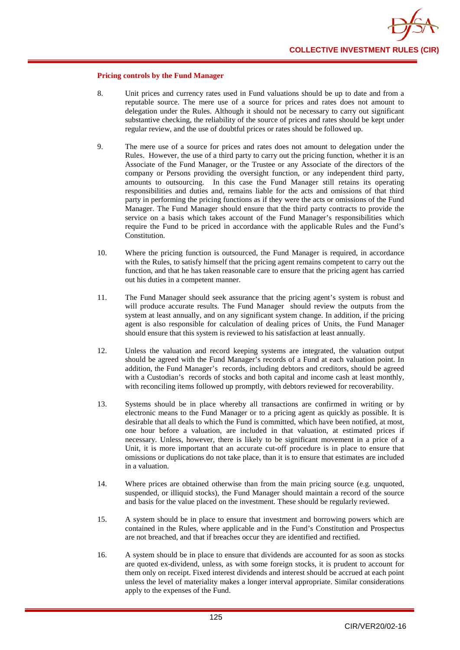

#### **Pricing controls by the Fund Manager**

- 8. Unit prices and currency rates used in Fund valuations should be up to date and from a reputable source. The mere use of a source for prices and rates does not amount to delegation under the Rules. Although it should not be necessary to carry out significant substantive checking, the reliability of the source of prices and rates should be kept under regular review, and the use of doubtful prices or rates should be followed up.
- 9. The mere use of a source for prices and rates does not amount to delegation under the Rules. However, the use of a third party to carry out the pricing function, whether it is an Associate of the Fund Manager, or the Trustee or any Associate of the directors of the company or Persons providing the oversight function, or any independent third party, amounts to outsourcing. In this case the Fund Manager still retains its operating responsibilities and duties and, remains liable for the acts and omissions of that third party in performing the pricing functions as if they were the acts or omissions of the Fund Manager. The Fund Manager should ensure that the third party contracts to provide the service on a basis which takes account of the Fund Manager's responsibilities which require the Fund to be priced in accordance with the applicable Rules and the Fund's **Constitution**
- 10. Where the pricing function is outsourced, the Fund Manager is required, in accordance with the Rules, to satisfy himself that the pricing agent remains competent to carry out the function, and that he has taken reasonable care to ensure that the pricing agent has carried out his duties in a competent manner.
- 11. The Fund Manager should seek assurance that the pricing agent's system is robust and will produce accurate results. The Fund Manager should review the outputs from the system at least annually, and on any significant system change. In addition, if the pricing agent is also responsible for calculation of dealing prices of Units, the Fund Manager should ensure that this system is reviewed to his satisfaction at least annually.
- 12. Unless the valuation and record keeping systems are integrated, the valuation output should be agreed with the Fund Manager's records of a Fund at each valuation point. In addition, the Fund Manager's records, including debtors and creditors, should be agreed with a Custodian's records of stocks and both capital and income cash at least monthly, with reconciling items followed up promptly, with debtors reviewed for recoverability.
- 13. Systems should be in place whereby all transactions are confirmed in writing or by electronic means to the Fund Manager or to a pricing agent as quickly as possible. It is desirable that all deals to which the Fund is committed, which have been notified, at most, one hour before a valuation, are included in that valuation, at estimated prices if necessary. Unless, however, there is likely to be significant movement in a price of a Unit, it is more important that an accurate cut-off procedure is in place to ensure that omissions or duplications do not take place, than it is to ensure that estimates are included in a valuation.
- 14. Where prices are obtained otherwise than from the main pricing source (e.g. unquoted, suspended, or illiquid stocks), the Fund Manager should maintain a record of the source and basis for the value placed on the investment. These should be regularly reviewed.
- 15. A system should be in place to ensure that investment and borrowing powers which are contained in the Rules, where applicable and in the Fund's Constitution and Prospectus are not breached, and that if breaches occur they are identified and rectified.
- 16. A system should be in place to ensure that dividends are accounted for as soon as stocks are quoted ex-dividend, unless, as with some foreign stocks, it is prudent to account for them only on receipt. Fixed interest dividends and interest should be accrued at each point unless the level of materiality makes a longer interval appropriate. Similar considerations apply to the expenses of the Fund.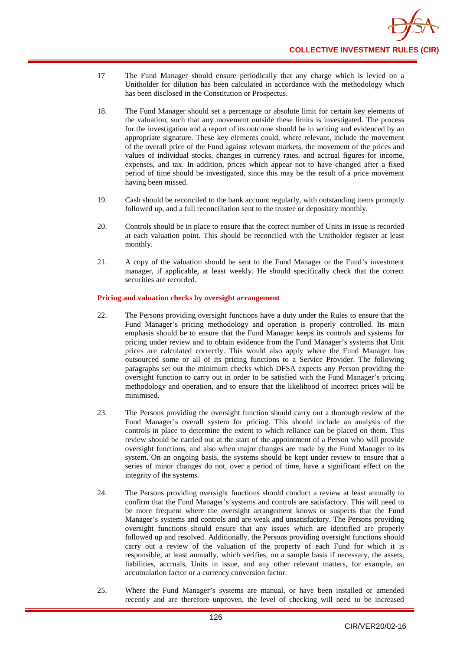- 17 The Fund Manager should ensure periodically that any charge which is levied on a Unitholder for dilution has been calculated in accordance with the methodology which has been disclosed in the Constitution or Prospectus.
- 18. The Fund Manager should set a percentage or absolute limit for certain key elements of the valuation, such that any movement outside these limits is investigated. The process for the investigation and a report of its outcome should be in writing and evidenced by an appropriate signature. These key elements could, where relevant, include the movement of the overall price of the Fund against relevant markets, the movement of the prices and values of individual stocks, changes in currency rates, and accrual figures for income, expenses, and tax. In addition, prices which appear not to have changed after a fixed period of time should be investigated, since this may be the result of a price movement having been missed.
- 19. Cash should be reconciled to the bank account regularly, with outstanding items promptly followed up, and a full reconciliation sent to the trustee or depositary monthly.
- 20. Controls should be in place to ensure that the correct number of Units in issue is recorded at each valuation point. This should be reconciled with the Unitholder register at least monthly.
- 21. A copy of the valuation should be sent to the Fund Manager or the Fund's investment manager, if applicable, at least weekly. He should specifically check that the correct securities are recorded.

#### **Pricing and valuation checks by oversight arrangement**

- 22. The Persons providing oversight functions have a duty under the Rules to ensure that the Fund Manager's pricing methodology and operation is properly controlled. Its main emphasis should be to ensure that the Fund Manager keeps its controls and systems for pricing under review and to obtain evidence from the Fund Manager's systems that Unit prices are calculated correctly. This would also apply where the Fund Manager has outsourced some or all of its pricing functions to a Service Provider. The following paragraphs set out the minimum checks which DFSA expects any Person providing the oversight function to carry out in order to be satisfied with the Fund Manager's pricing methodology and operation, and to ensure that the likelihood of incorrect prices will be minimised.
- 23. The Persons providing the oversight function should carry out a thorough review of the Fund Manager's overall system for pricing. This should include an analysis of the controls in place to determine the extent to which reliance can be placed on them. This review should be carried out at the start of the appointment of a Person who will provide oversight functions, and also when major changes are made by the Fund Manager to its system. On an ongoing basis, the systems should be kept under review to ensure that a series of minor changes do not, over a period of time, have a significant effect on the integrity of the systems.
- 24. The Persons providing oversight functions should conduct a review at least annually to confirm that the Fund Manager's systems and controls are satisfactory. This will need to be more frequent where the oversight arrangement knows or suspects that the Fund Manager's systems and controls and are weak and unsatisfactory. The Persons providing oversight functions should ensure that any issues which are identified are properly followed up and resolved. Additionally, the Persons providing oversight functions should carry out a review of the valuation of the property of each Fund for which it is responsible, at least annually, which verifies, on a sample basis if necessary, the assets, liabilities, accruals, Units in issue, and any other relevant matters, for example, an accumulation factor or a currency conversion factor.
- 25. Where the Fund Manager's systems are manual, or have been installed or amended recently and are therefore unproven, the level of checking will need to be increased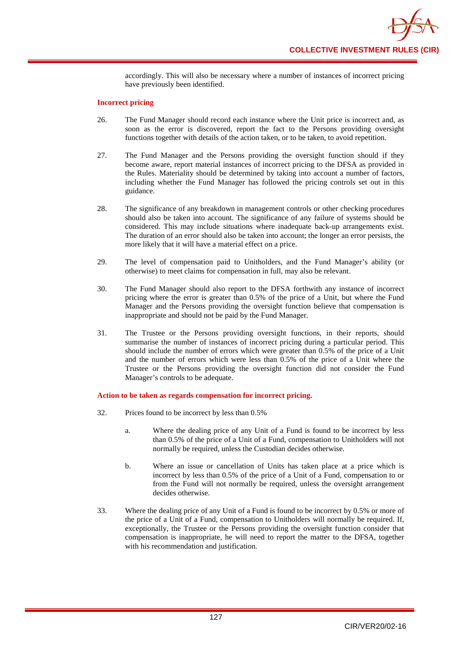accordingly. This will also be necessary where a number of instances of incorrect pricing have previously been identified.

#### **Incorrect pricing**

- 26. The Fund Manager should record each instance where the Unit price is incorrect and, as soon as the error is discovered, report the fact to the Persons providing oversight functions together with details of the action taken, or to be taken, to avoid repetition.
- 27. The Fund Manager and the Persons providing the oversight function should if they become aware, report material instances of incorrect pricing to the DFSA as provided in the Rules. Materiality should be determined by taking into account a number of factors, including whether the Fund Manager has followed the pricing controls set out in this guidance.
- 28. The significance of any breakdown in management controls or other checking procedures should also be taken into account. The significance of any failure of systems should be considered. This may include situations where inadequate back-up arrangements exist. The duration of an error should also be taken into account; the longer an error persists, the more likely that it will have a material effect on a price.
- 29. The level of compensation paid to Unitholders, and the Fund Manager's ability (or otherwise) to meet claims for compensation in full, may also be relevant.
- 30. The Fund Manager should also report to the DFSA forthwith any instance of incorrect pricing where the error is greater than 0.5% of the price of a Unit, but where the Fund Manager and the Persons providing the oversight function believe that compensation is inappropriate and should not be paid by the Fund Manager.
- 31. The Trustee or the Persons providing oversight functions, in their reports, should summarise the number of instances of incorrect pricing during a particular period. This should include the number of errors which were greater than 0.5% of the price of a Unit and the number of errors which were less than 0.5% of the price of a Unit where the Trustee or the Persons providing the oversight function did not consider the Fund Manager's controls to be adequate.

#### **Action to be taken as regards compensation for incorrect pricing.**

- 32. Prices found to be incorrect by less than 0.5%
	- a. Where the dealing price of any Unit of a Fund is found to be incorrect by less than 0.5% of the price of a Unit of a Fund, compensation to Unitholders will not normally be required, unless the Custodian decides otherwise.
	- b. Where an issue or cancellation of Units has taken place at a price which is incorrect by less than 0.5% of the price of a Unit of a Fund, compensation to or from the Fund will not normally be required, unless the oversight arrangement decides otherwise.
- 33. Where the dealing price of any Unit of a Fund is found to be incorrect by 0.5% or more of the price of a Unit of a Fund, compensation to Unitholders will normally be required. If, exceptionally, the Trustee or the Persons providing the oversight function consider that compensation is inappropriate, he will need to report the matter to the DFSA, together with his recommendation and justification.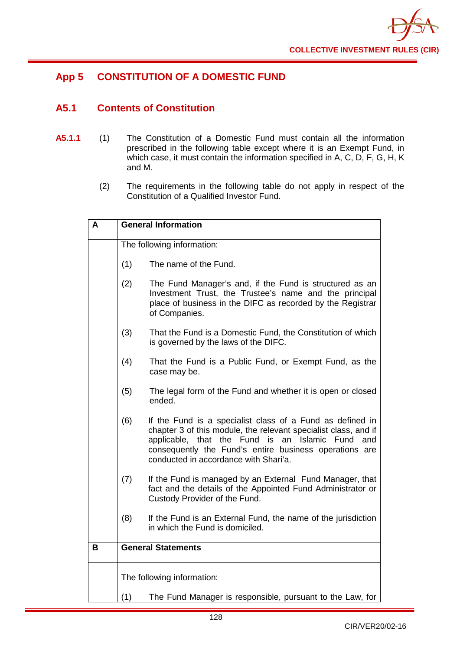

# **App 5 CONSTITUTION OF A DOMESTIC FUND**

# **A5.1 Contents of Constitution**

- **A5.1.1** (1) The Constitution of a Domestic Fund must contain all the information prescribed in the following table except where it is an Exempt Fund, in which case, it must contain the information specified in A, C, D, F, G, H, K and M.
	- (2) The requirements in the following table do not apply in respect of the Constitution of a Qualified Investor Fund.

| A | <b>General Information</b> |                                                                                                                                                                                                                                                                                              |  |
|---|----------------------------|----------------------------------------------------------------------------------------------------------------------------------------------------------------------------------------------------------------------------------------------------------------------------------------------|--|
|   | The following information: |                                                                                                                                                                                                                                                                                              |  |
|   | (1)                        | The name of the Fund.                                                                                                                                                                                                                                                                        |  |
|   | (2)                        | The Fund Manager's and, if the Fund is structured as an<br>Investment Trust, the Trustee's name and the principal<br>place of business in the DIFC as recorded by the Registrar<br>of Companies.                                                                                             |  |
|   | (3)                        | That the Fund is a Domestic Fund, the Constitution of which<br>is governed by the laws of the DIFC.                                                                                                                                                                                          |  |
|   | (4)                        | That the Fund is a Public Fund, or Exempt Fund, as the<br>case may be.                                                                                                                                                                                                                       |  |
|   | (5)                        | The legal form of the Fund and whether it is open or closed<br>ended.                                                                                                                                                                                                                        |  |
|   | (6)                        | If the Fund is a specialist class of a Fund as defined in<br>chapter 3 of this module, the relevant specialist class, and if<br>applicable, that the Fund is<br>an<br>Islamic Fund<br>and<br>consequently the Fund's entire business operations are<br>conducted in accordance with Shari'a. |  |
|   | (7)                        | If the Fund is managed by an External Fund Manager, that<br>fact and the details of the Appointed Fund Administrator or<br>Custody Provider of the Fund.                                                                                                                                     |  |
|   | (8)                        | If the Fund is an External Fund, the name of the jurisdiction<br>in which the Fund is domiciled.                                                                                                                                                                                             |  |
| в |                            | <b>General Statements</b>                                                                                                                                                                                                                                                                    |  |
|   | The following information: |                                                                                                                                                                                                                                                                                              |  |
|   | (1)                        | The Fund Manager is responsible, pursuant to the Law, for                                                                                                                                                                                                                                    |  |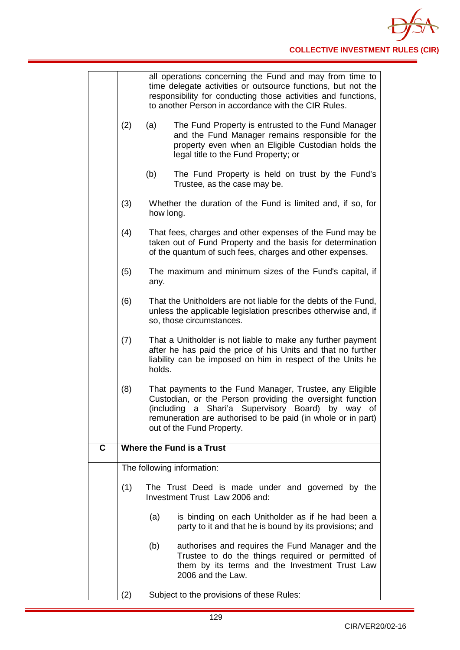|   |     | all operations concerning the Fund and may from time to<br>time delegate activities or outsource functions, but not the<br>responsibility for conducting those activities and functions,<br>to another Person in accordance with the CIR Rules.                                     |
|---|-----|-------------------------------------------------------------------------------------------------------------------------------------------------------------------------------------------------------------------------------------------------------------------------------------|
|   | (2) | (a)<br>The Fund Property is entrusted to the Fund Manager<br>and the Fund Manager remains responsible for the<br>property even when an Eligible Custodian holds the<br>legal title to the Fund Property; or                                                                         |
|   |     | (b)<br>The Fund Property is held on trust by the Fund's<br>Trustee, as the case may be.                                                                                                                                                                                             |
|   | (3) | Whether the duration of the Fund is limited and, if so, for<br>how long.                                                                                                                                                                                                            |
|   | (4) | That fees, charges and other expenses of the Fund may be<br>taken out of Fund Property and the basis for determination<br>of the quantum of such fees, charges and other expenses.                                                                                                  |
|   | (5) | The maximum and minimum sizes of the Fund's capital, if<br>any.                                                                                                                                                                                                                     |
|   | (6) | That the Unitholders are not liable for the debts of the Fund,<br>unless the applicable legislation prescribes otherwise and, if<br>so, those circumstances.                                                                                                                        |
|   | (7) | That a Unitholder is not liable to make any further payment<br>after he has paid the price of his Units and that no further<br>liability can be imposed on him in respect of the Units he<br>holds.                                                                                 |
|   | (8) | That payments to the Fund Manager, Trustee, any Eligible<br>Custodian, or the Person providing the oversight function<br>Shari'a Supervisory Board)<br>(including<br>a<br>by way<br>of<br>remuneration are authorised to be paid (in whole or in part)<br>out of the Fund Property. |
| C |     | Where the Fund is a Trust                                                                                                                                                                                                                                                           |
|   |     | The following information:                                                                                                                                                                                                                                                          |
|   | (1) | The Trust Deed is made under and governed by the<br>Investment Trust Law 2006 and:                                                                                                                                                                                                  |
|   |     | (a)<br>is binding on each Unitholder as if he had been a<br>party to it and that he is bound by its provisions; and                                                                                                                                                                 |
|   |     | (b)<br>authorises and requires the Fund Manager and the<br>Trustee to do the things required or permitted of<br>them by its terms and the Investment Trust Law<br>2006 and the Law.                                                                                                 |
|   | (2) | Subject to the provisions of these Rules:                                                                                                                                                                                                                                           |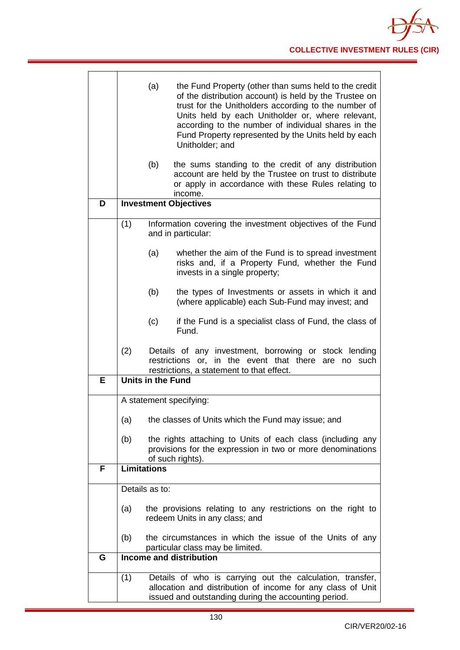|   | (a)<br>the Fund Property (other than sums held to the credit<br>of the distribution account) is held by the Trustee on<br>trust for the Unitholders according to the number of<br>Units held by each Unitholder or, where relevant,<br>according to the number of individual shares in the<br>Fund Property represented by the Units held by each<br>Unitholder; and |
|---|----------------------------------------------------------------------------------------------------------------------------------------------------------------------------------------------------------------------------------------------------------------------------------------------------------------------------------------------------------------------|
|   | (b)<br>the sums standing to the credit of any distribution<br>account are held by the Trustee on trust to distribute<br>or apply in accordance with these Rules relating to<br>income.                                                                                                                                                                               |
| D | <b>Investment Objectives</b>                                                                                                                                                                                                                                                                                                                                         |
|   | (1)<br>Information covering the investment objectives of the Fund<br>and in particular:                                                                                                                                                                                                                                                                              |
|   | (a)<br>whether the aim of the Fund is to spread investment<br>risks and, if a Property Fund, whether the Fund<br>invests in a single property;                                                                                                                                                                                                                       |
|   | (b)<br>the types of Investments or assets in which it and<br>(where applicable) each Sub-Fund may invest; and                                                                                                                                                                                                                                                        |
|   | (c)<br>if the Fund is a specialist class of Fund, the class of<br>Fund.                                                                                                                                                                                                                                                                                              |
|   | (2)<br>Details of any investment, borrowing or stock lending<br>in the event that there<br>restrictions or,<br>are no such<br>restrictions, a statement to that effect.                                                                                                                                                                                              |
| E | <b>Units in the Fund</b>                                                                                                                                                                                                                                                                                                                                             |
|   | A statement specifying:                                                                                                                                                                                                                                                                                                                                              |
|   |                                                                                                                                                                                                                                                                                                                                                                      |
|   | (a)<br>the classes of Units which the Fund may issue; and                                                                                                                                                                                                                                                                                                            |
|   | the rights attaching to Units of each class (including any<br>(b)<br>provisions for the expression in two or more denominations<br>of such rights).                                                                                                                                                                                                                  |
| F | <b>Limitations</b>                                                                                                                                                                                                                                                                                                                                                   |
|   | Details as to:                                                                                                                                                                                                                                                                                                                                                       |
|   |                                                                                                                                                                                                                                                                                                                                                                      |
|   | the provisions relating to any restrictions on the right to<br>(a)<br>redeem Units in any class; and                                                                                                                                                                                                                                                                 |
|   | (b)<br>the circumstances in which the issue of the Units of any<br>particular class may be limited.                                                                                                                                                                                                                                                                  |
| G | <b>Income and distribution</b>                                                                                                                                                                                                                                                                                                                                       |
|   | (1)<br>Details of who is carrying out the calculation, transfer,<br>allocation and distribution of income for any class of Unit<br>issued and outstanding during the accounting period.                                                                                                                                                                              |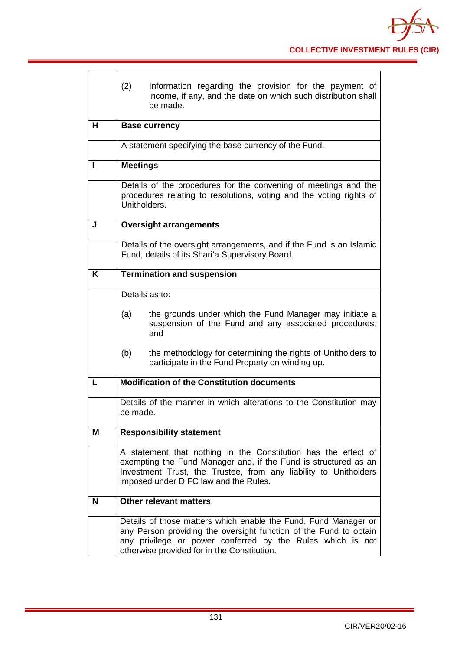|   | (2)<br>Information regarding the provision for the payment of<br>income, if any, and the date on which such distribution shall<br>be made.                                                                                                        |
|---|---------------------------------------------------------------------------------------------------------------------------------------------------------------------------------------------------------------------------------------------------|
| н | <b>Base currency</b>                                                                                                                                                                                                                              |
|   | A statement specifying the base currency of the Fund.                                                                                                                                                                                             |
| ı | <b>Meetings</b>                                                                                                                                                                                                                                   |
|   | Details of the procedures for the convening of meetings and the<br>procedures relating to resolutions, voting and the voting rights of<br>Unitholders.                                                                                            |
| J | <b>Oversight arrangements</b>                                                                                                                                                                                                                     |
|   | Details of the oversight arrangements, and if the Fund is an Islamic<br>Fund, details of its Shari'a Supervisory Board.                                                                                                                           |
| K | <b>Termination and suspension</b>                                                                                                                                                                                                                 |
|   | Details as to:                                                                                                                                                                                                                                    |
|   | the grounds under which the Fund Manager may initiate a<br>(a)<br>suspension of the Fund and any associated procedures;<br>and                                                                                                                    |
|   | (b)<br>the methodology for determining the rights of Unitholders to<br>participate in the Fund Property on winding up.                                                                                                                            |
|   | <b>Modification of the Constitution documents</b>                                                                                                                                                                                                 |
|   | Details of the manner in which alterations to the Constitution may<br>be made.                                                                                                                                                                    |
| Μ | <b>Responsibility statement</b>                                                                                                                                                                                                                   |
|   | A statement that nothing in the Constitution has the effect of<br>exempting the Fund Manager and, if the Fund is structured as an<br>Investment Trust, the Trustee, from any liability to Unitholders<br>imposed under DIFC law and the Rules.    |
| N | <b>Other relevant matters</b>                                                                                                                                                                                                                     |
|   | Details of those matters which enable the Fund, Fund Manager or<br>any Person providing the oversight function of the Fund to obtain<br>any privilege or power conferred by the Rules which is not<br>otherwise provided for in the Constitution. |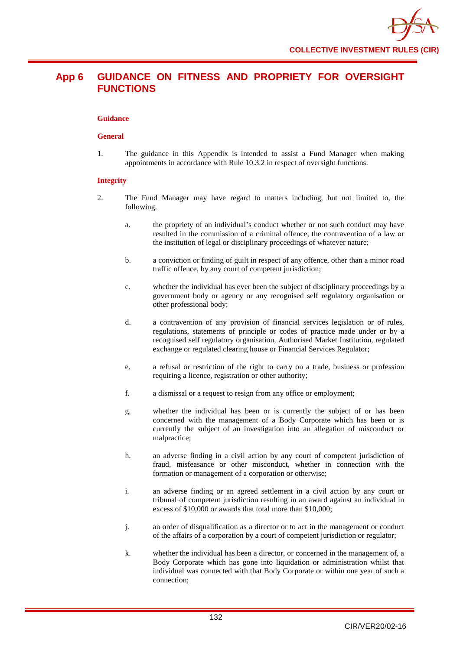## **App 6 GUIDANCE ON FITNESS AND PROPRIETY FOR OVERSIGHT FUNCTIONS**

#### **Guidance**

#### **General**

1. The guidance in this Appendix is intended to assist a Fund Manager when making appointments in accordance with Rule 10.3.2 in respect of oversight functions.

#### **Integrity**

- 2. The Fund Manager may have regard to matters including, but not limited to, the following.
	- a. the propriety of an individual's conduct whether or not such conduct may have resulted in the commission of a criminal offence, the contravention of a law or the institution of legal or disciplinary proceedings of whatever nature;
	- b. a conviction or finding of guilt in respect of any offence, other than a minor road traffic offence, by any court of competent jurisdiction;
	- c. whether the individual has ever been the subject of disciplinary proceedings by a government body or agency or any recognised self regulatory organisation or other professional body;
	- d. a contravention of any provision of financial services legislation or of rules, regulations, statements of principle or codes of practice made under or by a recognised self regulatory organisation, Authorised Market Institution, regulated exchange or regulated clearing house or Financial Services Regulator;
	- e. a refusal or restriction of the right to carry on a trade, business or profession requiring a licence, registration or other authority;
	- f. a dismissal or a request to resign from any office or employment;
	- g. whether the individual has been or is currently the subject of or has been concerned with the management of a Body Corporate which has been or is currently the subject of an investigation into an allegation of misconduct or malpractice;
	- h. an adverse finding in a civil action by any court of competent jurisdiction of fraud, misfeasance or other misconduct, whether in connection with the formation or management of a corporation or otherwise;
	- i. an adverse finding or an agreed settlement in a civil action by any court or tribunal of competent jurisdiction resulting in an award against an individual in excess of \$10,000 or awards that total more than \$10,000;
	- j. an order of disqualification as a director or to act in the management or conduct of the affairs of a corporation by a court of competent jurisdiction or regulator;
	- k. whether the individual has been a director, or concerned in the management of, a Body Corporate which has gone into liquidation or administration whilst that individual was connected with that Body Corporate or within one year of such a connection;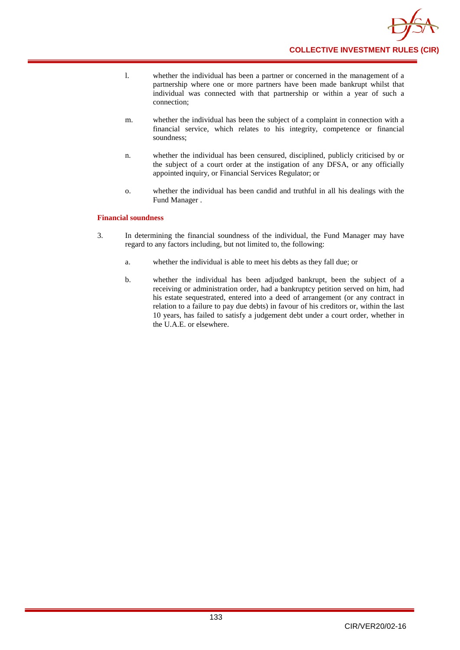

- l. whether the individual has been a partner or concerned in the management of a partnership where one or more partners have been made bankrupt whilst that individual was connected with that partnership or within a year of such a connection;
- m. whether the individual has been the subject of a complaint in connection with a financial service, which relates to his integrity, competence or financial soundness;
- n. whether the individual has been censured, disciplined, publicly criticised by or the subject of a court order at the instigation of any DFSA, or any officially appointed inquiry, or Financial Services Regulator; or
- o. whether the individual has been candid and truthful in all his dealings with the Fund Manager .

#### **Financial soundness**

- 3. In determining the financial soundness of the individual, the Fund Manager may have regard to any factors including, but not limited to, the following:
	- a. whether the individual is able to meet his debts as they fall due; or
	- b. whether the individual has been adjudged bankrupt, been the subject of a receiving or administration order, had a bankruptcy petition served on him, had his estate sequestrated, entered into a deed of arrangement (or any contract in relation to a failure to pay due debts) in favour of his creditors or, within the last 10 years, has failed to satisfy a judgement debt under a court order, whether in the U.A.E. or elsewhere.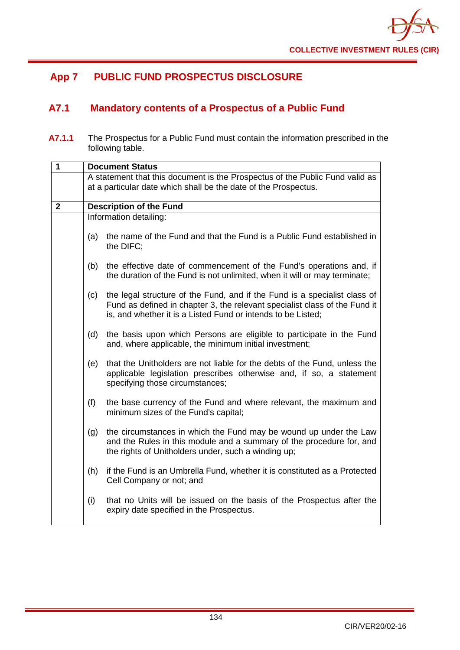

# **App 7 PUBLIC FUND PROSPECTUS DISCLOSURE**

# **A7.1 Mandatory contents of a Prospectus of a Public Fund**

**A7.1.1** The Prospectus for a Public Fund must contain the information prescribed in the following table.

| 1            | <b>Document Status</b> |                                                                                                                                                                                                                         |  |
|--------------|------------------------|-------------------------------------------------------------------------------------------------------------------------------------------------------------------------------------------------------------------------|--|
|              |                        | A statement that this document is the Prospectus of the Public Fund valid as<br>at a particular date which shall be the date of the Prospectus.                                                                         |  |
| $\mathbf{2}$ |                        | <b>Description of the Fund</b>                                                                                                                                                                                          |  |
|              |                        | Information detailing:                                                                                                                                                                                                  |  |
|              | (a)                    | the name of the Fund and that the Fund is a Public Fund established in<br>the DIFC;                                                                                                                                     |  |
|              | (b)                    | the effective date of commencement of the Fund's operations and, if<br>the duration of the Fund is not unlimited, when it will or may terminate;                                                                        |  |
|              | (c)                    | the legal structure of the Fund, and if the Fund is a specialist class of<br>Fund as defined in chapter 3, the relevant specialist class of the Fund it<br>is, and whether it is a Listed Fund or intends to be Listed; |  |
|              | (d)                    | the basis upon which Persons are eligible to participate in the Fund<br>and, where applicable, the minimum initial investment;                                                                                          |  |
|              | (e)                    | that the Unitholders are not liable for the debts of the Fund, unless the<br>applicable legislation prescribes otherwise and, if so, a statement<br>specifying those circumstances;                                     |  |
|              | (f)                    | the base currency of the Fund and where relevant, the maximum and<br>minimum sizes of the Fund's capital;                                                                                                               |  |
|              | (g)                    | the circumstances in which the Fund may be wound up under the Law<br>and the Rules in this module and a summary of the procedure for, and<br>the rights of Unitholders under, such a winding up;                        |  |
|              | (h)                    | if the Fund is an Umbrella Fund, whether it is constituted as a Protected<br>Cell Company or not; and                                                                                                                   |  |
|              | (i)                    | that no Units will be issued on the basis of the Prospectus after the<br>expiry date specified in the Prospectus.                                                                                                       |  |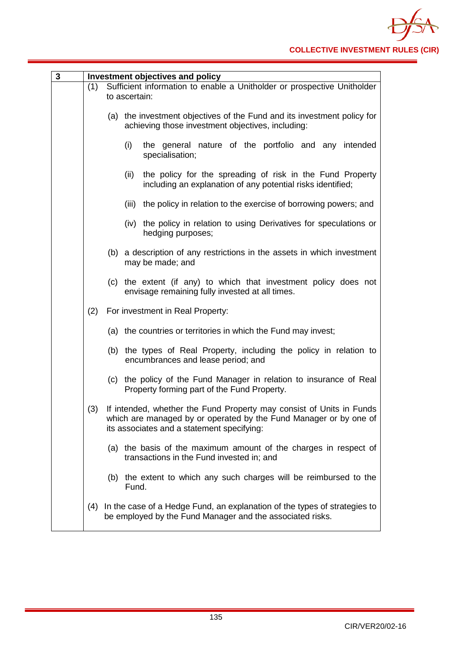| 3 |     | Investment objectives and policy                                                                                                                                                        |
|---|-----|-----------------------------------------------------------------------------------------------------------------------------------------------------------------------------------------|
|   | (1) | Sufficient information to enable a Unitholder or prospective Unitholder<br>to ascertain:                                                                                                |
|   |     | (a) the investment objectives of the Fund and its investment policy for<br>achieving those investment objectives, including:                                                            |
|   |     | (i)<br>the general nature of the portfolio and any intended<br>specialisation;                                                                                                          |
|   |     | the policy for the spreading of risk in the Fund Property<br>(ii)<br>including an explanation of any potential risks identified;                                                        |
|   |     | the policy in relation to the exercise of borrowing powers; and<br>(iii)                                                                                                                |
|   |     | (iv) the policy in relation to using Derivatives for speculations or<br>hedging purposes;                                                                                               |
|   |     | (b) a description of any restrictions in the assets in which investment<br>may be made; and                                                                                             |
|   |     | (c) the extent (if any) to which that investment policy does not<br>envisage remaining fully invested at all times.                                                                     |
|   | (2) | For investment in Real Property:                                                                                                                                                        |
|   |     | (a) the countries or territories in which the Fund may invest;                                                                                                                          |
|   |     | (b) the types of Real Property, including the policy in relation to<br>encumbrances and lease period; and                                                                               |
|   |     | (c) the policy of the Fund Manager in relation to insurance of Real<br>Property forming part of the Fund Property.                                                                      |
|   | (3) | If intended, whether the Fund Property may consist of Units in Funds<br>which are managed by or operated by the Fund Manager or by one of<br>its associates and a statement specifying: |
|   |     | (a) the basis of the maximum amount of the charges in respect of<br>transactions in the Fund invested in; and                                                                           |
|   |     | (b) the extent to which any such charges will be reimbursed to the<br>Fund.                                                                                                             |
|   | (4) | In the case of a Hedge Fund, an explanation of the types of strategies to<br>be employed by the Fund Manager and the associated risks.                                                  |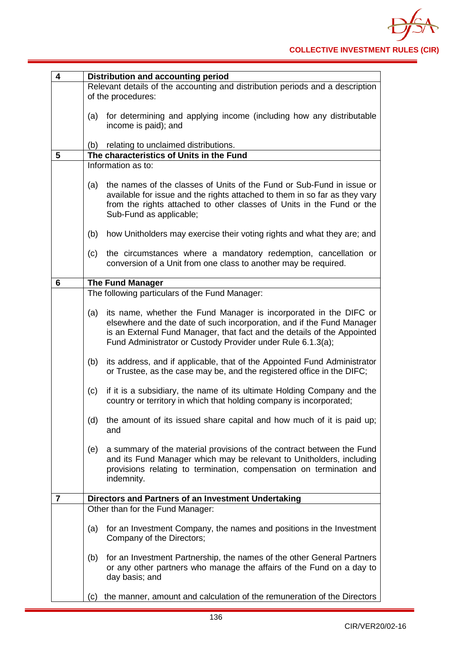| 4 | Distribution and accounting period                                                                                                                                                                                                                                                          |
|---|---------------------------------------------------------------------------------------------------------------------------------------------------------------------------------------------------------------------------------------------------------------------------------------------|
|   | Relevant details of the accounting and distribution periods and a description<br>of the procedures:                                                                                                                                                                                         |
|   | for determining and applying income (including how any distributable<br>(a)<br>income is paid); and                                                                                                                                                                                         |
|   | relating to unclaimed distributions.<br>(b)                                                                                                                                                                                                                                                 |
| 5 | The characteristics of Units in the Fund                                                                                                                                                                                                                                                    |
|   | Information as to:                                                                                                                                                                                                                                                                          |
|   | the names of the classes of Units of the Fund or Sub-Fund in issue or<br>(a)<br>available for issue and the rights attached to them in so far as they vary<br>from the rights attached to other classes of Units in the Fund or the<br>Sub-Fund as applicable;                              |
|   | (b)<br>how Unitholders may exercise their voting rights and what they are; and                                                                                                                                                                                                              |
|   | the circumstances where a mandatory redemption, cancellation or<br>(c)<br>conversion of a Unit from one class to another may be required.                                                                                                                                                   |
| 6 | <b>The Fund Manager</b>                                                                                                                                                                                                                                                                     |
|   | The following particulars of the Fund Manager:                                                                                                                                                                                                                                              |
|   | its name, whether the Fund Manager is incorporated in the DIFC or<br>(a)<br>elsewhere and the date of such incorporation, and if the Fund Manager<br>is an External Fund Manager, that fact and the details of the Appointed<br>Fund Administrator or Custody Provider under Rule 6.1.3(a); |
|   | (b)<br>its address, and if applicable, that of the Appointed Fund Administrator<br>or Trustee, as the case may be, and the registered office in the DIFC;                                                                                                                                   |
|   | if it is a subsidiary, the name of its ultimate Holding Company and the<br>(c)<br>country or territory in which that holding company is incorporated;                                                                                                                                       |
|   | the amount of its issued share capital and how much of it is paid up;<br>(d)<br>and                                                                                                                                                                                                         |
|   | a summary of the material provisions of the contract between the Fund<br>(e)<br>and its Fund Manager which may be relevant to Unitholders, including<br>provisions relating to termination, compensation on termination and<br>indemnity.                                                   |
| 7 | Directors and Partners of an Investment Undertaking                                                                                                                                                                                                                                         |
|   | Other than for the Fund Manager:                                                                                                                                                                                                                                                            |
|   | for an Investment Company, the names and positions in the Investment<br>(a)<br>Company of the Directors;                                                                                                                                                                                    |
|   | for an Investment Partnership, the names of the other General Partners<br>(b)<br>or any other partners who manage the affairs of the Fund on a day to<br>day basis; and                                                                                                                     |
|   | the manner, amount and calculation of the remuneration of the Directors<br>(c)                                                                                                                                                                                                              |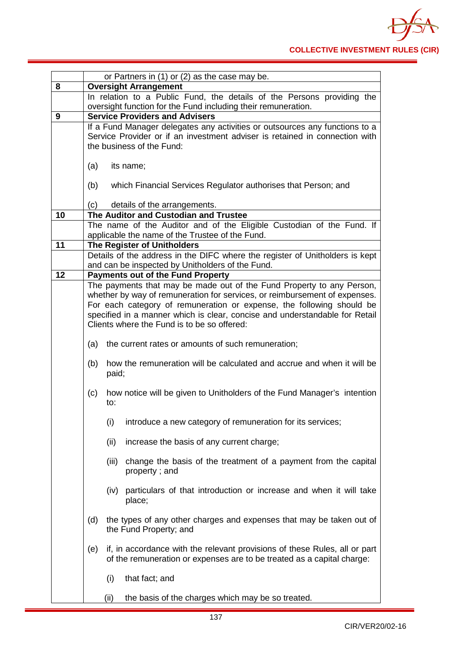

|    | or Partners in (1) or (2) as the case may be.                                                                                                               |  |  |
|----|-------------------------------------------------------------------------------------------------------------------------------------------------------------|--|--|
| 8  | <b>Oversight Arrangement</b>                                                                                                                                |  |  |
|    | In relation to a Public Fund, the details of the Persons providing the                                                                                      |  |  |
|    | oversight function for the Fund including their remuneration.                                                                                               |  |  |
| 9  | <b>Service Providers and Advisers</b>                                                                                                                       |  |  |
|    | If a Fund Manager delegates any activities or outsources any functions to a<br>Service Provider or if an investment adviser is retained in connection with  |  |  |
|    | the business of the Fund:                                                                                                                                   |  |  |
|    |                                                                                                                                                             |  |  |
|    | (a)<br>its name;                                                                                                                                            |  |  |
|    |                                                                                                                                                             |  |  |
|    | which Financial Services Regulator authorises that Person; and<br>(b)                                                                                       |  |  |
|    |                                                                                                                                                             |  |  |
| 10 | details of the arrangements.<br>(c)<br>The Auditor and Custodian and Trustee                                                                                |  |  |
|    | The name of the Auditor and of the Eligible Custodian of the Fund. If                                                                                       |  |  |
|    | applicable the name of the Trustee of the Fund.                                                                                                             |  |  |
| 11 | <b>The Register of Unitholders</b>                                                                                                                          |  |  |
|    | Details of the address in the DIFC where the register of Unitholders is kept                                                                                |  |  |
|    | and can be inspected by Unitholders of the Fund.                                                                                                            |  |  |
| 12 | <b>Payments out of the Fund Property</b>                                                                                                                    |  |  |
|    | The payments that may be made out of the Fund Property to any Person,                                                                                       |  |  |
|    | whether by way of remuneration for services, or reimbursement of expenses.<br>For each category of remuneration or expense, the following should be         |  |  |
|    | specified in a manner which is clear, concise and understandable for Retail                                                                                 |  |  |
|    | Clients where the Fund is to be so offered:                                                                                                                 |  |  |
|    |                                                                                                                                                             |  |  |
|    | (a)<br>the current rates or amounts of such remuneration;                                                                                                   |  |  |
|    | how the remuneration will be calculated and accrue and when it will be<br>(b)<br>paid;                                                                      |  |  |
|    | how notice will be given to Unitholders of the Fund Manager's intention<br>(c)<br>to:                                                                       |  |  |
|    | introduce a new category of remuneration for its services;<br>(i)                                                                                           |  |  |
|    | (ii)<br>increase the basis of any current charge;                                                                                                           |  |  |
|    | change the basis of the treatment of a payment from the capital<br>(iii)<br>property; and                                                                   |  |  |
|    | (iv) particulars of that introduction or increase and when it will take<br>place;                                                                           |  |  |
|    | (d)<br>the types of any other charges and expenses that may be taken out of<br>the Fund Property; and                                                       |  |  |
|    | if, in accordance with the relevant provisions of these Rules, all or part<br>(e)<br>of the remuneration or expenses are to be treated as a capital charge: |  |  |
|    | (i)<br>that fact; and                                                                                                                                       |  |  |
|    | the basis of the charges which may be so treated.<br>(ii)                                                                                                   |  |  |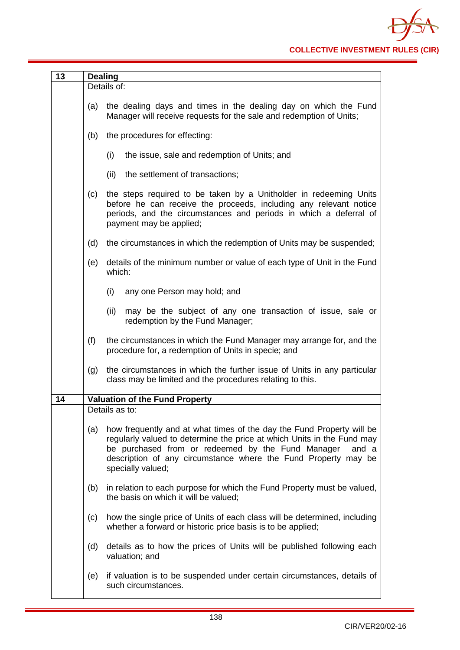| 13 |     | <b>Dealing</b>                                                                                                                                                                                                                                                                                       |
|----|-----|------------------------------------------------------------------------------------------------------------------------------------------------------------------------------------------------------------------------------------------------------------------------------------------------------|
|    |     | Details of:                                                                                                                                                                                                                                                                                          |
|    | (a) | the dealing days and times in the dealing day on which the Fund<br>Manager will receive requests for the sale and redemption of Units;                                                                                                                                                               |
|    | (b) | the procedures for effecting:                                                                                                                                                                                                                                                                        |
|    |     | (i)<br>the issue, sale and redemption of Units; and                                                                                                                                                                                                                                                  |
|    |     | the settlement of transactions;<br>(ii)                                                                                                                                                                                                                                                              |
|    | (c) | the steps required to be taken by a Unitholder in redeeming Units<br>before he can receive the proceeds, including any relevant notice<br>periods, and the circumstances and periods in which a deferral of<br>payment may be applied;                                                               |
|    | (d) | the circumstances in which the redemption of Units may be suspended;                                                                                                                                                                                                                                 |
|    | (e) | details of the minimum number or value of each type of Unit in the Fund<br>which:                                                                                                                                                                                                                    |
|    |     | (i)<br>any one Person may hold; and                                                                                                                                                                                                                                                                  |
|    |     | (ii)<br>may be the subject of any one transaction of issue, sale or<br>redemption by the Fund Manager;                                                                                                                                                                                               |
|    | (f) | the circumstances in which the Fund Manager may arrange for, and the<br>procedure for, a redemption of Units in specie; and                                                                                                                                                                          |
|    | (g) | the circumstances in which the further issue of Units in any particular<br>class may be limited and the procedures relating to this.                                                                                                                                                                 |
| 14 |     | <b>Valuation of the Fund Property</b>                                                                                                                                                                                                                                                                |
|    |     | Details as to:                                                                                                                                                                                                                                                                                       |
|    | (a) | how frequently and at what times of the day the Fund Property will be<br>regularly valued to determine the price at which Units in the Fund may<br>be purchased from or redeemed by the Fund Manager<br>and a<br>description of any circumstance where the Fund Property may be<br>specially valued; |
|    | (b) | in relation to each purpose for which the Fund Property must be valued,<br>the basis on which it will be valued;                                                                                                                                                                                     |
|    | (c) | how the single price of Units of each class will be determined, including<br>whether a forward or historic price basis is to be applied;                                                                                                                                                             |
|    | (d) | details as to how the prices of Units will be published following each<br>valuation; and                                                                                                                                                                                                             |
|    | (e) | if valuation is to be suspended under certain circumstances, details of                                                                                                                                                                                                                              |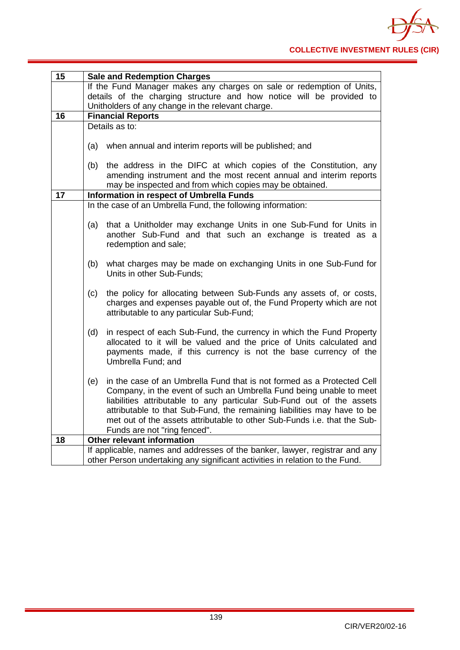| 15              | <b>Sale and Redemption Charges</b>                                            |
|-----------------|-------------------------------------------------------------------------------|
|                 | If the Fund Manager makes any charges on sale or redemption of Units,         |
|                 | details of the charging structure and how notice will be provided to          |
|                 | Unitholders of any change in the relevant charge.                             |
| 16              | <b>Financial Reports</b>                                                      |
|                 | Details as to:                                                                |
|                 |                                                                               |
|                 | when annual and interim reports will be published; and<br>(a)                 |
|                 | the address in the DIFC at which copies of the Constitution, any<br>(b)       |
|                 | amending instrument and the most recent annual and interim reports            |
|                 | may be inspected and from which copies may be obtained.                       |
| $\overline{17}$ | Information in respect of Umbrella Funds                                      |
|                 | In the case of an Umbrella Fund, the following information:                   |
|                 |                                                                               |
|                 | that a Unitholder may exchange Units in one Sub-Fund for Units in<br>(a)      |
|                 | another Sub-Fund and that such an exchange is treated as a                    |
|                 | redemption and sale;                                                          |
|                 |                                                                               |
|                 | what charges may be made on exchanging Units in one Sub-Fund for<br>(b)       |
|                 | Units in other Sub-Funds;                                                     |
|                 |                                                                               |
|                 | the policy for allocating between Sub-Funds any assets of, or costs,<br>(c)   |
|                 | charges and expenses payable out of, the Fund Property which are not          |
|                 | attributable to any particular Sub-Fund;                                      |
|                 |                                                                               |
|                 | in respect of each Sub-Fund, the currency in which the Fund Property<br>(d)   |
|                 | allocated to it will be valued and the price of Units calculated and          |
|                 | payments made, if this currency is not the base currency of the               |
|                 | Umbrella Fund; and                                                            |
|                 | in the case of an Umbrella Fund that is not formed as a Protected Cell<br>(e) |
|                 | Company, in the event of such an Umbrella Fund being unable to meet           |
|                 | liabilities attributable to any particular Sub-Fund out of the assets         |
|                 | attributable to that Sub-Fund, the remaining liabilities may have to be       |
|                 | met out of the assets attributable to other Sub-Funds i.e. that the Sub-      |
|                 | Funds are not "ring fenced".                                                  |
| 18              | Other relevant information                                                    |
|                 | If applicable, names and addresses of the banker, lawyer, registrar and any   |
|                 | other Person undertaking any significant activities in relation to the Fund.  |